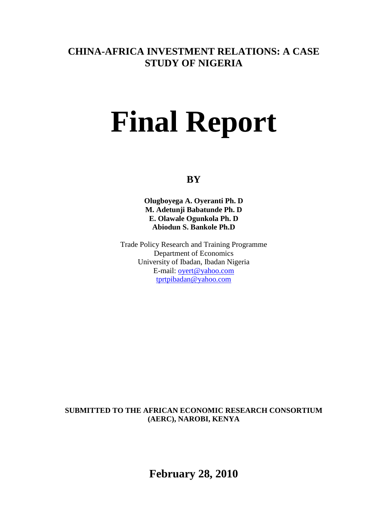# **CHINA-AFRICA INVESTMENT RELATIONS: A CASE STUDY OF NIGERIA**

# **Final Report**

## **BY**

**Olugboyega A. Oyeranti Ph. D M. Adetunji Babatunde Ph. D E. Olawale Ogunkola Ph. D Abiodun S. Bankole Ph.D** 

Trade Policy Research and Training Programme Department of Economics University of Ibadan, Ibadan Nigeria E-mail: oyert@yahoo.com tprtpibadan@yahoo.com

## **SUBMITTED TO THE AFRICAN ECONOMIC RESEARCH CONSORTIUM (AERC), NAROBI, KENYA**

**February 28, 2010**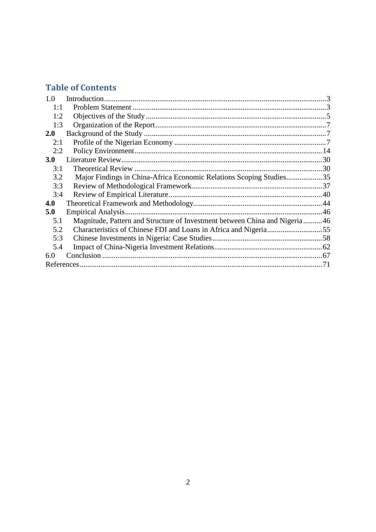## **Table of Contents**

| 1.0 |                                                                            |  |
|-----|----------------------------------------------------------------------------|--|
| 1:1 |                                                                            |  |
| 1:2 |                                                                            |  |
| 1:3 |                                                                            |  |
| 2.0 |                                                                            |  |
| 2:1 |                                                                            |  |
| 2:2 |                                                                            |  |
| 3.0 |                                                                            |  |
| 3:1 |                                                                            |  |
| 3.2 | Major Findings in China-Africa Economic Relations Scoping Studies35        |  |
| 3:3 |                                                                            |  |
| 3:4 |                                                                            |  |
| 4.0 |                                                                            |  |
| 5.0 | <b>Empirical Analysis</b>                                                  |  |
| 5.1 | Magnitude, Pattern and Structure of Investment between China and Nigeria46 |  |
| 5.2 |                                                                            |  |
| 5:3 |                                                                            |  |
| 5.4 |                                                                            |  |
| 6.0 |                                                                            |  |
|     |                                                                            |  |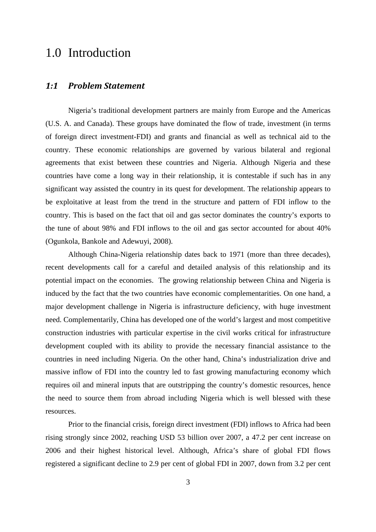# 1.0 Introduction

#### 1:1 Problem Statement

Nigeria's traditional development partners are mainly from Europe and the Americas (U.S. A. and Canada). These groups have dominated the flow of trade, investment (in terms of foreign direct investment-FDI) and grants and financial as well as technical aid to the country. These economic relationships are governed by various bilateral and regional agreements that exist between these countries and Nigeria. Although Nigeria and these countries have come a long way in their relationship, it is contestable if such has in any significant way assisted the country in its quest for development. The relationship appears to be exploitative at least from the trend in the structure and pattern of FDI inflow to the country. This is based on the fact that oil and gas sector dominates the country's exports to the tune of about 98% and FDI inflows to the oil and gas sector accounted for about 40% (Ogunkola, Bankole and Adewuyi, 2008).

 Although China-Nigeria relationship dates back to 1971 (more than three decades), recent developments call for a careful and detailed analysis of this relationship and its potential impact on the economies. The growing relationship between China and Nigeria is induced by the fact that the two countries have economic complementarities. On one hand, a major development challenge in Nigeria is infrastructure deficiency, with huge investment need. Complementarily, China has developed one of the world's largest and most competitive construction industries with particular expertise in the civil works critical for infrastructure development coupled with its ability to provide the necessary financial assistance to the countries in need including Nigeria. On the other hand, China's industrialization drive and massive inflow of FDI into the country led to fast growing manufacturing economy which requires oil and mineral inputs that are outstripping the country's domestic resources, hence the need to source them from abroad including Nigeria which is well blessed with these resources.

 Prior to the financial crisis, foreign direct investment (FDI) inflows to Africa had been rising strongly since 2002, reaching USD 53 billion over 2007, a 47.2 per cent increase on 2006 and their highest historical level. Although, Africa's share of global FDI flows registered a significant decline to 2.9 per cent of global FDI in 2007, down from 3.2 per cent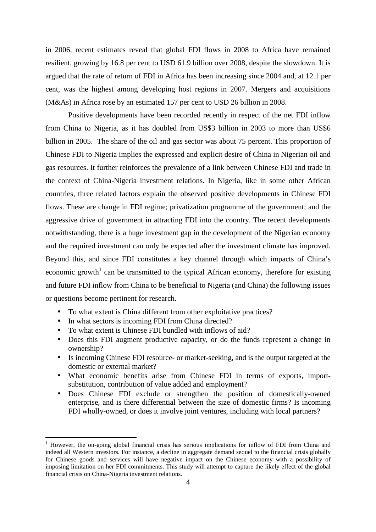in 2006, recent estimates reveal that global FDI flows in 2008 to Africa have remained resilient, growing by 16.8 per cent to USD 61.9 billion over 2008, despite the slowdown. It is argued that the rate of return of FDI in Africa has been increasing since 2004 and, at 12.1 per cent, was the highest among developing host regions in 2007. Mergers and acquisitions (M&As) in Africa rose by an estimated 157 per cent to USD 26 billion in 2008.

 Positive developments have been recorded recently in respect of the net FDI inflow from China to Nigeria, as it has doubled from US\$3 billion in 2003 to more than US\$6 billion in 2005. The share of the oil and gas sector was about 75 percent. This proportion of Chinese FDI to Nigeria implies the expressed and explicit desire of China in Nigerian oil and gas resources. It further reinforces the prevalence of a link between Chinese FDI and trade in the context of China-Nigeria investment relations. In Nigeria, like in some other African countries, three related factors explain the observed positive developments in Chinese FDI flows. These are change in FDI regime; privatization programme of the government; and the aggressive drive of government in attracting FDI into the country. The recent developments notwithstanding, there is a huge investment gap in the development of the Nigerian economy and the required investment can only be expected after the investment climate has improved. Beyond this, and since FDI constitutes a key channel through which impacts of China's economic growth<sup>1</sup> can be transmitted to the typical African economy, therefore for existing and future FDI inflow from China to be beneficial to Nigeria (and China) the following issues or questions become pertinent for research.

- To what extent is China different from other exploitative practices?
- In what sectors is incoming FDI from China directed?

 $\overline{a}$ 

- To what extent is Chinese FDI bundled with inflows of aid?
- Does this FDI augment productive capacity, or do the funds represent a change in ownership?
- Is incoming Chinese FDI resource- or market-seeking, and is the output targeted at the domestic or external market?
- What economic benefits arise from Chinese FDI in terms of exports, importsubstitution, contribution of value added and employment?
- Does Chinese FDI exclude or strengthen the position of domestically-owned enterprise, and is there differential between the size of domestic firms? Is incoming FDI wholly-owned, or does it involve joint ventures, including with local partners?

<sup>&</sup>lt;sup>1</sup> However, the on-going global financial crisis has serious implications for inflow of FDI from China and indeed all Western investors. For instance, a decline in aggregate demand sequel to the financial crisis globally for Chinese goods and services will have negative impact on the Chinese economy with a possibility of imposing limitation on her FDI commitments. This study will attempt to capture the likely effect of the global financial crisis on China-Nigeria investment relations.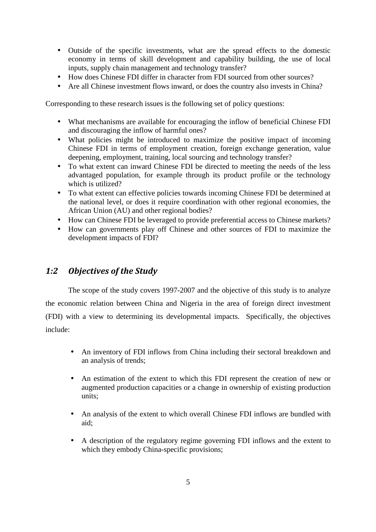- Outside of the specific investments, what are the spread effects to the domestic economy in terms of skill development and capability building, the use of local inputs, supply chain management and technology transfer?
- How does Chinese FDI differ in character from FDI sourced from other sources?
- Are all Chinese investment flows inward, or does the country also invests in China?

Corresponding to these research issues is the following set of policy questions:

- What mechanisms are available for encouraging the inflow of beneficial Chinese FDI and discouraging the inflow of harmful ones?
- What policies might be introduced to maximize the positive impact of incoming Chinese FDI in terms of employment creation, foreign exchange generation, value deepening, employment, training, local sourcing and technology transfer?
- To what extent can inward Chinese FDI be directed to meeting the needs of the less advantaged population, for example through its product profile or the technology which is utilized?
- To what extent can effective policies towards incoming Chinese FDI be determined at the national level, or does it require coordination with other regional economies, the African Union (AU) and other regional bodies?
- How can Chinese FDI be leveraged to provide preferential access to Chinese markets?
- How can governments play off Chinese and other sources of FDI to maximize the development impacts of FDI?

## 1:2 Objectives of the Study

The scope of the study covers 1997-2007 and the objective of this study is to analyze the economic relation between China and Nigeria in the area of foreign direct investment (FDI) with a view to determining its developmental impacts. Specifically, the objectives include:

- An inventory of FDI inflows from China including their sectoral breakdown and an analysis of trends;
- An estimation of the extent to which this FDI represent the creation of new or augmented production capacities or a change in ownership of existing production units;
- An analysis of the extent to which overall Chinese FDI inflows are bundled with aid;
- A description of the regulatory regime governing FDI inflows and the extent to which they embody China-specific provisions;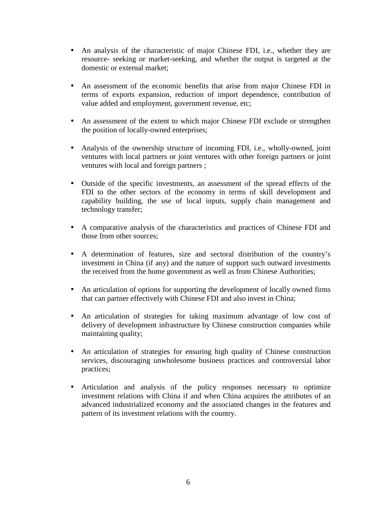- An analysis of the characteristic of major Chinese FDI, i.e., whether they are resource- seeking or market-seeking, and whether the output is targeted at the domestic or external market;
- An assessment of the economic benefits that arise from major Chinese FDI in terms of exports expansion, reduction of import dependence, contribution of value added and employment, government revenue, etc;
- An assessment of the extent to which major Chinese FDI exclude or strengthen the position of locally-owned enterprises;
- Analysis of the ownership structure of incoming FDI, i.e., wholly-owned, joint ventures with local partners or joint ventures with other foreign partners or joint ventures with local and foreign partners ;
- Outside of the specific investments, an assessment of the spread effects of the FDI to the other sectors of the economy in terms of skill development and capability building, the use of local inputs, supply chain management and technology transfer;
- A comparative analysis of the characteristics and practices of Chinese FDI and those from other sources;
- A determination of features, size and sectoral distribution of the country's investment in China (if any) and the nature of support such outward investments the received from the home government as well as from Chinese Authorities;
- An articulation of options for supporting the development of locally owned firms that can partner effectively with Chinese FDI and also invest in China;
- An articulation of strategies for taking maximum advantage of low cost of delivery of development infrastructure by Chinese construction companies while maintaining quality;
- An articulation of strategies for ensuring high quality of Chinese construction services, discouraging unwholesome business practices and controversial labor practices;
- Articulation and analysis of the policy responses necessary to optimize investment relations with China if and when China acquires the attributes of an advanced industrialized economy and the associated changes in the features and pattern of its investment relations with the country.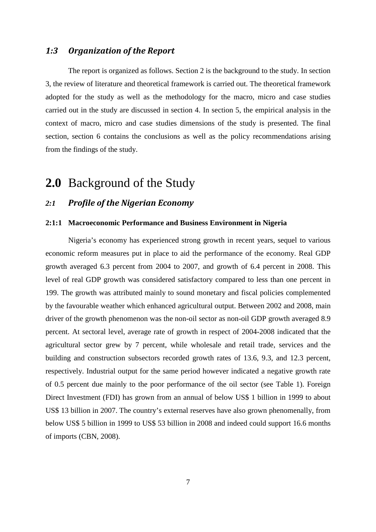## 1:3 Organization of the Report

The report is organized as follows. Section 2 is the background to the study. In section 3, the review of literature and theoretical framework is carried out. The theoretical framework adopted for the study as well as the methodology for the macro, micro and case studies carried out in the study are discussed in section 4. In section 5, the empirical analysis in the context of macro, micro and case studies dimensions of the study is presented. The final section, section 6 contains the conclusions as well as the policy recommendations arising from the findings of the study.

# **2.0** Background of the Study

## *2:1* Profile of the Nigerian Economy

#### **2:1:1 Macroeconomic Performance and Business Environment in Nigeria**

Nigeria's economy has experienced strong growth in recent years, sequel to various economic reform measures put in place to aid the performance of the economy. Real GDP growth averaged 6.3 percent from 2004 to 2007, and growth of 6.4 percent in 2008. This level of real GDP growth was considered satisfactory compared to less than one percent in 199. The growth was attributed mainly to sound monetary and fiscal policies complemented by the favourable weather which enhanced agricultural output. Between 2002 and 2008, main driver of the growth phenomenon was the non-oil sector as non-oil GDP growth averaged 8.9 percent. At sectoral level, average rate of growth in respect of 2004-2008 indicated that the agricultural sector grew by 7 percent, while wholesale and retail trade, services and the building and construction subsectors recorded growth rates of 13.6, 9.3, and 12.3 percent, respectively. Industrial output for the same period however indicated a negative growth rate of 0.5 percent due mainly to the poor performance of the oil sector (see Table 1). Foreign Direct Investment (FDI) has grown from an annual of below US\$ 1 billion in 1999 to about US\$ 13 billion in 2007. The country's external reserves have also grown phenomenally, from below US\$ 5 billion in 1999 to US\$ 53 billion in 2008 and indeed could support 16.6 months of imports (CBN, 2008).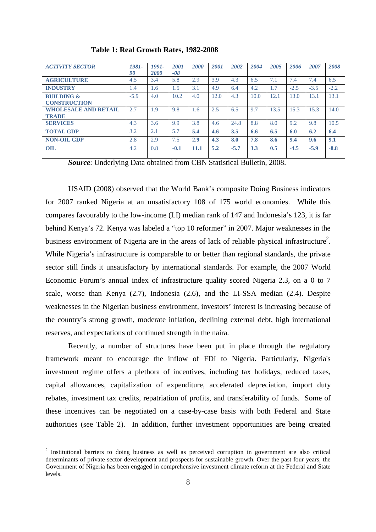| <b>ACTIVITY SECTOR</b>      | 1981-<br>90 | 1991-<br><b>2000</b> | 2001<br>$-08$   | 2000 | 2001 | 2002   | 2004 | 2005 | 2006   | 2007   | 2008   |
|-----------------------------|-------------|----------------------|-----------------|------|------|--------|------|------|--------|--------|--------|
|                             |             |                      |                 |      |      |        |      |      |        |        |        |
| <b>AGRICULTURE</b>          | 4.5         | 3.4                  | 5.8             | 2.9  | 3.9  | 4.3    | 6.5  | 7.1  | 7.4    | 7.4    | 6.5    |
| <b>INDUSTRY</b>             | 1.4         | 1.6                  | $\overline{.5}$ | 3.1  | 4.9  | 6.4    | 4.2  | 1.7  | $-2.5$ | $-3.5$ | $-2.2$ |
| <b>BUILDING &amp;</b>       | $-5.9$      | 4.0                  | 10.2            | 4.0  | 12.0 | 4.3    | 10.0 | 12.1 | 13.0   | 13.1   | 13.1   |
| <b>CONSTRUCTION</b>         |             |                      |                 |      |      |        |      |      |        |        |        |
| <b>WHOLESALE AND RETAIL</b> | 2.7         | 1.9                  | 9.8             | 1.6  | 2.5  | 6.5    | 9.7  | 13.5 | 15.3   | 15.3   | 14.0   |
| <b>TRADE</b>                |             |                      |                 |      |      |        |      |      |        |        |        |
| <b>SERVICES</b>             | 4.3         | 3.6                  | 9.9             | 3.8  | 4.6  | 24.8   | 8.8  | 8.0  | 9.2    | 9.8    | 10.5   |
| <b>TOTAL GDP</b>            | 3.2         | 2.1                  | 5.7             | 5.4  | 4.6  | 3.5    | 6.6  | 6.5  | 6.0    | 6.2    | 6.4    |
| <b>NON-OIL GDP</b>          | 2.8         | 2.9                  | 7.5             | 2.9  | 4.3  | 8.0    | 7.8  | 8.6  | 9.4    | 9.6    | 9.1    |
| <b>OIL</b>                  | 4.2         | 0.8                  | $-0.1$          | 11.1 | 5.2  | $-5.7$ | 3.3  | 0.5  | $-4.5$ | $-5.9$ | $-8.8$ |
|                             |             |                      |                 |      |      |        |      |      |        |        |        |

**Table 1: Real Growth Rates, 1982-2008** 

*Source*: Underlying Data obtained from CBN Statistical Bulletin, 2008.

USAID (2008) observed that the World Bank's composite Doing Business indicators for 2007 ranked Nigeria at an unsatisfactory 108 of 175 world economies. While this compares favourably to the low-income (LI) median rank of 147 and Indonesia's 123, it is far behind Kenya's 72. Kenya was labeled a "top 10 reformer" in 2007. Major weaknesses in the business environment of Nigeria are in the areas of lack of reliable physical infrastructure<sup>2</sup>. While Nigeria's infrastructure is comparable to or better than regional standards, the private sector still finds it unsatisfactory by international standards. For example, the 2007 World Economic Forum's annual index of infrastructure quality scored Nigeria 2.3, on a 0 to 7 scale, worse than Kenya (2.7), Indonesia (2.6), and the LI-SSA median (2.4). Despite weaknesses in the Nigerian business environment, investors' interest is increasing because of the country's strong growth, moderate inflation, declining external debt, high international reserves, and expectations of continued strength in the naira.

Recently, a number of structures have been put in place through the regulatory framework meant to encourage the inflow of FDI to Nigeria. Particularly, Nigeria's investment regime offers a plethora of incentives, including tax holidays, reduced taxes, capital allowances, capitalization of expenditure, accelerated depreciation, import duty rebates, investment tax credits, repatriation of profits, and transferability of funds. Some of these incentives can be negotiated on a case-by-case basis with both Federal and State authorities (see Table 2). In addition, further investment opportunities are being created

 $\overline{a}$ 

<sup>&</sup>lt;sup>2</sup> Institutional barriers to doing business as well as perceived corruption in government are also critical determinants of private sector development and prospects for sustainable growth. Over the past four years, the Government of Nigeria has been engaged in comprehensive investment climate reform at the Federal and State levels.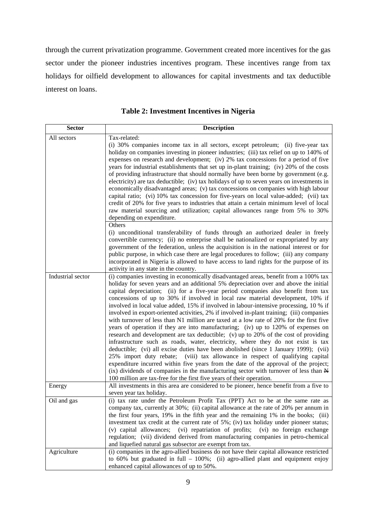through the current privatization programme. Government created more incentives for the gas sector under the pioneer industries incentives program. These incentives range from tax holidays for oilfield development to allowances for capital investments and tax deductible interest on loans.

| <b>Sector</b>     | <b>Description</b>                                                                                                                                                                                                                                                                                                                                                                                                                                                                                                                                                                                                                                                                                                                                                                                                                                                                                                                                                                                                                                                                                                                                                                                                                                                                                                                                 |  |  |  |  |
|-------------------|----------------------------------------------------------------------------------------------------------------------------------------------------------------------------------------------------------------------------------------------------------------------------------------------------------------------------------------------------------------------------------------------------------------------------------------------------------------------------------------------------------------------------------------------------------------------------------------------------------------------------------------------------------------------------------------------------------------------------------------------------------------------------------------------------------------------------------------------------------------------------------------------------------------------------------------------------------------------------------------------------------------------------------------------------------------------------------------------------------------------------------------------------------------------------------------------------------------------------------------------------------------------------------------------------------------------------------------------------|--|--|--|--|
| All sectors       | Tax-related:<br>(i) 30% companies income tax in all sectors, except petroleum; (ii) five-year tax<br>holiday on companies investing in pioneer industries; (iii) tax relief on up to 140% of<br>expenses on research and development; (iv) 2% tax concessions for a period of five<br>years for industrial establishments that set up in-plant training; (iv) 20% of the costs<br>of providing infrastructure that should normally have been borne by government (e.g.<br>electricity) are tax deductible; (iv) tax holidays of up to seven years on investments in<br>economically disadvantaged areas; (v) tax concessions on companies with high labour<br>capital ratio; (vi) 10% tax concession for five-years on local value-added; (vii) tax<br>credit of 20% for five years to industries that attain a certain minimum level of local<br>raw material sourcing and utilization; capital allowances range from 5% to 30%<br>depending on expenditure.                                                                                                                                                                                                                                                                                                                                                                                      |  |  |  |  |
|                   | Others<br>(i) unconditional transferability of funds through an authorized dealer in freely<br>convertible currency; (ii) no enterprise shall be nationalized or expropriated by any<br>government of the federation, unless the acquisition is in the national interest or for<br>public purpose, in which case there are legal procedures to follow; (iii) any company<br>incorporated in Nigeria is allowed to have access to land rights for the purpose of its<br>activity in any state in the country.                                                                                                                                                                                                                                                                                                                                                                                                                                                                                                                                                                                                                                                                                                                                                                                                                                       |  |  |  |  |
| Industrial sector | (i) companies investing in economically disadvantaged areas, benefit from a 100% tax<br>holiday for seven years and an additional 5% depreciation over and above the initial<br>capital depreciation; (ii) for a five-year period companies also benefit from tax<br>concessions of up to 30% if involved in local raw material development, 10% if<br>involved in local value added, 15% if involved in labour-intensive processing, 10 % if<br>involved in export-oriented activities, 2% if involved in-plant training; (iii) companies<br>with turnover of less than N1 million are taxed at a low rate of 20% for the first five<br>years of operation if they are into manufacturing; (iv) up to 120% of expenses on<br>research and development are tax deductible; (v) up to 20% of the cost of providing<br>infrastructure such as roads, water, electricity, where they do not exist is tax<br>deductible; (vi) all excise duties have been abolished (since 1 January 1999); (vii)<br>25% import duty rebate; (viii) tax allowance in respect of qualifying capital<br>expenditure incurred within five years from the date of the approval of the project;<br>(ix) dividends of companies in the manufacturing sector with turnover of less than $\mathbb{H}$<br>100 million are tax-free for the first five years of their operation. |  |  |  |  |
| Energy            | All investments in this area are considered to be pioneer, hence benefit from a five to<br>seven year tax holiday.                                                                                                                                                                                                                                                                                                                                                                                                                                                                                                                                                                                                                                                                                                                                                                                                                                                                                                                                                                                                                                                                                                                                                                                                                                 |  |  |  |  |
| Oil and gas       | (i) tax rate under the Petroleum Profit Tax (PPT) Act to be at the same rate as<br>company tax, currently at 30%; (ii) capital allowance at the rate of 20% per annum in<br>the first four years, 19% in the fifth year and the remaining 1% in the books; (iii)<br>investment tax credit at the current rate of 5%; (iv) tax holiday under pioneer status;<br>(v) capital allowances; (vi) repatriation of profits;<br>(vi) no foreign exchange<br>regulation; (vii) dividend derived from manufacturing companies in petro-chemical<br>and liquefied natural gas subsector are exempt from tax.                                                                                                                                                                                                                                                                                                                                                                                                                                                                                                                                                                                                                                                                                                                                                  |  |  |  |  |
| Agriculture       | (i) companies in the agro-allied business do not have their capital allowance restricted<br>to $60\%$ but graduated in full $-100\%$ ; (ii) agro-allied plant and equipment enjoy<br>enhanced capital allowances of up to 50%.                                                                                                                                                                                                                                                                                                                                                                                                                                                                                                                                                                                                                                                                                                                                                                                                                                                                                                                                                                                                                                                                                                                     |  |  |  |  |

**Table 2: Investment Incentives in Nigeria**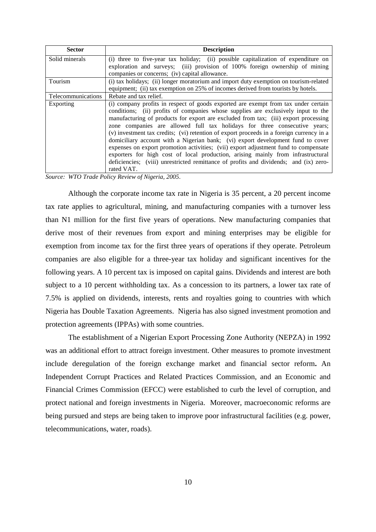| <b>Sector</b>                                                                                                                                                                        | <b>Description</b>                                                                                                                                                                                                                                                                                                                                                                                                                                                                                                                                                                                                                                                                                                                                                                                           |  |  |  |  |  |  |
|--------------------------------------------------------------------------------------------------------------------------------------------------------------------------------------|--------------------------------------------------------------------------------------------------------------------------------------------------------------------------------------------------------------------------------------------------------------------------------------------------------------------------------------------------------------------------------------------------------------------------------------------------------------------------------------------------------------------------------------------------------------------------------------------------------------------------------------------------------------------------------------------------------------------------------------------------------------------------------------------------------------|--|--|--|--|--|--|
| Solid minerals<br>(i) three to five-year tax holiday; (ii) possible capitalization of expenditure on<br>exploration and surveys; (iii) provision of 100% foreign ownership of mining |                                                                                                                                                                                                                                                                                                                                                                                                                                                                                                                                                                                                                                                                                                                                                                                                              |  |  |  |  |  |  |
|                                                                                                                                                                                      | companies or concerns; (iv) capital allowance.                                                                                                                                                                                                                                                                                                                                                                                                                                                                                                                                                                                                                                                                                                                                                               |  |  |  |  |  |  |
| Tourism                                                                                                                                                                              | (i) tax holidays; (ii) longer moratorium and import duty exemption on tourism-related                                                                                                                                                                                                                                                                                                                                                                                                                                                                                                                                                                                                                                                                                                                        |  |  |  |  |  |  |
|                                                                                                                                                                                      | equipment; (ii) tax exemption on 25% of incomes derived from tourists by hotels.                                                                                                                                                                                                                                                                                                                                                                                                                                                                                                                                                                                                                                                                                                                             |  |  |  |  |  |  |
| Telecommunications                                                                                                                                                                   | Rebate and tax relief.                                                                                                                                                                                                                                                                                                                                                                                                                                                                                                                                                                                                                                                                                                                                                                                       |  |  |  |  |  |  |
| Exporting                                                                                                                                                                            | (i) company profits in respect of goods exported are exempt from tax under certain<br>conditions; (ii) profits of companies whose supplies are exclusively input to the<br>manufacturing of products for export are excluded from tax; (iii) export processing<br>zone companies are allowed full tax holidays for three consecutive years;<br>(v) investment tax credits; (vi) retention of export proceeds in a foreign currency in a<br>domiciliary account with a Nigerian bank; (vi) export development fund to cover<br>expenses on export promotion activities; (vii) export adjustment fund to compensate<br>exporters for high cost of local production, arising mainly from infrastructural<br>deficiencies; (viii) unrestricted remittance of profits and dividends; and (ix) zero-<br>rated VAT. |  |  |  |  |  |  |

*Source: WTO Trade Policy Review of Nigeria, 2005*.

Although the corporate income tax rate in Nigeria is 35 percent, a 20 percent income tax rate applies to agricultural, mining, and manufacturing companies with a turnover less than N1 million for the first five years of operations. New manufacturing companies that derive most of their revenues from export and mining enterprises may be eligible for exemption from income tax for the first three years of operations if they operate. Petroleum companies are also eligible for a three-year tax holiday and significant incentives for the following years. A 10 percent tax is imposed on capital gains. Dividends and interest are both subject to a 10 percent withholding tax. As a concession to its partners, a lower tax rate of 7.5% is applied on dividends, interests, rents and royalties going to countries with which Nigeria has Double Taxation Agreements. Nigeria has also signed investment promotion and protection agreements (IPPAs) with some countries.

 The establishment of a Nigerian Export Processing Zone Authority (NEPZA) in 1992 was an additional effort to attract foreign investment. Other measures to promote investment include deregulation of the foreign exchange market and financial sector reform**.** An Independent Corrupt Practices and Related Practices Commission, and an Economic and Financial Crimes Commission (EFCC) were established to curb the level of corruption, and protect national and foreign investments in Nigeria. Moreover, macroeconomic reforms are being pursued and steps are being taken to improve poor infrastructural facilities (e.g. power, telecommunications, water, roads).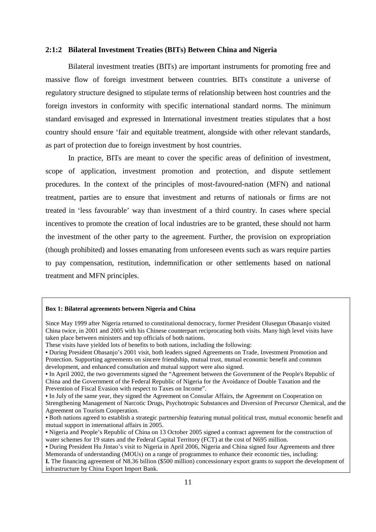#### **2:1:2 Bilateral Investment Treaties (BITs) Between China and Nigeria**

 Bilateral investment treaties (BITs) are important instruments for promoting free and massive flow of foreign investment between countries. BITs constitute a universe of regulatory structure designed to stipulate terms of relationship between host countries and the foreign investors in conformity with specific international standard norms. The minimum standard envisaged and expressed in International investment treaties stipulates that a host country should ensure 'fair and equitable treatment, alongside with other relevant standards, as part of protection due to foreign investment by host countries.

In practice, BITs are meant to cover the specific areas of definition of investment, scope of application, investment promotion and protection, and dispute settlement procedures. In the context of the principles of most-favoured-nation (MFN) and national treatment, parties are to ensure that investment and returns of nationals or firms are not treated in 'less favourable' way than investment of a third country. In cases where special incentives to promote the creation of local industries are to be granted, these should not harm the investment of the other party to the agreement. Further, the provision on expropriation (though prohibited) and losses emanating from unforeseen events such as wars require parties to pay compensation, restitution, indemnification or other settlements based on national treatment and MFN principles.

#### **Box 1: Bilateral agreements between Nigeria and China**

**•** During President Obasanjo's 2001 visit, both leaders signed Agreements on Trade, Investment Promotion and Protection. Supporting agreements on sincere friendship, mutual trust, mutual economic benefit and common development, and enhanced consultation and mutual support were also signed.

**I.** The financing agreement of N8.36 billion (\$500 million) concessionary export grants to support the development of infrastructure by China Export Import Bank.

Since May 1999 after Nigeria returned to constitutional democracy, former President Olusegun Obasanjo visited China twice, in 2001 and 2005 with his Chinese counterpart reciprocating both visits. Many high level visits have taken place between ministers and top officials of both nations.

These visits have yielded lots of benefits to both nations, including the following:

**<sup>•</sup>** In April 2002, the two governments signed the "Agreement between the Government of the People's Republic of China and the Government of the Federal Republic of Nigeria for the Avoidance of Double Taxation and the Prevention of Fiscal Evasion with respect to Taxes on Income".

<sup>•</sup> In July of the same year, they signed the Agreement on Consular Affairs, the Agreement on Cooperation on Strengthening Management of Narcotic Drugs, Psychotropic Substances and Diversion of Precursor Chemical, and the Agreement on Tourism Cooperation.

**<sup>•</sup>** Both nations agreed to establish a strategic partnership featuring mutual political trust, mutual economic benefit and mutual support in international affairs in 2005.

**<sup>•</sup>** Nigeria and People's Republic of China on 13 October 2005 signed a contract agreement for the construction of water schemes for 19 states and the Federal Capital Territory (FCT) at the cost of N695 million.

**<sup>•</sup>** During President Hu Jintao's visit to Nigeria in April 2006, Nigeria and China signed four Agreements and three

Memoranda of understanding (MOUs) on a range of programmes to enhance their economic ties, including: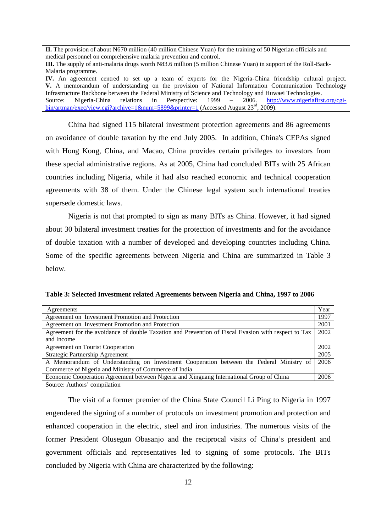**II.** The provision of about N670 million (40 million Chinese Yuan) for the training of 50 Nigerian officials and medical personnel on comprehensive malaria prevention and control.

**III.** The supply of anti-malaria drugs worth N83.6 million (5 million Chinese Yuan) in support of the Roll-Back-Malaria programme.

**IV.** An agreement centred to set up a team of experts for the Nigeria-China friendship cultural project. **V.** A memorandum of understanding on the provision of National Information Communication Technology Infrastructure Backbone between the Federal Ministry of Science and Technology and Huwaei Technologies.<br>Source: Nigeria-China relations in Perspective: 1999 – 2006. http://www.nigeriafirs Nigeria-China relations in Perspective: 1999 – 2006. http://www.nigeriafirst.org/cgibin/artman/exec/view.cgi?archive=1&num=5899&printer=1 (Accessed August 23<sup>rd</sup>, 2009).

China had signed 115 bilateral investment protection agreements and 86 agreements on avoidance of double taxation by the end July 2005. In addition, China's CEPAs signed with Hong Kong, China, and Macao, China provides certain privileges to investors from these special administrative regions. As at 2005, China had concluded BITs with 25 African countries including Nigeria, while it had also reached economic and technical cooperation agreements with 38 of them. Under the Chinese legal system such international treaties supersede domestic laws.

 Nigeria is not that prompted to sign as many BITs as China. However, it had signed about 30 bilateral investment treaties for the protection of investments and for the avoidance of double taxation with a number of developed and developing countries including China. Some of the specific agreements between Nigeria and China are summarized in Table 3 below.

**Table 3: Selected Investment related Agreements between Nigeria and China, 1997 to 2006** 

| Agreements                                                                                          | Year |  |
|-----------------------------------------------------------------------------------------------------|------|--|
| Agreement on Investment Promotion and Protection                                                    | 1997 |  |
| Agreement on Investment Promotion and Protection                                                    | 2001 |  |
| Agreement for the avoidance of double Taxation and Prevention of Fiscal Evasion with respect to Tax | 2002 |  |
| and Income                                                                                          |      |  |
| Agreement on Tourist Cooperation                                                                    | 2002 |  |
| Strategic Partnership Agreement                                                                     | 2005 |  |
| A Memorandum of Understanding on Investment Cooperation between the Federal Ministry of             | 2006 |  |
| Commerce of Nigeria and Ministry of Commerce of India                                               |      |  |
| Economic Cooperation Agreement between Nigeria and Xinguang International Group of China            |      |  |
| $-1$<br>$\sim$ $\sim$ $\sim$ $\sim$                                                                 |      |  |

Source: Authors' compilation

The visit of a former premier of the China State Council Li Ping to Nigeria in 1997 engendered the signing of a number of protocols on investment promotion and protection and enhanced cooperation in the electric, steel and iron industries. The numerous visits of the former President Olusegun Obasanjo and the reciprocal visits of China's president and government officials and representatives led to signing of some protocols. The BITs concluded by Nigeria with China are characterized by the following: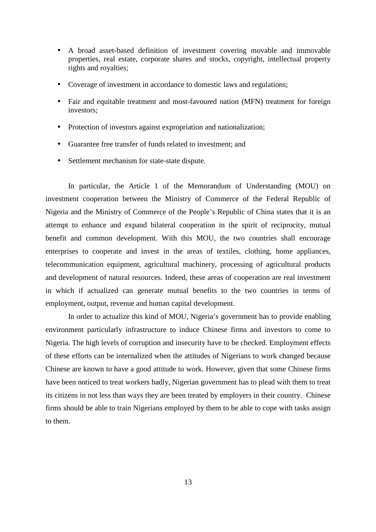- A broad asset-based definition of investment covering movable and immovable properties, real estate, corporate shares and stocks, copyright, intellectual property rights and royalties;
- Coverage of investment in accordance to domestic laws and regulations;
- Fair and equitable treatment and most-favoured nation (MFN) treatment for foreign investors;
- Protection of investors against expropriation and nationalization;
- Guarantee free transfer of funds related to investment; and
- Settlement mechanism for state-state dispute.

 In particular, the Article 1 of the Memorandum of Understanding (MOU) on investment cooperation between the Ministry of Commerce of the Federal Republic of Nigeria and the Ministry of Commerce of the People's Republic of China states that it is an attempt to enhance and expand bilateral cooperation in the spirit of reciprocity, mutual benefit and common development. With this MOU, the two countries shall encourage enterprises to cooperate and invest in the areas of textiles, clothing, home appliances, telecommunication equipment, agricultural machinery, processing of agricultural products and development of natural resources. Indeed, these areas of cooperation are real investment in which if actualized can generate mutual benefits to the two countries in terms of employment, output, revenue and human capital development.

 In order to actualize this kind of MOU, Nigeria's government has to provide enabling environment particularly infrastructure to induce Chinese firms and investors to come to Nigeria. The high levels of corruption and insecurity have to be checked. Employment effects of these efforts can be internalized when the attitudes of Nigerians to work changed because Chinese are known to have a good attitude to work. However, given that some Chinese firms have been noticed to treat workers badly, Nigerian government has to plead with them to treat its citizens in not less than ways they are been treated by employers in their country. Chinese firms should be able to train Nigerians employed by them to be able to cope with tasks assign to them.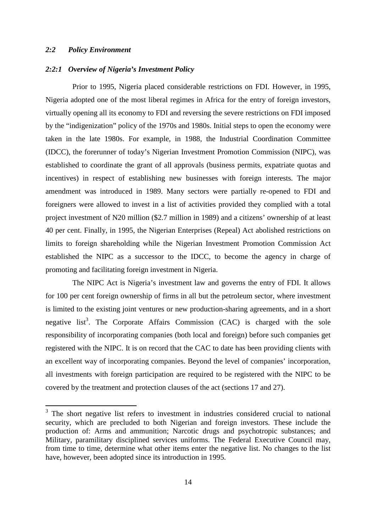#### *2:2 Policy Environment*

#### *2:2:1 Overview of Nigeria's Investment Policy*

 Prior to 1995, Nigeria placed considerable restrictions on FDI. However, in 1995, Nigeria adopted one of the most liberal regimes in Africa for the entry of foreign investors, virtually opening all its economy to FDI and reversing the severe restrictions on FDI imposed by the "indigenization" policy of the 1970s and 1980s. Initial steps to open the economy were taken in the late 1980s. For example, in 1988, the Industrial Coordination Committee (IDCC), the forerunner of today's Nigerian Investment Promotion Commission (NIPC), was established to coordinate the grant of all approvals (business permits, expatriate quotas and incentives) in respect of establishing new businesses with foreign interests. The major amendment was introduced in 1989. Many sectors were partially re-opened to FDI and foreigners were allowed to invest in a list of activities provided they complied with a total project investment of N20 million (\$2.7 million in 1989) and a citizens' ownership of at least 40 per cent. Finally, in 1995, the Nigerian Enterprises (Repeal) Act abolished restrictions on limits to foreign shareholding while the Nigerian Investment Promotion Commission Act established the NIPC as a successor to the IDCC, to become the agency in charge of promoting and facilitating foreign investment in Nigeria.

 The NIPC Act is Nigeria's investment law and governs the entry of FDI. It allows for 100 per cent foreign ownership of firms in all but the petroleum sector, where investment is limited to the existing joint ventures or new production-sharing agreements, and in a short negative list<sup>3</sup>. The Corporate Affairs Commission (CAC) is charged with the sole responsibility of incorporating companies (both local and foreign) before such companies get registered with the NIPC. It is on record that the CAC to date has been providing clients with an excellent way of incorporating companies. Beyond the level of companies' incorporation, all investments with foreign participation are required to be registered with the NIPC to be covered by the treatment and protection clauses of the act (sections 17 and 27).

<sup>&</sup>lt;sup>3</sup> The short negative list refers to investment in industries considered crucial to national security, which are precluded to both Nigerian and foreign investors. These include the production of: Arms and ammunition; Narcotic drugs and psychotropic substances; and Military, paramilitary disciplined services uniforms. The Federal Executive Council may, from time to time, determine what other items enter the negative list. No changes to the list have, however, been adopted since its introduction in 1995.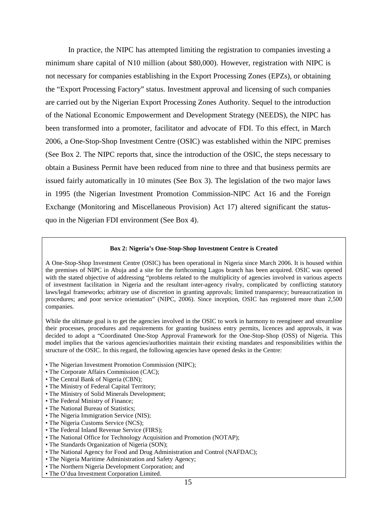In practice, the NIPC has attempted limiting the registration to companies investing a minimum share capital of N10 million (about \$80,000). However, registration with NIPC is not necessary for companies establishing in the Export Processing Zones (EPZs), or obtaining the "Export Processing Factory" status. Investment approval and licensing of such companies are carried out by the Nigerian Export Processing Zones Authority. Sequel to the introduction of the National Economic Empowerment and Development Strategy (NEEDS), the NIPC has been transformed into a promoter, facilitator and advocate of FDI. To this effect, in March 2006, a One-Stop-Shop Investment Centre (OSIC) was established within the NIPC premises (See Box 2. The NIPC reports that, since the introduction of the OSIC, the steps necessary to obtain a Business Permit have been reduced from nine to three and that business permits are issued fairly automatically in 10 minutes (See Box 3). The legislation of the two major laws in 1995 (the Nigerian Investment Promotion Commission-NIPC Act 16 and the Foreign Exchange (Monitoring and Miscellaneous Provision) Act 17) altered significant the statusquo in the Nigerian FDI environment (See Box 4).

#### **Box 2: Nigeria's One-Stop-Shop Investment Centre is Created**

A One-Stop-Shop Investment Centre (OSIC) has been operational in Nigeria since March 2006. It is housed within the premises of NIPC in Abuja and a site for the forthcoming Lagos branch has been acquired. OSIC was opened with the stated objective of addressing "problems related to the multiplicity of agencies involved in various aspects of investment facilitation in Nigeria and the resultant inter-agency rivalry, complicated by conflicting statutory laws/legal frameworks; arbitrary use of discretion in granting approvals; limited transparency; bureaucratization in procedures; and poor service orientation" (NIPC, 2006). Since inception, OSIC has registered more than 2,500 companies.

While the ultimate goal is to get the agencies involved in the OSIC to work in harmony to reengineer and streamline their processes, procedures and requirements for granting business entry permits, licences and approvals, it was decided to adopt a "Coordinated One-Stop Approval Framework for the One-Stop-Shop (OSS) of Nigeria. This model implies that the various agencies/authorities maintain their existing mandates and responsibilities within the structure of the OSIC. In this regard, the following agencies have opened desks in the Centre:

- The Nigerian Investment Promotion Commission (NIPC);
- The Corporate Affairs Commission (CAC);
- The Central Bank of Nigeria (CBN);
- The Ministry of Federal Capital Territory;
- The Ministry of Solid Minerals Development;
- The Federal Ministry of Finance;
- The National Bureau of Statistics;
- The Nigeria Immigration Service (NIS);
- The Nigeria Customs Service (NCS);
- The Federal Inland Revenue Service (FIRS);
- The National Office for Technology Acquisition and Promotion (NOTAP);
- The Standards Organization of Nigeria (SON);
- The National Agency for Food and Drug Administration and Control (NAFDAC);
- The Nigeria Maritime Administration and Safety Agency;
- The Northern Nigeria Development Corporation; and
- The O'dua Investment Corporation Limited.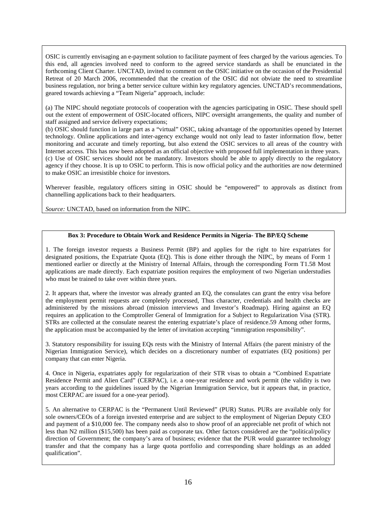OSIC is currently envisaging an e-payment solution to facilitate payment of fees charged by the various agencies. To this end, all agencies involved need to conform to the agreed service standards as shall be enunciated in the forthcoming Client Charter. UNCTAD, invited to comment on the OSIC initiative on the occasion of the Presidential Retreat of 20 March 2006, recommended that the creation of the OSIC did not obviate the need to streamline business regulation, nor bring a better service culture within key regulatory agencies. UNCTAD's recommendations, geared towards achieving a "Team Nigeria" approach, include:

(a) The NIPC should negotiate protocols of cooperation with the agencies participating in OSIC. These should spell out the extent of empowerment of OSIC-located officers, NIPC oversight arrangements, the quality and number of staff assigned and service delivery expectations;

(b) OSIC should function in large part as a "virtual" OSIC, taking advantage of the opportunities opened by Internet technology. Online applications and inter-agency exchange would not only lead to faster information flow, better monitoring and accurate and timely reporting, but also extend the OSIC services to all areas of the country with Internet access. This has now been adopted as an official objective with proposed full implementation in three years. (c) Use of OSIC services should not be mandatory. Investors should be able to apply directly to the regulatory agency if they choose. It is up to OSIC to perform. This is now official policy and the authorities are now determined to make OSIC an irresistible choice for investors.

Wherever feasible, regulatory officers sitting in OSIC should be "empowered" to approvals as distinct from channelling applications back to their headquarters.

*Source:* UNCTAD, based on information from the NIPC.

#### **Box 3: Procedure to Obtain Work and Residence Permits in Nigeria- The BP/EQ Scheme**

1. The foreign investor requests a Business Permit (BP) and applies for the right to hire expatriates for designated positions, the Expatriate Quota (EQ). This is done either through the NIPC, by means of Form 1 mentioned earlier or directly at the Ministry of Internal Affairs, through the corresponding Form T1.58 Most applications are made directly. Each expatriate position requires the employment of two Nigerian understudies who must be trained to take over within three years.

2. It appears that, where the investor was already granted an EQ, the consulates can grant the entry visa before the employment permit requests are completely processed, Thus character, credentials and health checks are administered by the missions abroad (mission interviews and Investor's Roadmap). Hiring against an EQ requires an application to the Comptroller General of Immigration for a Subject to Regularization Visa (STR). STRs are collected at the consulate nearest the entering expatriate's place of residence.59 Among other forms, the application must be accompanied by the letter of invitation accepting "immigration responsibility".

3. Statutory responsibility for issuing EQs rests with the Ministry of Internal Affairs (the parent ministry of the Nigerian Immigration Service), which decides on a discretionary number of expatriates (EQ positions) per company that can enter Nigeria.

4. Once in Nigeria, expatriates apply for regularization of their STR visas to obtain a "Combined Expatriate Residence Permit and Alien Card" (CERPAC), i.e. a one-year residence and work permit (the validity is two years according to the guidelines issued by the Nigerian Immigration Service, but it appears that, in practice, most CERPAC are issued for a one-year period).

5. An alternative to CERPAC is the "Permanent Until Reviewed" (PUR) Status. PURs are available only for sole owners/CEOs of a foreign invested enterprise and are subject to the employment of Nigerian Deputy CEO and payment of a \$10,000 fee. The company needs also to show proof of an appreciable net profit of which not less than N2 million (\$15,500) has been paid as corporate tax. Other factors considered are the "political/policy direction of Government; the company's area of business; evidence that the PUR would guarantee technology transfer and that the company has a large quota portfolio and corresponding share holdings as an added qualification".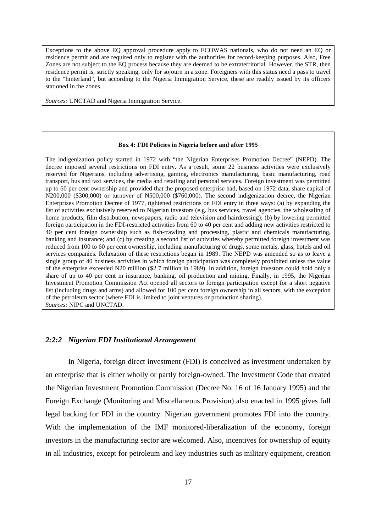Exceptions to the above EQ approval procedure apply to ECOWAS nationals, who do not need an EQ or residence permit and are required only to register with the authorities for record-keeping purposes. Also, Free Zones are not subject to the EQ process because they are deemed to be extraterritorial. However, the STR, then residence permit is, strictly speaking, only for sojourn in a zone. Foreigners with this status need a pass to travel to the "hinterland", but according to the Nigeria Immigration Service, these are readily issued by its officers stationed in the zones.

*Sources:* UNCTAD and Nigeria Immigration Service.

#### **Box 4: FDI Policies in Nigeria before and after 1995**

The indigenization policy started in 1972 with "the Nigerian Enterprises Promotion Decree" (NEPD). The decree imposed several restrictions on FDI entry. As a result, some 22 business activities were exclusively reserved for Nigerians, including advertising, gaming, electronics manufacturing, basic manufacturing, road transport, bus and taxi services, the media and retailing and personal services. Foreign investment was permitted up to 60 per cent ownership and provided that the proposed enterprise had, based on 1972 data, share capital of N200,000 (\$300,000) or turnover of N500,000 (\$760,000). The second indigenization decree, the Nigerian Enterprises Promotion Decree of 1977, tightened restrictions on FDI entry in three ways: (a) by expanding the list of activities exclusively reserved to Nigerian investors (e.g. bus services, travel agencies, the wholesaling of home products, film distribution, newspapers, radio and television and hairdressing); (b) by lowering permitted foreign participation in the FDI-restricted activities from 60 to 40 per cent and adding new activities restricted to 40 per cent foreign ownership such as fish-trawling and processing, plastic and chemicals manufacturing, banking and insurance; and (c) by creating a second list of activities whereby permitted foreign investment was reduced from 100 to 60 per cent ownership, including manufacturing of drugs, some metals, glass, hotels and oil services companies. Relaxation of these restrictions began in 1989. The NEPD was amended so as to leave a single group of 40 business activities in which foreign participation was completely prohibited unless the value of the enterprise exceeded N20 million (\$2.7 million in 1989). In addition, foreign investors could hold only a share of up to 40 per cent in insurance, banking, oil production and mining. Finally, in 1995, the Nigerian Investment Promotion Commission Act opened all sectors to foreign participation except for a short negative list (including drugs and arms) and allowed for 100 per cent foreign ownership in all sectors, with the exception of the petroleum sector (where FDI is limited to joint ventures or production sharing). *Sources:* NIPC and UNCTAD.

#### *2:2:2 Nigerian FDI Institutional Arrangement*

In Nigeria, foreign direct investment (FDI) is conceived as investment undertaken by an enterprise that is either wholly or partly foreign-owned. The Investment Code that created the Nigerian Investment Promotion Commission (Decree No. 16 of 16 January 1995) and the Foreign Exchange (Monitoring and Miscellaneous Provision) also enacted in 1995 gives full legal backing for FDI in the country. Nigerian government promotes FDI into the country. With the implementation of the IMF monitored-liberalization of the economy, foreign investors in the manufacturing sector are welcomed. Also, incentives for ownership of equity in all industries, except for petroleum and key industries such as military equipment, creation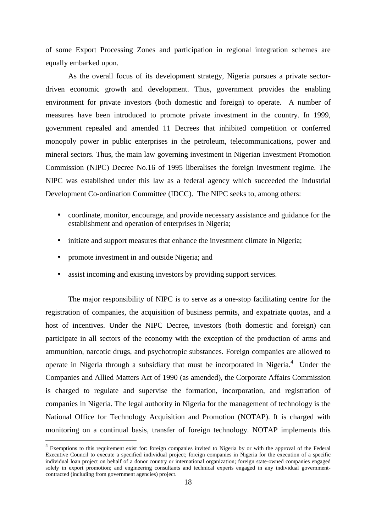of some Export Processing Zones and participation in regional integration schemes are equally embarked upon.

As the overall focus of its development strategy, Nigeria pursues a private sectordriven economic growth and development. Thus, government provides the enabling environment for private investors (both domestic and foreign) to operate. A number of measures have been introduced to promote private investment in the country. In 1999, government repealed and amended 11 Decrees that inhibited competition or conferred monopoly power in public enterprises in the petroleum, telecommunications, power and mineral sectors. Thus, the main law governing investment in Nigerian Investment Promotion Commission (NIPC) Decree No.16 of 1995 liberalises the foreign investment regime. The NIPC was established under this law as a federal agency which succeeded the Industrial Development Co-ordination Committee (IDCC). The NIPC seeks to, among others:

- coordinate, monitor, encourage, and provide necessary assistance and guidance for the establishment and operation of enterprises in Nigeria;
- initiate and support measures that enhance the investment climate in Nigeria;
- promote investment in and outside Nigeria; and

 $\overline{a}$ 

• assist incoming and existing investors by providing support services.

The major responsibility of NIPC is to serve as a one-stop facilitating centre for the registration of companies, the acquisition of business permits, and expatriate quotas, and a host of incentives. Under the NIPC Decree, investors (both domestic and foreign) can participate in all sectors of the economy with the exception of the production of arms and ammunition, narcotic drugs, and psychotropic substances. Foreign companies are allowed to operate in Nigeria through a subsidiary that must be incorporated in Nigeria.<sup>4</sup> Under the Companies and Allied Matters Act of 1990 (as amended), the Corporate Affairs Commission is charged to regulate and supervise the formation, incorporation, and registration of companies in Nigeria. The legal authority in Nigeria for the management of technology is the National Office for Technology Acquisition and Promotion (NOTAP). It is charged with monitoring on a continual basis, transfer of foreign technology. NOTAP implements this

<sup>&</sup>lt;sup>4</sup> Exemptions to this requirement exist for: foreign companies invited to Nigeria by or with the approval of the Federal Executive Council to execute a specified individual project; foreign companies in Nigeria for the execution of a specific individual loan project on behalf of a donor country or international organization; foreign state-owned companies engaged solely in export promotion; and engineering consultants and technical experts engaged in any individual governmentcontracted (including from government agencies) project.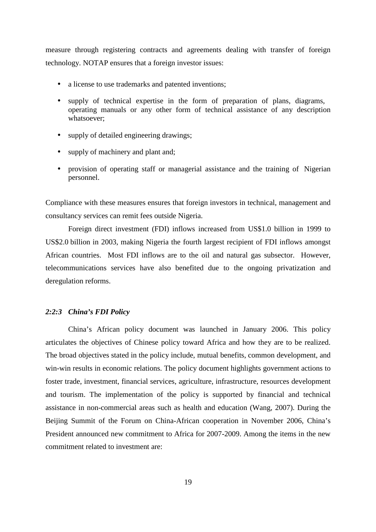measure through registering contracts and agreements dealing with transfer of foreign technology. NOTAP ensures that a foreign investor issues:

- a license to use trademarks and patented inventions;
- supply of technical expertise in the form of preparation of plans, diagrams, operating manuals or any other form of technical assistance of any description whatsoever;
- supply of detailed engineering drawings;
- supply of machinery and plant and;
- provision of operating staff or managerial assistance and the training of Nigerian personnel.

Compliance with these measures ensures that foreign investors in technical, management and consultancy services can remit fees outside Nigeria.

Foreign direct investment (FDI) inflows increased from US\$1.0 billion in 1999 to US\$2.0 billion in 2003, making Nigeria the fourth largest recipient of FDI inflows amongst African countries. Most FDI inflows are to the oil and natural gas subsector. However, telecommunications services have also benefited due to the ongoing privatization and deregulation reforms.

## *2:2:3 China's FDI Policy*

China's African policy document was launched in January 2006. This policy articulates the objectives of Chinese policy toward Africa and how they are to be realized. The broad objectives stated in the policy include, mutual benefits, common development, and win-win results in economic relations. The policy document highlights government actions to foster trade, investment, financial services, agriculture, infrastructure, resources development and tourism. The implementation of the policy is supported by financial and technical assistance in non-commercial areas such as health and education (Wang, 2007). During the Beijing Summit of the Forum on China-African cooperation in November 2006, China's President announced new commitment to Africa for 2007-2009. Among the items in the new commitment related to investment are: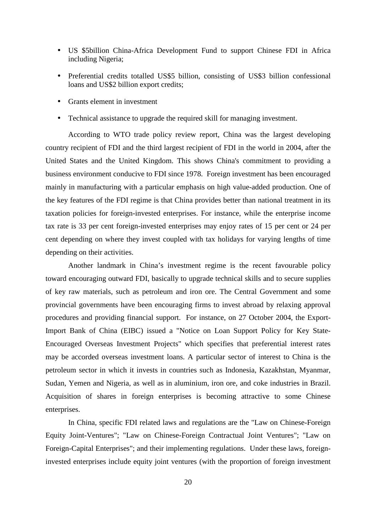- US \$5billion China-Africa Development Fund to support Chinese FDI in Africa including Nigeria;
- Preferential credits totalled US\$5 billion, consisting of US\$3 billion confessional loans and US\$2 billion export credits;
- Grants element in investment
- Technical assistance to upgrade the required skill for managing investment.

According to WTO trade policy review report, China was the largest developing country recipient of FDI and the third largest recipient of FDI in the world in 2004, after the United States and the United Kingdom. This shows China's commitment to providing a business environment conducive to FDI since 1978. Foreign investment has been encouraged mainly in manufacturing with a particular emphasis on high value-added production. One of the key features of the FDI regime is that China provides better than national treatment in its taxation policies for foreign-invested enterprises. For instance, while the enterprise income tax rate is 33 per cent foreign-invested enterprises may enjoy rates of 15 per cent or 24 per cent depending on where they invest coupled with tax holidays for varying lengths of time depending on their activities.

 Another landmark in China's investment regime is the recent favourable policy toward encouraging outward FDI, basically to upgrade technical skills and to secure supplies of key raw materials, such as petroleum and iron ore. The Central Government and some provincial governments have been encouraging firms to invest abroad by relaxing approval procedures and providing financial support. For instance, on 27 October 2004, the Export-Import Bank of China (EIBC) issued a "Notice on Loan Support Policy for Key State-Encouraged Overseas Investment Projects" which specifies that preferential interest rates may be accorded overseas investment loans. A particular sector of interest to China is the petroleum sector in which it invests in countries such as Indonesia, Kazakhstan, Myanmar, Sudan, Yemen and Nigeria, as well as in aluminium, iron ore, and coke industries in Brazil. Acquisition of shares in foreign enterprises is becoming attractive to some Chinese enterprises.

 In China, specific FDI related laws and regulations are the "Law on Chinese-Foreign Equity Joint-Ventures"; "Law on Chinese-Foreign Contractual Joint Ventures"; "Law on Foreign-Capital Enterprises"; and their implementing regulations. Under these laws, foreigninvested enterprises include equity joint ventures (with the proportion of foreign investment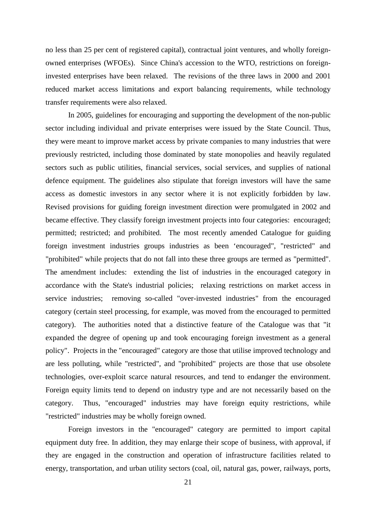no less than 25 per cent of registered capital), contractual joint ventures, and wholly foreignowned enterprises (WFOEs). Since China's accession to the WTO, restrictions on foreigninvested enterprises have been relaxed. The revisions of the three laws in 2000 and 2001 reduced market access limitations and export balancing requirements, while technology transfer requirements were also relaxed.

 In 2005, guidelines for encouraging and supporting the development of the non-public sector including individual and private enterprises were issued by the State Council. Thus, they were meant to improve market access by private companies to many industries that were previously restricted, including those dominated by state monopolies and heavily regulated sectors such as public utilities, financial services, social services, and supplies of national defence equipment. The guidelines also stipulate that foreign investors will have the same access as domestic investors in any sector where it is not explicitly forbidden by law. Revised provisions for guiding foreign investment direction were promulgated in 2002 and became effective. They classify foreign investment projects into four categories: encouraged; permitted; restricted; and prohibited. The most recently amended Catalogue for guiding foreign investment industries groups industries as been 'encouraged", "restricted" and "prohibited" while projects that do not fall into these three groups are termed as "permitted". The amendment includes: extending the list of industries in the encouraged category in accordance with the State's industrial policies; relaxing restrictions on market access in service industries; removing so-called "over-invested industries" from the encouraged category (certain steel processing, for example, was moved from the encouraged to permitted category). The authorities noted that a distinctive feature of the Catalogue was that "it expanded the degree of opening up and took encouraging foreign investment as a general policy". Projects in the "encouraged" category are those that utilise improved technology and are less polluting, while "restricted", and "prohibited" projects are those that use obsolete technologies, over-exploit scarce natural resources, and tend to endanger the environment. Foreign equity limits tend to depend on industry type and are not necessarily based on the category. Thus, "encouraged" industries may have foreign equity restrictions, while "restricted" industries may be wholly foreign owned.

 Foreign investors in the "encouraged" category are permitted to import capital equipment duty free. In addition, they may enlarge their scope of business, with approval, if they are engaged in the construction and operation of infrastructure facilities related to energy, transportation, and urban utility sectors (coal, oil, natural gas, power, railways, ports,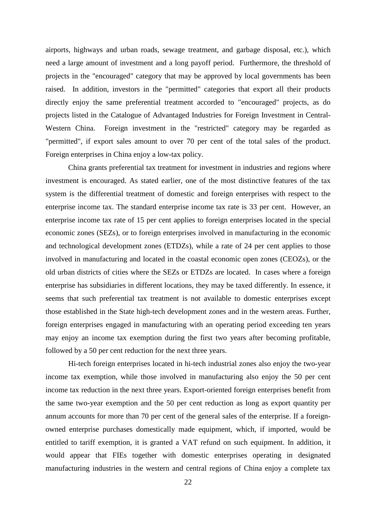airports, highways and urban roads, sewage treatment, and garbage disposal, etc.), which need a large amount of investment and a long payoff period. Furthermore, the threshold of projects in the "encouraged" category that may be approved by local governments has been raised. In addition, investors in the "permitted" categories that export all their products directly enjoy the same preferential treatment accorded to "encouraged" projects, as do projects listed in the Catalogue of Advantaged Industries for Foreign Investment in Central-Western China. Foreign investment in the "restricted" category may be regarded as "permitted", if export sales amount to over 70 per cent of the total sales of the product. Foreign enterprises in China enjoy a low-tax policy.

 China grants preferential tax treatment for investment in industries and regions where investment is encouraged. As stated earlier, one of the most distinctive features of the tax system is the differential treatment of domestic and foreign enterprises with respect to the enterprise income tax. The standard enterprise income tax rate is 33 per cent. However, an enterprise income tax rate of 15 per cent applies to foreign enterprises located in the special economic zones (SEZs), or to foreign enterprises involved in manufacturing in the economic and technological development zones (ETDZs), while a rate of 24 per cent applies to those involved in manufacturing and located in the coastal economic open zones (CEOZs), or the old urban districts of cities where the SEZs or ETDZs are located. In cases where a foreign enterprise has subsidiaries in different locations, they may be taxed differently. In essence, it seems that such preferential tax treatment is not available to domestic enterprises except those established in the State high-tech development zones and in the western areas. Further, foreign enterprises engaged in manufacturing with an operating period exceeding ten years may enjoy an income tax exemption during the first two years after becoming profitable, followed by a 50 per cent reduction for the next three years.

 Hi-tech foreign enterprises located in hi-tech industrial zones also enjoy the two-year income tax exemption, while those involved in manufacturing also enjoy the 50 per cent income tax reduction in the next three years. Export-oriented foreign enterprises benefit from the same two-year exemption and the 50 per cent reduction as long as export quantity per annum accounts for more than 70 per cent of the general sales of the enterprise. If a foreignowned enterprise purchases domestically made equipment, which, if imported, would be entitled to tariff exemption, it is granted a VAT refund on such equipment. In addition, it would appear that FIEs together with domestic enterprises operating in designated manufacturing industries in the western and central regions of China enjoy a complete tax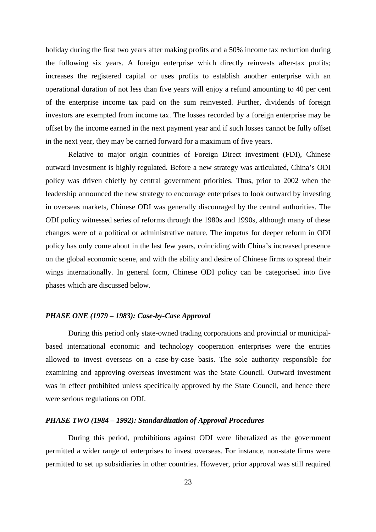holiday during the first two years after making profits and a 50% income tax reduction during the following six years. A foreign enterprise which directly reinvests after-tax profits; increases the registered capital or uses profits to establish another enterprise with an operational duration of not less than five years will enjoy a refund amounting to 40 per cent of the enterprise income tax paid on the sum reinvested. Further, dividends of foreign investors are exempted from income tax. The losses recorded by a foreign enterprise may be offset by the income earned in the next payment year and if such losses cannot be fully offset in the next year, they may be carried forward for a maximum of five years.

Relative to major origin countries of Foreign Direct investment (FDI), Chinese outward investment is highly regulated. Before a new strategy was articulated, China's ODI policy was driven chiefly by central government priorities. Thus, prior to 2002 when the leadership announced the new strategy to encourage enterprises to look outward by investing in overseas markets, Chinese ODI was generally discouraged by the central authorities. The ODI policy witnessed series of reforms through the 1980s and 1990s, although many of these changes were of a political or administrative nature. The impetus for deeper reform in ODI policy has only come about in the last few years, coinciding with China's increased presence on the global economic scene, and with the ability and desire of Chinese firms to spread their wings internationally. In general form, Chinese ODI policy can be categorised into five phases which are discussed below.

## *PHASE ONE (1979 – 1983): Case-by-Case Approval*

During this period only state-owned trading corporations and provincial or municipalbased international economic and technology cooperation enterprises were the entities allowed to invest overseas on a case-by-case basis. The sole authority responsible for examining and approving overseas investment was the State Council. Outward investment was in effect prohibited unless specifically approved by the State Council, and hence there were serious regulations on ODI.

#### *PHASE TWO (1984 – 1992): Standardization of Approval Procedures*

During this period, prohibitions against ODI were liberalized as the government permitted a wider range of enterprises to invest overseas. For instance, non-state firms were permitted to set up subsidiaries in other countries. However, prior approval was still required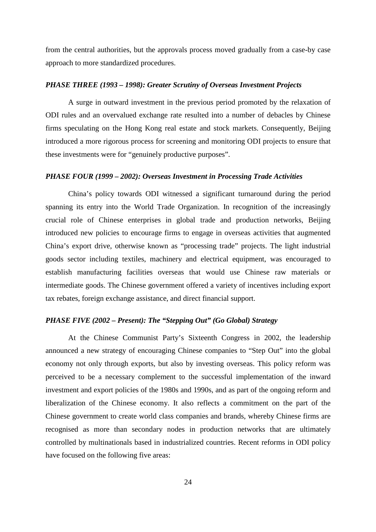from the central authorities, but the approvals process moved gradually from a case-by case approach to more standardized procedures.

#### *PHASE THREE (1993 – 1998): Greater Scrutiny of Overseas Investment Projects*

A surge in outward investment in the previous period promoted by the relaxation of ODI rules and an overvalued exchange rate resulted into a number of debacles by Chinese firms speculating on the Hong Kong real estate and stock markets. Consequently, Beijing introduced a more rigorous process for screening and monitoring ODI projects to ensure that these investments were for "genuinely productive purposes".

#### *PHASE FOUR (1999 – 2002): Overseas Investment in Processing Trade Activities*

China's policy towards ODI witnessed a significant turnaround during the period spanning its entry into the World Trade Organization. In recognition of the increasingly crucial role of Chinese enterprises in global trade and production networks, Beijing introduced new policies to encourage firms to engage in overseas activities that augmented China's export drive, otherwise known as "processing trade" projects. The light industrial goods sector including textiles, machinery and electrical equipment, was encouraged to establish manufacturing facilities overseas that would use Chinese raw materials or intermediate goods. The Chinese government offered a variety of incentives including export tax rebates, foreign exchange assistance, and direct financial support.

#### *PHASE FIVE (2002 – Present): The "Stepping Out" (Go Global) Strategy*

At the Chinese Communist Party's Sixteenth Congress in 2002, the leadership announced a new strategy of encouraging Chinese companies to "Step Out" into the global economy not only through exports, but also by investing overseas. This policy reform was perceived to be a necessary complement to the successful implementation of the inward investment and export policies of the 1980s and 1990s, and as part of the ongoing reform and liberalization of the Chinese economy. It also reflects a commitment on the part of the Chinese government to create world class companies and brands, whereby Chinese firms are recognised as more than secondary nodes in production networks that are ultimately controlled by multinationals based in industrialized countries. Recent reforms in ODI policy have focused on the following five areas: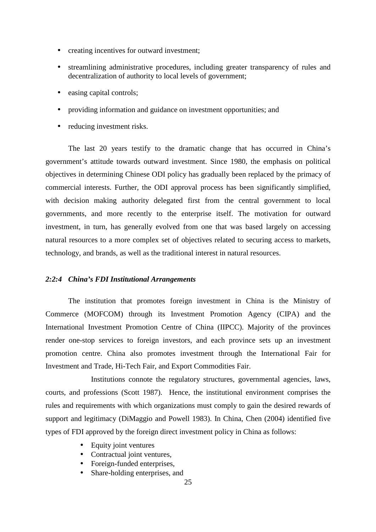- creating incentives for outward investment;
- streamlining administrative procedures, including greater transparency of rules and decentralization of authority to local levels of government;
- easing capital controls;
- providing information and guidance on investment opportunities; and
- reducing investment risks.

The last 20 years testify to the dramatic change that has occurred in China's government's attitude towards outward investment. Since 1980, the emphasis on political objectives in determining Chinese ODI policy has gradually been replaced by the primacy of commercial interests. Further, the ODI approval process has been significantly simplified, with decision making authority delegated first from the central government to local governments, and more recently to the enterprise itself. The motivation for outward investment, in turn, has generally evolved from one that was based largely on accessing natural resources to a more complex set of objectives related to securing access to markets, technology, and brands, as well as the traditional interest in natural resources.

#### *2:2:4 China's FDI Institutional Arrangements*

 The institution that promotes foreign investment in China is the Ministry of Commerce (MOFCOM) through its Investment Promotion Agency (CIPA) and the International Investment Promotion Centre of China (IIPCC). Majority of the provinces render one-stop services to foreign investors, and each province sets up an investment promotion centre. China also promotes investment through the International Fair for Investment and Trade, Hi-Tech Fair, and Export Commodities Fair.

 Institutions connote the regulatory structures, governmental agencies, laws, courts, and professions (Scott 1987). Hence, the institutional environment comprises the rules and requirements with which organizations must comply to gain the desired rewards of support and legitimacy (DiMaggio and Powell 1983). In China, Chen (2004) identified five types of FDI approved by the foreign direct investment policy in China as follows:

- Equity joint ventures
- Contractual joint ventures,
- Foreign-funded enterprises,
- Share-holding enterprises, and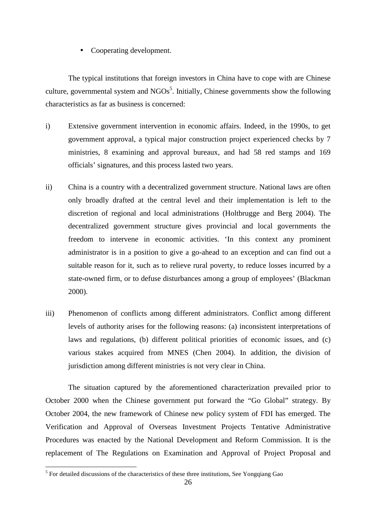• Cooperating development.

The typical institutions that foreign investors in China have to cope with are Chinese culture, governmental system and  $NGOs<sup>5</sup>$ . Initially, Chinese governments show the following characteristics as far as business is concerned:

- i) Extensive government intervention in economic affairs. Indeed, in the 1990s, to get government approval, a typical major construction project experienced checks by 7 ministries, 8 examining and approval bureaux, and had 58 red stamps and 169 officials' signatures, and this process lasted two years.
- ii) China is a country with a decentralized government structure. National laws are often only broadly drafted at the central level and their implementation is left to the discretion of regional and local administrations (Holtbrugge and Berg 2004). The decentralized government structure gives provincial and local governments the freedom to intervene in economic activities. 'In this context any prominent administrator is in a position to give a go-ahead to an exception and can find out a suitable reason for it, such as to relieve rural poverty, to reduce losses incurred by a state-owned firm, or to defuse disturbances among a group of employees' (Blackman 2000).
- iii) Phenomenon of conflicts among different administrators. Conflict among different levels of authority arises for the following reasons: (a) inconsistent interpretations of laws and regulations, (b) different political priorities of economic issues, and (c) various stakes acquired from MNES (Chen 2004). In addition, the division of jurisdiction among different ministries is not very clear in China.

The situation captured by the aforementioned characterization prevailed prior to October 2000 when the Chinese government put forward the "Go Global" strategy. By October 2004, the new framework of Chinese new policy system of FDI has emerged. The Verification and Approval of Overseas Investment Projects Tentative Administrative Procedures was enacted by the National Development and Reform Commission. It is the replacement of The Regulations on Examination and Approval of Project Proposal and

<sup>&</sup>lt;sup>5</sup> For detailed discussions of the characteristics of these three institutions, See Yongqiang Gao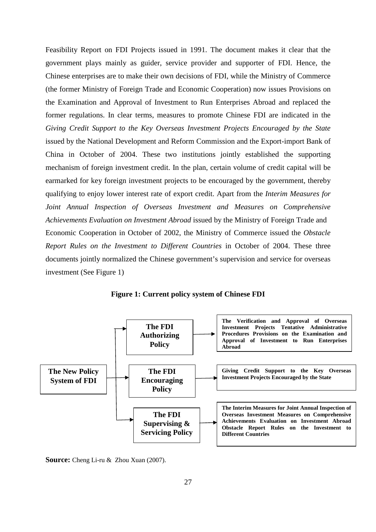Feasibility Report on FDI Projects issued in 1991. The document makes it clear that the government plays mainly as guider, service provider and supporter of FDI. Hence, the Chinese enterprises are to make their own decisions of FDI, while the Ministry of Commerce (the former Ministry of Foreign Trade and Economic Cooperation) now issues Provisions on the Examination and Approval of Investment to Run Enterprises Abroad and replaced the former regulations. In clear terms, measures to promote Chinese FDI are indicated in the *Giving Credit Support to the Key Overseas Investment Projects Encouraged by the State*  issued by the National Development and Reform Commission and the Export-import Bank of China in October of 2004. These two institutions jointly established the supporting mechanism of foreign investment credit. In the plan, certain volume of credit capital will be earmarked for key foreign investment projects to be encouraged by the government, thereby qualifying to enjoy lower interest rate of export credit. Apart from the *Interim Measures for Joint Annual Inspection of Overseas Investment and Measures on Comprehensive Achievements Evaluation on Investment Abroad* issued by the Ministry of Foreign Trade and Economic Cooperation in October of 2002, the Ministry of Commerce issued the *Obstacle Report Rules on the Investment to Different Countries* in October of 2004. These three documents jointly normalized the Chinese government's supervision and service for overseas investment (See Figure 1)





**Source:** Cheng Li-ru & Zhou Xuan (2007).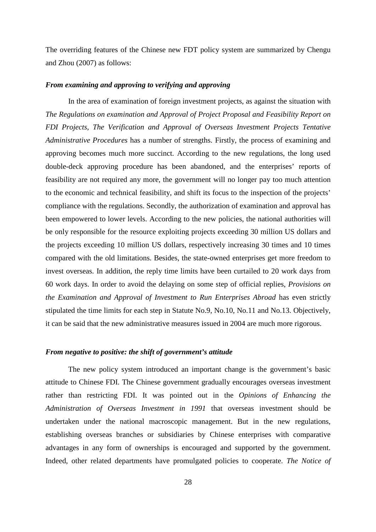The overriding features of the Chinese new FDT policy system are summarized by Chengu and Zhou (2007) as follows:

#### *From examining and approving to verifying and approving*

In the area of examination of foreign investment projects, as against the situation with *The Regulations on examination and Approval of Project Proposal and Feasibility Report on FDI Projects*, *The Verification and Approval of Overseas Investment Projects Tentative Administrative Procedures* has a number of strengths. Firstly, the process of examining and approving becomes much more succinct. According to the new regulations, the long used double-deck approving procedure has been abandoned, and the enterprises' reports of feasibility are not required any more, the government will no longer pay too much attention to the economic and technical feasibility, and shift its focus to the inspection of the projects' compliance with the regulations. Secondly, the authorization of examination and approval has been empowered to lower levels. According to the new policies, the national authorities will be only responsible for the resource exploiting projects exceeding 30 million US dollars and the projects exceeding 10 million US dollars, respectively increasing 30 times and 10 times compared with the old limitations. Besides, the state-owned enterprises get more freedom to invest overseas. In addition, the reply time limits have been curtailed to 20 work days from 60 work days. In order to avoid the delaying on some step of official replies, *Provisions on the Examination and Approval of Investment to Run Enterprises Abroad has even strictly* stipulated the time limits for each step in Statute No.9, No.10, No.11 and No.13. Objectively, it can be said that the new administrative measures issued in 2004 are much more rigorous.

#### *From negative to positive: the shift of government's attitude*

The new policy system introduced an important change is the government's basic attitude to Chinese FDI. The Chinese government gradually encourages overseas investment rather than restricting FDI. It was pointed out in the *Opinions of Enhancing the Administration of Overseas Investment in 1991* that overseas investment should be undertaken under the national macroscopic management. But in the new regulations, establishing overseas branches or subsidiaries by Chinese enterprises with comparative advantages in any form of ownerships is encouraged and supported by the government. Indeed, other related departments have promulgated policies to cooperate. *The Notice of*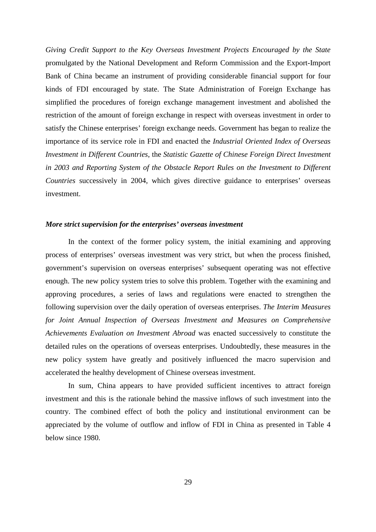*Giving Credit Support to the Key Overseas Investment Projects Encouraged by the State*  promulgated by the National Development and Reform Commission and the Export-Import Bank of China became an instrument of providing considerable financial support for four kinds of FDI encouraged by state. The State Administration of Foreign Exchange has simplified the procedures of foreign exchange management investment and abolished the restriction of the amount of foreign exchange in respect with overseas investment in order to satisfy the Chinese enterprises' foreign exchange needs. Government has began to realize the importance of its service role in FDI and enacted the *Industrial Oriented Index of Overseas Investment in Different Countries*, the *Statistic Gazette of Chinese Foreign Direct Investment in 2003 and Reporting System of the Obstacle Report Rules on the Investment to Different Countries* successively in 2004, which gives directive guidance to enterprises' overseas investment.

### *More strict supervision for the enterprises' overseas investment*

In the context of the former policy system, the initial examining and approving process of enterprises' overseas investment was very strict, but when the process finished, government's supervision on overseas enterprises' subsequent operating was not effective enough. The new policy system tries to solve this problem. Together with the examining and approving procedures, a series of laws and regulations were enacted to strengthen the following supervision over the daily operation of overseas enterprises. *The Interim Measures for Joint Annual Inspection of Overseas Investment and Measures on Comprehensive Achievements Evaluation on Investment Abroad* was enacted successively to constitute the detailed rules on the operations of overseas enterprises. Undoubtedly, these measures in the new policy system have greatly and positively influenced the macro supervision and accelerated the healthy development of Chinese overseas investment.

In sum, China appears to have provided sufficient incentives to attract foreign investment and this is the rationale behind the massive inflows of such investment into the country. The combined effect of both the policy and institutional environment can be appreciated by the volume of outflow and inflow of FDI in China as presented in Table 4 below since 1980.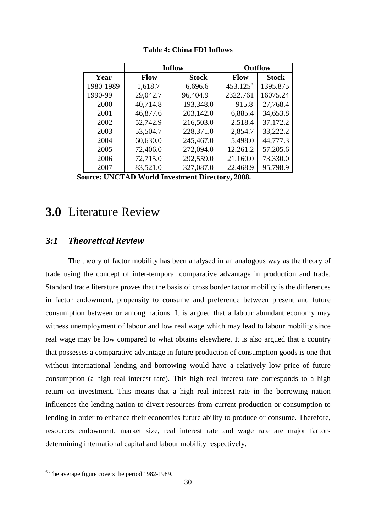|                                                                                                                                                   |             | <b>Inflow</b> | <b>Outflow</b> |              |  |  |  |  |
|---------------------------------------------------------------------------------------------------------------------------------------------------|-------------|---------------|----------------|--------------|--|--|--|--|
| Year                                                                                                                                              | <b>Flow</b> | <b>Stock</b>  | <b>Flow</b>    | <b>Stock</b> |  |  |  |  |
| 1980-1989                                                                                                                                         | 1,618.7     | 6,696.6       | $453.125^6$    | 1395.875     |  |  |  |  |
| 1990-99                                                                                                                                           | 29,042.7    | 96,404.9      | 2322.761       | 16075.24     |  |  |  |  |
| 2000                                                                                                                                              | 40,714.8    | 193,348.0     | 915.8          | 27,768.4     |  |  |  |  |
| 2001                                                                                                                                              | 46,877.6    | 203,142.0     | 6,885.4        | 34,653.8     |  |  |  |  |
| 2002                                                                                                                                              | 52,742.9    | 216,503.0     | 2,518.4        | 37,172.2     |  |  |  |  |
| 2003                                                                                                                                              | 53,504.7    | 228,371.0     | 2,854.7        | 33,222.2     |  |  |  |  |
| 2004                                                                                                                                              | 60,630.0    | 245,467.0     | 5,498.0        | 44,777.3     |  |  |  |  |
| 2005                                                                                                                                              | 72,406.0    | 272,094.0     | 12,261.2       | 57,205.6     |  |  |  |  |
| 2006                                                                                                                                              | 72,715.0    | 292,559.0     | 21,160.0       | 73,330.0     |  |  |  |  |
| 2007                                                                                                                                              | 83,521.0    | 327,087.0     | 22,468.9       | 95,798.9     |  |  |  |  |
| ANAO<br><b>TIMOTAIN WELLT</b><br>and a second the contract of the second state of the second state of the second state of the second state of the |             |               |                |              |  |  |  |  |

#### **Table 4: China FDI Inflows**

 **Source: UNCTAD World Investment Directory, 2008.** 

# **3.0** Literature Review

## 3:1 Theoretical Review

The theory of factor mobility has been analysed in an analogous way as the theory of trade using the concept of inter-temporal comparative advantage in production and trade. Standard trade literature proves that the basis of cross border factor mobility is the differences in factor endowment, propensity to consume and preference between present and future consumption between or among nations. It is argued that a labour abundant economy may witness unemployment of labour and low real wage which may lead to labour mobility since real wage may be low compared to what obtains elsewhere. It is also argued that a country that possesses a comparative advantage in future production of consumption goods is one that without international lending and borrowing would have a relatively low price of future consumption (a high real interest rate). This high real interest rate corresponds to a high return on investment. This means that a high real interest rate in the borrowing nation influences the lending nation to divert resources from current production or consumption to lending in order to enhance their economies future ability to produce or consume. Therefore, resources endowment, market size, real interest rate and wage rate are major factors determining international capital and labour mobility respectively.

 6 The average figure covers the period 1982-1989.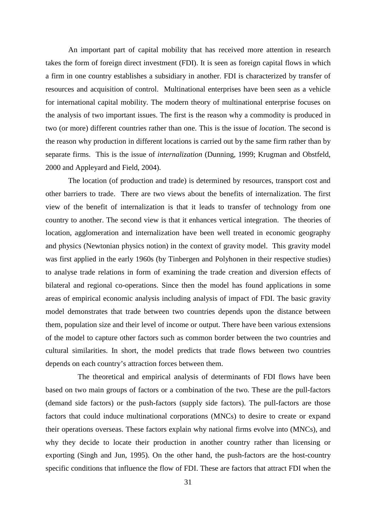An important part of capital mobility that has received more attention in research takes the form of foreign direct investment (FDI). It is seen as foreign capital flows in which a firm in one country establishes a subsidiary in another. FDI is characterized by transfer of resources and acquisition of control. Multinational enterprises have been seen as a vehicle for international capital mobility. The modern theory of multinational enterprise focuses on the analysis of two important issues. The first is the reason why a commodity is produced in two (or more) different countries rather than one. This is the issue of *location*. The second is the reason why production in different locations is carried out by the same firm rather than by separate firms. This is the issue of *internalization* (Dunning, 1999; Krugman and Obstfeld, 2000 and Appleyard and Field, 2004).

The location (of production and trade) is determined by resources, transport cost and other barriers to trade. There are two views about the benefits of internalization. The first view of the benefit of internalization is that it leads to transfer of technology from one country to another. The second view is that it enhances vertical integration. The theories of location, agglomeration and internalization have been well treated in economic geography and physics (Newtonian physics notion) in the context of gravity model. This gravity model was first applied in the early 1960s (by Tinbergen and Polyhonen in their respective studies) to analyse trade relations in form of examining the trade creation and diversion effects of bilateral and regional co-operations. Since then the model has found applications in some areas of empirical economic analysis including analysis of impact of FDI. The basic gravity model demonstrates that trade between two countries depends upon the distance between them, population size and their level of income or output. There have been various extensions of the model to capture other factors such as common border between the two countries and cultural similarities. In short, the model predicts that trade flows between two countries depends on each country's attraction forces between them.

 The theoretical and empirical analysis of determinants of FDI flows have been based on two main groups of factors or a combination of the two. These are the pull-factors (demand side factors) or the push-factors (supply side factors). The pull-factors are those factors that could induce multinational corporations (MNCs) to desire to create or expand their operations overseas. These factors explain why national firms evolve into (MNCs), and why they decide to locate their production in another country rather than licensing or exporting (Singh and Jun, 1995). On the other hand, the push-factors are the host-country specific conditions that influence the flow of FDI. These are factors that attract FDI when the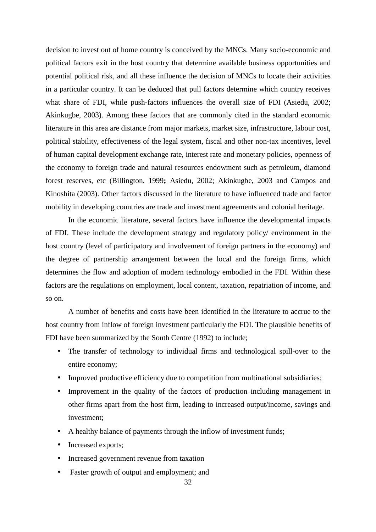decision to invest out of home country is conceived by the MNCs. Many socio-economic and political factors exit in the host country that determine available business opportunities and potential political risk, and all these influence the decision of MNCs to locate their activities in a particular country. It can be deduced that pull factors determine which country receives what share of FDI, while push-factors influences the overall size of FDI (Asiedu, 2002; Akinkugbe, 2003). Among these factors that are commonly cited in the standard economic literature in this area are distance from major markets, market size, infrastructure, labour cost, political stability, effectiveness of the legal system, fiscal and other non-tax incentives, level of human capital development exchange rate, interest rate and monetary policies, openness of the economy to foreign trade and natural resources endowment such as petroleum, diamond forest reserves, etc (Billington, 1999**;** Asiedu, 2002; Akinkugbe, 2003 and Campos and Kinoshita (2003). Other factors discussed in the literature to have influenced trade and factor mobility in developing countries are trade and investment agreements and colonial heritage.

In the economic literature, several factors have influence the developmental impacts of FDI. These include the development strategy and regulatory policy/ environment in the host country (level of participatory and involvement of foreign partners in the economy) and the degree of partnership arrangement between the local and the foreign firms, which determines the flow and adoption of modern technology embodied in the FDI. Within these factors are the regulations on employment, local content, taxation, repatriation of income, and so on.

 A number of benefits and costs have been identified in the literature to accrue to the host country from inflow of foreign investment particularly the FDI. The plausible benefits of FDI have been summarized by the South Centre (1992) to include;

- The transfer of technology to individual firms and technological spill-over to the entire economy;
- Improved productive efficiency due to competition from multinational subsidiaries;
- Improvement in the quality of the factors of production including management in other firms apart from the host firm, leading to increased output/income, savings and investment;
- A healthy balance of payments through the inflow of investment funds;
- Increased exports;
- Increased government revenue from taxation
- Faster growth of output and employment; and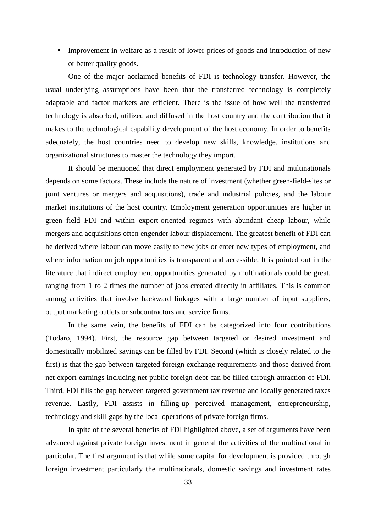• Improvement in welfare as a result of lower prices of goods and introduction of new or better quality goods.

One of the major acclaimed benefits of FDI is technology transfer. However, the usual underlying assumptions have been that the transferred technology is completely adaptable and factor markets are efficient. There is the issue of how well the transferred technology is absorbed, utilized and diffused in the host country and the contribution that it makes to the technological capability development of the host economy. In order to benefits adequately, the host countries need to develop new skills, knowledge, institutions and organizational structures to master the technology they import.

It should be mentioned that direct employment generated by FDI and multinationals depends on some factors. These include the nature of investment (whether green-field-sites or joint ventures or mergers and acquisitions), trade and industrial policies, and the labour market institutions of the host country. Employment generation opportunities are higher in green field FDI and within export-oriented regimes with abundant cheap labour, while mergers and acquisitions often engender labour displacement. The greatest benefit of FDI can be derived where labour can move easily to new jobs or enter new types of employment, and where information on job opportunities is transparent and accessible. It is pointed out in the literature that indirect employment opportunities generated by multinationals could be great, ranging from 1 to 2 times the number of jobs created directly in affiliates. This is common among activities that involve backward linkages with a large number of input suppliers, output marketing outlets or subcontractors and service firms.

In the same vein, the benefits of FDI can be categorized into four contributions (Todaro, 1994). First, the resource gap between targeted or desired investment and domestically mobilized savings can be filled by FDI. Second (which is closely related to the first) is that the gap between targeted foreign exchange requirements and those derived from net export earnings including net public foreign debt can be filled through attraction of FDI. Third, FDI fills the gap between targeted government tax revenue and locally generated taxes revenue. Lastly, FDI assists in filling-up perceived management, entrepreneurship, technology and skill gaps by the local operations of private foreign firms.

In spite of the several benefits of FDI highlighted above, a set of arguments have been advanced against private foreign investment in general the activities of the multinational in particular. The first argument is that while some capital for development is provided through foreign investment particularly the multinationals, domestic savings and investment rates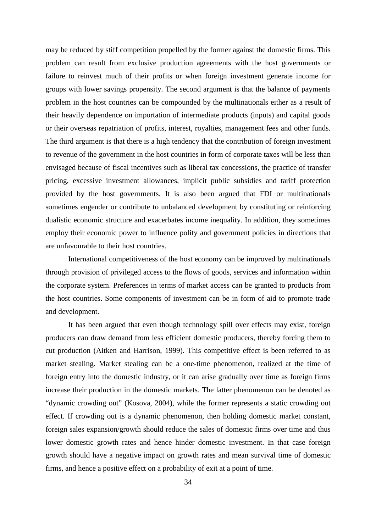may be reduced by stiff competition propelled by the former against the domestic firms. This problem can result from exclusive production agreements with the host governments or failure to reinvest much of their profits or when foreign investment generate income for groups with lower savings propensity. The second argument is that the balance of payments problem in the host countries can be compounded by the multinationals either as a result of their heavily dependence on importation of intermediate products (inputs) and capital goods or their overseas repatriation of profits, interest, royalties, management fees and other funds. The third argument is that there is a high tendency that the contribution of foreign investment to revenue of the government in the host countries in form of corporate taxes will be less than envisaged because of fiscal incentives such as liberal tax concessions, the practice of transfer pricing, excessive investment allowances, implicit public subsidies and tariff protection provided by the host governments. It is also been argued that FDI or multinationals sometimes engender or contribute to unbalanced development by constituting or reinforcing dualistic economic structure and exacerbates income inequality. In addition, they sometimes employ their economic power to influence polity and government policies in directions that are unfavourable to their host countries.

International competitiveness of the host economy can be improved by multinationals through provision of privileged access to the flows of goods, services and information within the corporate system. Preferences in terms of market access can be granted to products from the host countries. Some components of investment can be in form of aid to promote trade and development.

It has been argued that even though technology spill over effects may exist, foreign producers can draw demand from less efficient domestic producers, thereby forcing them to cut production (Aitken and Harrison, 1999). This competitive effect is been referred to as market stealing. Market stealing can be a one-time phenomenon, realized at the time of foreign entry into the domestic industry, or it can arise gradually over time as foreign firms increase their production in the domestic markets. The latter phenomenon can be denoted as "dynamic crowding out" (Kosova, 2004), while the former represents a static crowding out effect. If crowding out is a dynamic phenomenon, then holding domestic market constant, foreign sales expansion/growth should reduce the sales of domestic firms over time and thus lower domestic growth rates and hence hinder domestic investment. In that case foreign growth should have a negative impact on growth rates and mean survival time of domestic firms, and hence a positive effect on a probability of exit at a point of time.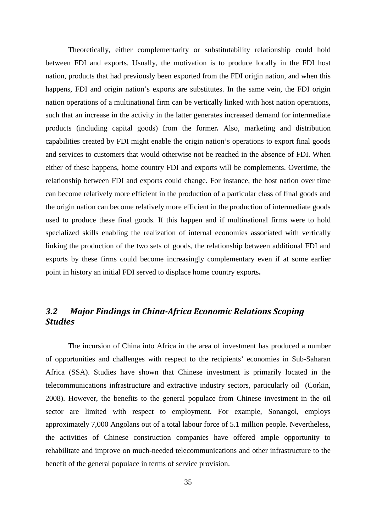Theoretically, either complementarity or substitutability relationship could hold between FDI and exports. Usually, the motivation is to produce locally in the FDI host nation, products that had previously been exported from the FDI origin nation, and when this happens, FDI and origin nation's exports are substitutes. In the same vein, the FDI origin nation operations of a multinational firm can be vertically linked with host nation operations, such that an increase in the activity in the latter generates increased demand for intermediate products (including capital goods) from the former**.** Also, marketing and distribution capabilities created by FDI might enable the origin nation's operations to export final goods and services to customers that would otherwise not be reached in the absence of FDI. When either of these happens, home country FDI and exports will be complements. Overtime, the relationship between FDI and exports could change. For instance, the host nation over time can become relatively more efficient in the production of a particular class of final goods and the origin nation can become relatively more efficient in the production of intermediate goods used to produce these final goods. If this happen and if multinational firms were to hold specialized skills enabling the realization of internal economies associated with vertically linking the production of the two sets of goods, the relationship between additional FDI and exports by these firms could become increasingly complementary even if at some earlier point in history an initial FDI served to displace home country exports**.** 

## 3.2 Major Findings in China-Africa Economic Relations Scoping **Studies**

The incursion of China into Africa in the area of investment has produced a number of opportunities and challenges with respect to the recipients' economies in Sub-Saharan Africa (SSA). Studies have shown that Chinese investment is primarily located in the telecommunications infrastructure and extractive industry sectors, particularly oil (Corkin, 2008). However, the benefits to the general populace from Chinese investment in the oil sector are limited with respect to employment. For example, Sonangol, employs approximately 7,000 Angolans out of a total labour force of 5.1 million people. Nevertheless, the activities of Chinese construction companies have offered ample opportunity to rehabilitate and improve on much-needed telecommunications and other infrastructure to the benefit of the general populace in terms of service provision.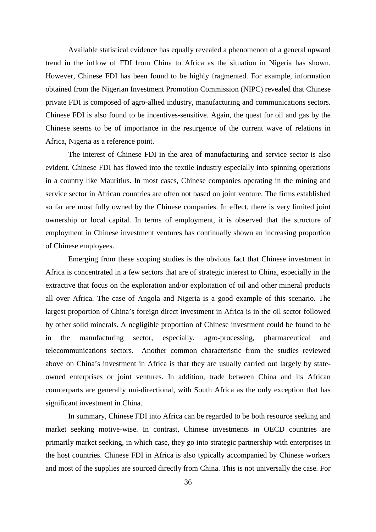Available statistical evidence has equally revealed a phenomenon of a general upward trend in the inflow of FDI from China to Africa as the situation in Nigeria has shown. However, Chinese FDI has been found to be highly fragmented. For example, information obtained from the Nigerian Investment Promotion Commission (NIPC) revealed that Chinese private FDI is composed of agro-allied industry, manufacturing and communications sectors. Chinese FDI is also found to be incentives-sensitive. Again, the quest for oil and gas by the Chinese seems to be of importance in the resurgence of the current wave of relations in Africa, Nigeria as a reference point.

The interest of Chinese FDI in the area of manufacturing and service sector is also evident. Chinese FDI has flowed into the textile industry especially into spinning operations in a country like Mauritius. In most cases, Chinese companies operating in the mining and service sector in African countries are often not based on joint venture. The firms established so far are most fully owned by the Chinese companies. In effect, there is very limited joint ownership or local capital. In terms of employment, it is observed that the structure of employment in Chinese investment ventures has continually shown an increasing proportion of Chinese employees.

Emerging from these scoping studies is the obvious fact that Chinese investment in Africa is concentrated in a few sectors that are of strategic interest to China, especially in the extractive that focus on the exploration and/or exploitation of oil and other mineral products all over Africa. The case of Angola and Nigeria is a good example of this scenario. The largest proportion of China's foreign direct investment in Africa is in the oil sector followed by other solid minerals. A negligible proportion of Chinese investment could be found to be in the manufacturing sector, especially, agro-processing, pharmaceutical and telecommunications sectors. Another common characteristic from the studies reviewed above on China's investment in Africa is that they are usually carried out largely by stateowned enterprises or joint ventures. In addition, trade between China and its African counterparts are generally uni-directional, with South Africa as the only exception that has significant investment in China.

In summary, Chinese FDI into Africa can be regarded to be both resource seeking and market seeking motive-wise. In contrast, Chinese investments in OECD countries are primarily market seeking, in which case, they go into strategic partnership with enterprises in the host countries. Chinese FDI in Africa is also typically accompanied by Chinese workers and most of the supplies are sourced directly from China. This is not universally the case. For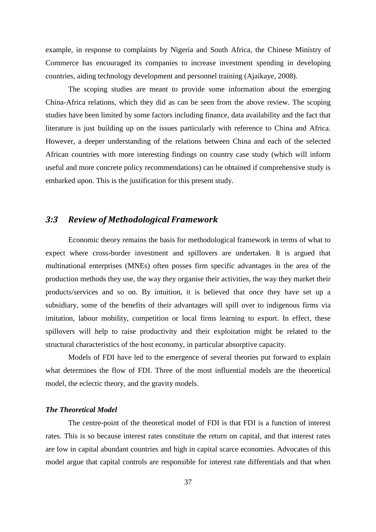example, in response to complaints by Nigeria and South Africa, the Chinese Ministry of Commerce has encouraged its companies to increase investment spending in developing countries, aiding technology development and personnel training (Ajaikaye, 2008).

 The scoping studies are meant to provide some information about the emerging China-Africa relations, which they did as can be seen from the above review. The scoping studies have been limited by some factors including finance, data availability and the fact that literature is just building up on the issues particularly with reference to China and Africa. However, a deeper understanding of the relations between China and each of the selected African countries with more interesting findings on country case study (which will inform useful and more concrete policy recommendations) can be obtained if comprehensive study is embarked upon. This is the justification for this present study.

# 3:3 Review of Methodological Framework

 Economic theory remains the basis for methodological framework in terms of what to expect where cross-border investment and spillovers are undertaken. It is argued that multinational enterprises (MNEs) often posses firm specific advantages in the area of the production methods they use, the way they organise their activities, the way they market their products/services and so on. By intuition, it is believed that once they have set up a subsidiary, some of the benefits of their advantages will spill over to indigenous firms via imitation, labour mobility, competition or local firms learning to export. In effect, these spillovers will help to raise productivity and their exploitation might be related to the structural characteristics of the host economy, in particular absorptive capacity.

 Models of FDI have led to the emergence of several theories put forward to explain what determines the flow of FDI. Three of the most influential models are the theoretical model, the eclectic theory, and the gravity models.

#### *The Theoretical Model*

The centre-point of the theoretical model of FDI is that FDI is a function of interest rates. This is so because interest rates constitute the return on capital, and that interest rates are low in capital abundant countries and high in capital scarce economies. Advocates of this model argue that capital controls are responsible for interest rate differentials and that when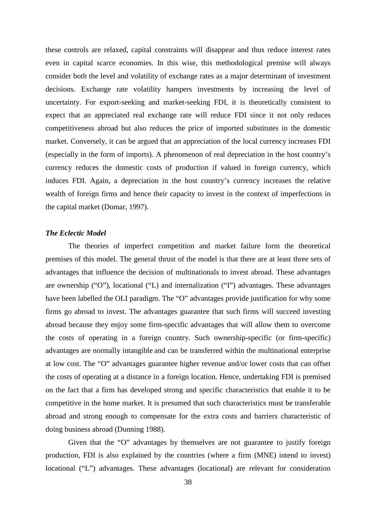these controls are relaxed, capital constraints will disappear and thus reduce interest rates even in capital scarce economies. In this wise, this methodological premise will always consider both the level and volatility of exchange rates as a major determinant of investment decisions. Exchange rate volatility hampers investments by increasing the level of uncertainty. For export-seeking and market-seeking FDI, it is theoretically consistent to expect that an appreciated real exchange rate will reduce FDI since it not only reduces competitiveness abroad but also reduces the price of imported substitutes in the domestic market. Conversely, it can be argued that an appreciation of the local currency increases FDI (especially in the form of imports). A phenomenon of real depreciation in the host country's currency reduces the domestic costs of production if valued in foreign currency, which induces FDI. Again, a depreciation in the host country's currency increases the relative wealth of foreign firms and hence their capacity to invest in the context of imperfections in the capital market (Domar, 1997).

#### *The Eclectic Model*

The theories of imperfect competition and market failure form the theoretical premises of this model. The general thrust of the model is that there are at least three sets of advantages that influence the decision of multinationals to invest abroad. These advantages are ownership ("O"), locational ("L) and internalization ("I") advantages. These advantages have been labelled the OLI paradigm. The "O" advantages provide justification for why some firms go abroad to invest. The advantages guarantee that such firms will succeed investing abroad because they enjoy some firm-specific advantages that will allow them to overcome the costs of operating in a foreign country. Such ownership-specific (or firm-specific) advantages are normally intangible and can be transferred within the multinational enterprise at low cost. The "O" advantages guarantee higher revenue and/or lower costs that can offset the costs of operating at a distance in a foreign location. Hence, undertaking FDI is premised on the fact that a firm has developed strong and specific characteristics that enable it to be competitive in the home market. It is presumed that such characteristics must be transferable abroad and strong enough to compensate for the extra costs and barriers characteristic of doing business abroad (Dunning 1988).

Given that the "O" advantages by themselves are not guarantee to justify foreign production, FDI is also explained by the countries (where a firm (MNE) intend to invest) locational ("L") advantages. These advantages (locational) are relevant for consideration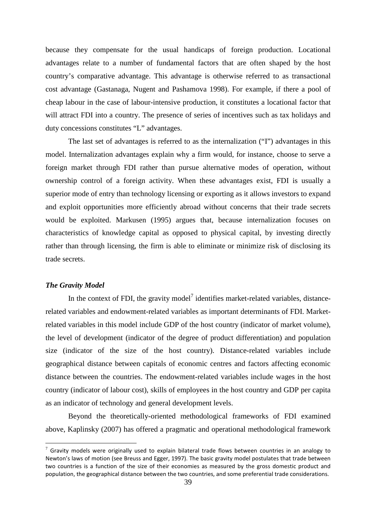because they compensate for the usual handicaps of foreign production. Locational advantages relate to a number of fundamental factors that are often shaped by the host country's comparative advantage. This advantage is otherwise referred to as transactional cost advantage (Gastanaga, Nugent and Pashamova 1998). For example, if there a pool of cheap labour in the case of labour-intensive production, it constitutes a locational factor that will attract FDI into a country. The presence of series of incentives such as tax holidays and duty concessions constitutes "L" advantages.

The last set of advantages is referred to as the internalization ("I") advantages in this model. Internalization advantages explain why a firm would, for instance, choose to serve a foreign market through FDI rather than pursue alternative modes of operation, without ownership control of a foreign activity. When these advantages exist, FDI is usually a superior mode of entry than technology licensing or exporting as it allows investors to expand and exploit opportunities more efficiently abroad without concerns that their trade secrets would be exploited. Markusen (1995) argues that, because internalization focuses on characteristics of knowledge capital as opposed to physical capital, by investing directly rather than through licensing, the firm is able to eliminate or minimize risk of disclosing its trade secrets.

#### *The Gravity Model*

 $\overline{a}$ 

In the context of FDI, the gravity model<sup>7</sup> identifies market-related variables, distancerelated variables and endowment-related variables as important determinants of FDI. Marketrelated variables in this model include GDP of the host country (indicator of market volume), the level of development (indicator of the degree of product differentiation) and population size (indicator of the size of the host country). Distance-related variables include geographical distance between capitals of economic centres and factors affecting economic distance between the countries. The endowment-related variables include wages in the host country (indicator of labour cost), skills of employees in the host country and GDP per capita as an indicator of technology and general development levels.

 Beyond the theoretically-oriented methodological frameworks of FDI examined above, Kaplinsky (2007) has offered a pragmatic and operational methodological framework

 $7$  Gravity models were originally used to explain bilateral trade flows between countries in an analogy to Newton's laws of motion (see Breuss and Egger, 1997). The basic gravity model postulates that trade between two countries is a function of the size of their economies as measured by the gross domestic product and population, the geographical distance between the two countries, and some preferential trade considerations.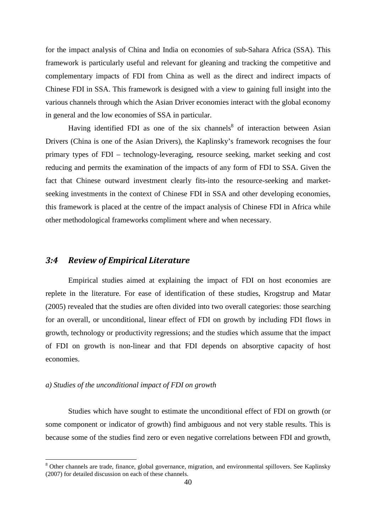for the impact analysis of China and India on economies of sub-Sahara Africa (SSA). This framework is particularly useful and relevant for gleaning and tracking the competitive and complementary impacts of FDI from China as well as the direct and indirect impacts of Chinese FDI in SSA. This framework is designed with a view to gaining full insight into the various channels through which the Asian Driver economies interact with the global economy in general and the low economies of SSA in particular.

Having identified FDI as one of the six channels<sup>8</sup> of interaction between Asian Drivers (China is one of the Asian Drivers), the Kaplinsky's framework recognises the four primary types of FDI – technology-leveraging, resource seeking, market seeking and cost reducing and permits the examination of the impacts of any form of FDI to SSA. Given the fact that Chinese outward investment clearly fits-into the resource-seeking and marketseeking investments in the context of Chinese FDI in SSA and other developing economies, this framework is placed at the centre of the impact analysis of Chinese FDI in Africa while other methodological frameworks compliment where and when necessary.

## 3:4 Review of Empirical Literature

Empirical studies aimed at explaining the impact of FDI on host economies are replete in the literature. For ease of identification of these studies, Krogstrup and Matar (2005) revealed that the studies are often divided into two overall categories: those searching for an overall, or unconditional, linear effect of FDI on growth by including FDI flows in growth, technology or productivity regressions; and the studies which assume that the impact of FDI on growth is non-linear and that FDI depends on absorptive capacity of host economies.

#### *a) Studies of the unconditional impact of FDI on growth*

 $\overline{a}$ 

Studies which have sought to estimate the unconditional effect of FDI on growth (or some component or indicator of growth) find ambiguous and not very stable results. This is because some of the studies find zero or even negative correlations between FDI and growth,

<sup>&</sup>lt;sup>8</sup> Other channels are trade, finance, global governance, migration, and environmental spillovers. See Kaplinsky (2007) for detailed discussion on each of these channels.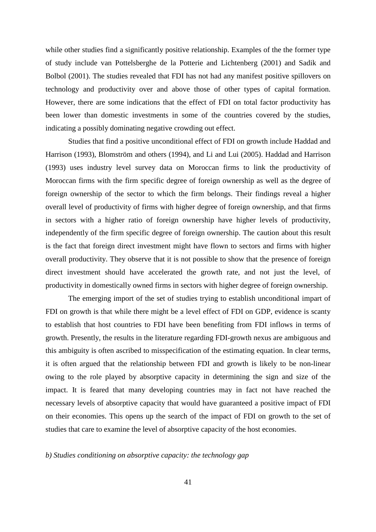while other studies find a significantly positive relationship. Examples of the the former type of study include van Pottelsberghe de la Potterie and Lichtenberg (2001) and Sadik and Bolbol (2001). The studies revealed that FDI has not had any manifest positive spillovers on technology and productivity over and above those of other types of capital formation. However, there are some indications that the effect of FDI on total factor productivity has been lower than domestic investments in some of the countries covered by the studies, indicating a possibly dominating negative crowding out effect.

Studies that find a positive unconditional effect of FDI on growth include Haddad and Harrison (1993), Blomström and others (1994), and Li and Lui (2005). Haddad and Harrison (1993) uses industry level survey data on Moroccan firms to link the productivity of Moroccan firms with the firm specific degree of foreign ownership as well as the degree of foreign ownership of the sector to which the firm belongs. Their findings reveal a higher overall level of productivity of firms with higher degree of foreign ownership, and that firms in sectors with a higher ratio of foreign ownership have higher levels of productivity, independently of the firm specific degree of foreign ownership. The caution about this result is the fact that foreign direct investment might have flown to sectors and firms with higher overall productivity. They observe that it is not possible to show that the presence of foreign direct investment should have accelerated the growth rate, and not just the level, of productivity in domestically owned firms in sectors with higher degree of foreign ownership.

The emerging import of the set of studies trying to establish unconditional impart of FDI on growth is that while there might be a level effect of FDI on GDP, evidence is scanty to establish that host countries to FDI have been benefiting from FDI inflows in terms of growth. Presently, the results in the literature regarding FDI-growth nexus are ambiguous and this ambiguity is often ascribed to misspecification of the estimating equation. In clear terms, it is often argued that the relationship between FDI and growth is likely to be non-linear owing to the role played by absorptive capacity in determining the sign and size of the impact. It is feared that many developing countries may in fact not have reached the necessary levels of absorptive capacity that would have guaranteed a positive impact of FDI on their economies. This opens up the search of the impact of FDI on growth to the set of studies that care to examine the level of absorptive capacity of the host economies.

#### *b) Studies conditioning on absorptive capacity: the technology gap*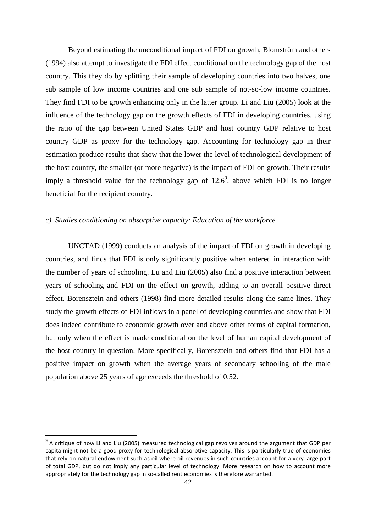Beyond estimating the unconditional impact of FDI on growth, Blomström and others (1994) also attempt to investigate the FDI effect conditional on the technology gap of the host country. This they do by splitting their sample of developing countries into two halves, one sub sample of low income countries and one sub sample of not-so-low income countries. They find FDI to be growth enhancing only in the latter group. Li and Liu (2005) look at the influence of the technology gap on the growth effects of FDI in developing countries, using the ratio of the gap between United States GDP and host country GDP relative to host country GDP as proxy for the technology gap. Accounting for technology gap in their estimation produce results that show that the lower the level of technological development of the host country, the smaller (or more negative) is the impact of FDI on growth. Their results imply a threshold value for the technology gap of  $12.6^{\circ}$ , above which FDI is no longer beneficial for the recipient country.

## *c) Studies conditioning on absorptive capacity: Education of the workforce*

UNCTAD (1999) conducts an analysis of the impact of FDI on growth in developing countries, and finds that FDI is only significantly positive when entered in interaction with the number of years of schooling. Lu and Liu (2005) also find a positive interaction between years of schooling and FDI on the effect on growth, adding to an overall positive direct effect. Borensztein and others (1998) find more detailed results along the same lines. They study the growth effects of FDI inflows in a panel of developing countries and show that FDI does indeed contribute to economic growth over and above other forms of capital formation, but only when the effect is made conditional on the level of human capital development of the host country in question. More specifically, Borensztein and others find that FDI has a positive impact on growth when the average years of secondary schooling of the male population above 25 years of age exceeds the threshold of 0.52.

 $\overline{a}$ 

 $^9$  A critique of how Li and Liu (2005) measured technological gap revolves around the argument that GDP per capita might not be a good proxy for technological absorptive capacity. This is particularly true of economies that rely on natural endowment such as oil where oil revenues in such countries account for a very large part of total GDP, but do not imply any particular level of technology. More research on how to account more appropriately for the technology gap in so-called rent economies is therefore warranted.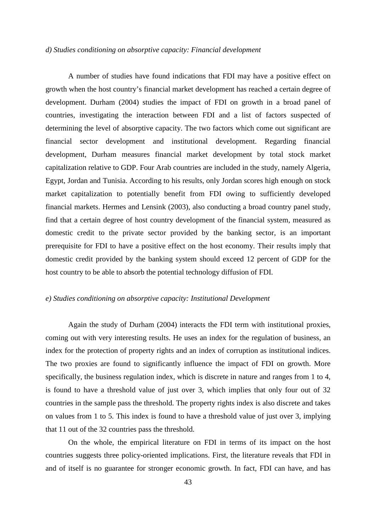#### *d) Studies conditioning on absorptive capacity: Financial development*

A number of studies have found indications that FDI may have a positive effect on growth when the host country's financial market development has reached a certain degree of development. Durham (2004) studies the impact of FDI on growth in a broad panel of countries, investigating the interaction between FDI and a list of factors suspected of determining the level of absorptive capacity. The two factors which come out significant are financial sector development and institutional development. Regarding financial development, Durham measures financial market development by total stock market capitalization relative to GDP. Four Arab countries are included in the study, namely Algeria, Egypt, Jordan and Tunisia. According to his results, only Jordan scores high enough on stock market capitalization to potentially benefit from FDI owing to sufficiently developed financial markets. Hermes and Lensink (2003), also conducting a broad country panel study, find that a certain degree of host country development of the financial system, measured as domestic credit to the private sector provided by the banking sector, is an important prerequisite for FDI to have a positive effect on the host economy. Their results imply that domestic credit provided by the banking system should exceed 12 percent of GDP for the host country to be able to absorb the potential technology diffusion of FDI.

#### *e) Studies conditioning on absorptive capacity: Institutional Development*

Again the study of Durham (2004) interacts the FDI term with institutional proxies, coming out with very interesting results. He uses an index for the regulation of business, an index for the protection of property rights and an index of corruption as institutional indices. The two proxies are found to significantly influence the impact of FDI on growth. More specifically, the business regulation index, which is discrete in nature and ranges from 1 to 4, is found to have a threshold value of just over 3, which implies that only four out of 32 countries in the sample pass the threshold. The property rights index is also discrete and takes on values from 1 to 5. This index is found to have a threshold value of just over 3, implying that 11 out of the 32 countries pass the threshold.

 On the whole, the empirical literature on FDI in terms of its impact on the host countries suggests three policy-oriented implications. First, the literature reveals that FDI in and of itself is no guarantee for stronger economic growth. In fact, FDI can have, and has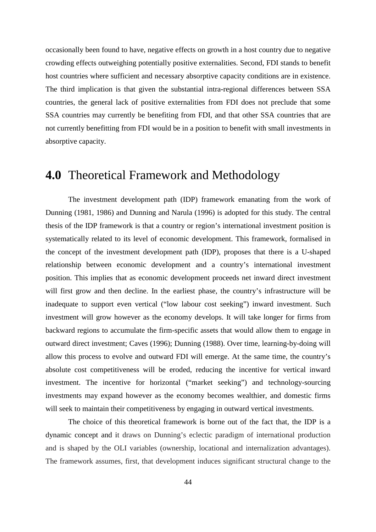occasionally been found to have, negative effects on growth in a host country due to negative crowding effects outweighing potentially positive externalities. Second, FDI stands to benefit host countries where sufficient and necessary absorptive capacity conditions are in existence. The third implication is that given the substantial intra-regional differences between SSA countries, the general lack of positive externalities from FDI does not preclude that some SSA countries may currently be benefiting from FDI, and that other SSA countries that are not currently benefitting from FDI would be in a position to benefit with small investments in absorptive capacity.

# **4.0** Theoretical Framework and Methodology

The investment development path (IDP) framework emanating from the work of Dunning (1981, 1986) and Dunning and Narula (1996) is adopted for this study. The central thesis of the IDP framework is that a country or region's international investment position is systematically related to its level of economic development. This framework, formalised in the concept of the investment development path (IDP), proposes that there is a U-shaped relationship between economic development and a country's international investment position. This implies that as economic development proceeds net inward direct investment will first grow and then decline. In the earliest phase, the country's infrastructure will be inadequate to support even vertical ("low labour cost seeking") inward investment. Such investment will grow however as the economy develops. It will take longer for firms from backward regions to accumulate the firm-specific assets that would allow them to engage in outward direct investment; Caves (1996); Dunning (1988). Over time, learning-by-doing will allow this process to evolve and outward FDI will emerge. At the same time, the country's absolute cost competitiveness will be eroded, reducing the incentive for vertical inward investment. The incentive for horizontal ("market seeking") and technology-sourcing investments may expand however as the economy becomes wealthier, and domestic firms will seek to maintain their competitiveness by engaging in outward vertical investments.

 The choice of this theoretical framework is borne out of the fact that, the IDP is a dynamic concept and it draws on Dunning's eclectic paradigm of international production and is shaped by the OLI variables (ownership, locational and internalization advantages). The framework assumes, first, that development induces significant structural change to the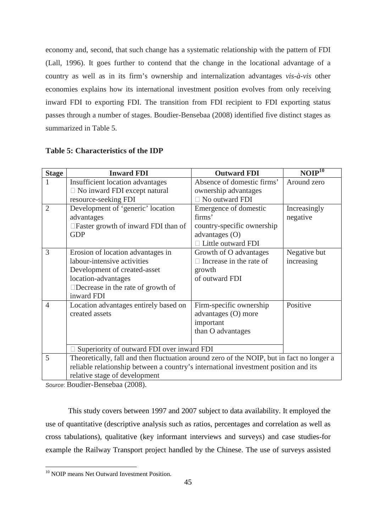economy and, second, that such change has a systematic relationship with the pattern of FDI (Lall, 1996). It goes further to contend that the change in the locational advantage of a country as well as in its firm's ownership and internalization advantages *vis-à-vis* other economies explains how its international investment position evolves from only receiving inward FDI to exporting FDI. The transition from FDI recipient to FDI exporting status passes through a number of stages. Boudier-Bensebaa (2008) identified five distinct stages as summarized in Table 5.

| <b>Stage</b>   | <b>Inward FDI</b>                                                                         | <b>Outward FDI</b>         | NOIP <sup>10</sup> |
|----------------|-------------------------------------------------------------------------------------------|----------------------------|--------------------|
| 1              | Insufficient location advantages                                                          | Absence of domestic firms' | Around zero        |
|                | No inward FDI except natural                                                              | ownership advantages       |                    |
|                | resource-seeking FDI                                                                      | No outward FDI             |                    |
| $\overline{2}$ | Development of 'generic' location                                                         | Emergence of domestic      | Increasingly       |
|                | advantages                                                                                | firms'                     | negative           |
|                | Faster growth of inward FDI than of                                                       | country-specific ownership |                    |
|                | <b>GDP</b>                                                                                | advantages (O)             |                    |
|                |                                                                                           | Little outward FDI         |                    |
| 3              | Erosion of location advantages in                                                         | Growth of O advantages     | Negative but       |
|                | labour-intensive activities                                                               | Increase in the rate of    | increasing         |
|                | Development of created-asset                                                              | growth                     |                    |
|                | location-advantages                                                                       | of outward FDI             |                    |
|                | Decrease in the rate of growth of                                                         |                            |                    |
|                | inward FDI                                                                                |                            |                    |
| $\overline{4}$ | Location advantages entirely based on                                                     | Firm-specific ownership    | Positive           |
|                | created assets                                                                            | advantages (O) more        |                    |
|                |                                                                                           | important                  |                    |
|                |                                                                                           | than O advantages          |                    |
|                |                                                                                           |                            |                    |
|                | Superiority of outward FDI over inward FDI                                                |                            |                    |
| 5              | Theoretically, fall and then fluctuation around zero of the NOIP, but in fact no longer a |                            |                    |
|                | reliable relationship between a country's international investment position and its       |                            |                    |
|                | relative stage of development                                                             |                            |                    |

#### **Table 5: Characteristics of the IDP**

Source: Boudier-Bensebaa (2008).

This study covers between 1997 and 2007 subject to data availability. It employed the use of quantitative (descriptive analysis such as ratios, percentages and correlation as well as cross tabulations), qualitative (key informant interviews and surveys) and case studies-for example the Railway Transport project handled by the Chinese. The use of surveys assisted

 $\overline{a}$ 

<sup>&</sup>lt;sup>10</sup> NOIP means Net Outward Investment Position.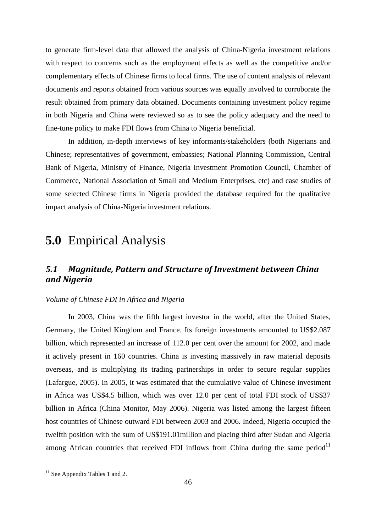to generate firm-level data that allowed the analysis of China-Nigeria investment relations with respect to concerns such as the employment effects as well as the competitive and/or complementary effects of Chinese firms to local firms. The use of content analysis of relevant documents and reports obtained from various sources was equally involved to corroborate the result obtained from primary data obtained. Documents containing investment policy regime in both Nigeria and China were reviewed so as to see the policy adequacy and the need to fine-tune policy to make FDI flows from China to Nigeria beneficial.

In addition, in-depth interviews of key informants/stakeholders (both Nigerians and Chinese; representatives of government, embassies; National Planning Commission, Central Bank of Nigeria, Ministry of Finance, Nigeria Investment Promotion Council, Chamber of Commerce, National Association of Small and Medium Enterprises, etc) and case studies of some selected Chinese firms in Nigeria provided the database required for the qualitative impact analysis of China-Nigeria investment relations.

# **5.0** Empirical Analysis

# 5.1 Magnitude, Pattern and Structure of Investment between China and Nigeria

#### *Volume of Chinese FDI in Africa and Nigeria*

In 2003, China was the fifth largest investor in the world, after the United States, Germany, the United Kingdom and France. Its foreign investments amounted to US\$2.087 billion, which represented an increase of 112.0 per cent over the amount for 2002, and made it actively present in 160 countries. China is investing massively in raw material deposits overseas, and is multiplying its trading partnerships in order to secure regular supplies (Lafargue, 2005). In 2005, it was estimated that the cumulative value of Chinese investment in Africa was US\$4.5 billion, which was over 12.0 per cent of total FDI stock of US\$37 billion in Africa (China Monitor, May 2006). Nigeria was listed among the largest fifteen host countries of Chinese outward FDI between 2003 and 2006. Indeed, Nigeria occupied the twelfth position with the sum of US\$191.01million and placing third after Sudan and Algeria among African countries that received FDI inflows from China during the same period<sup>11</sup>

 $\overline{a}$ 

 $11$  See Appendix Tables 1 and 2.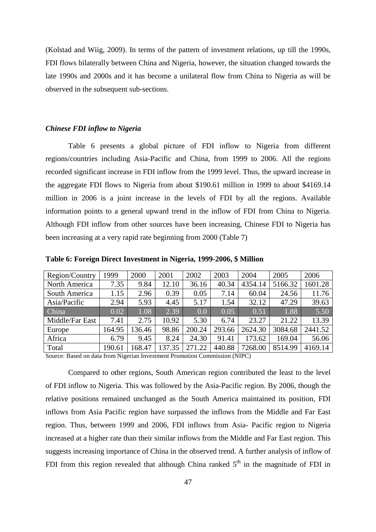(Kolstad and Wiig, 2009). In terms of the pattern of investment relations, up till the 1990s, FDI flows bilaterally between China and Nigeria, however, the situation changed towards the late 1990s and 2000s and it has become a unilateral flow from China to Nigeria as will be observed in the subsequent sub-sections.

#### *Chinese FDI inflow to Nigeria*

Table 6 presents a global picture of FDI inflow to Nigeria from different regions/countries including Asia-Pacific and China, from 1999 to 2006. All the regions recorded significant increase in FDI inflow from the 1999 level. Thus, the upward increase in the aggregate FDI flows to Nigeria from about \$190.61 million in 1999 to about \$4169.14 million in 2006 is a joint increase in the levels of FDI by all the regions. Available information points to a general upward trend in the inflow of FDI from China to Nigeria. Although FDI inflow from other sources have been increasing, Chinese FDI to Nigeria has been increasing at a very rapid rate beginning from 2000 (Table 7)

| Region/Country                                                           | 1999   | 2000   | 2001   | 2002   | 2003   | 2004    | 2005    | 2006    |
|--------------------------------------------------------------------------|--------|--------|--------|--------|--------|---------|---------|---------|
| North America                                                            | 7.35   | 9.84   | 12.10  | 36.16  | 40.34  | 4354.14 | 5166.32 | 601.28  |
| South America                                                            | 1.15   | 2.96   | 0.39   | 0.05   | 7.14   | 60.04   | 24.56   | 11.76   |
| Asia/Pacific                                                             | 2.94   | 5.93   | 4.45   | 5.17   | 1.54   | 32.12   | 47.29   | 39.63   |
| China                                                                    | 0.02   | 1.08   | 2.39   | 0.0    | 0.05   | 0.51    | 1.88    | 5.50    |
| Middle/Far East                                                          | 7.41   | 2.75   | 10.92  | 5.30   | 6.74   | 23.27   | 21.22   | 13.39   |
| Europe                                                                   | 164.95 | 136.46 | 98.86  | 200.24 | 293.66 | 2624.30 | 3084.68 | 2441.52 |
| Africa                                                                   | 6.79   | 9.45   | 8.24   | 24.30  | 91.41  | 173.62  | 169.04  | 56.06   |
| Total                                                                    | 190.61 | 168.47 | 137.35 | 271.22 | 440.88 | 7268.00 | 8514.99 | 4169.14 |
| Corners David on Jate from Minerian Lossation December Commission (MIDC) |        |        |        |        |        |         |         |         |

**Table 6: Foreign Direct Investment in Nigeria, 1999-2006, \$ Million** 

Source: Based on data from Nigerian Investment Promotion Commission (NIPC)

Compared to other regions, South American region contributed the least to the level of FDI inflow to Nigeria. This was followed by the Asia-Pacific region. By 2006, though the relative positions remained unchanged as the South America maintained its position, FDI inflows from Asia Pacific region have surpassed the inflows from the Middle and Far East region. Thus, between 1999 and 2006, FDI inflows from Asia- Pacific region to Nigeria increased at a higher rate than their similar inflows from the Middle and Far East region. This suggests increasing importance of China in the observed trend. A further analysis of inflow of FDI from this region revealed that although China ranked  $5<sup>th</sup>$  in the magnitude of FDI in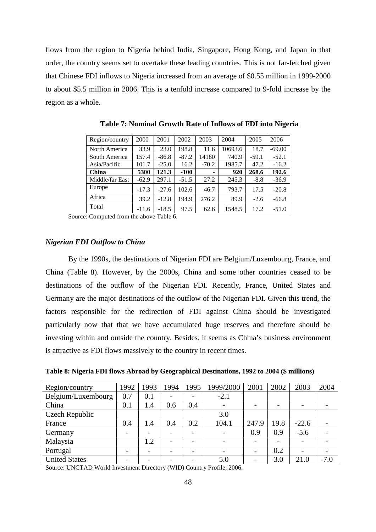flows from the region to Nigeria behind India, Singapore, Hong Kong, and Japan in that order, the country seems set to overtake these leading countries. This is not far-fetched given that Chinese FDI inflows to Nigeria increased from an average of \$0.55 million in 1999-2000 to about \$5.5 million in 2006. This is a tenfold increase compared to 9-fold increase by the region as a whole.

| Region/country  | 2000    | 2001    | 2002    | 2003    | 2004    | 2005    | 2006     |
|-----------------|---------|---------|---------|---------|---------|---------|----------|
| North America   | 33.9    | 23.0    | 198.8   | 11.6    | 10693.6 | 18.7    | $-69.00$ |
| South America   | 157.4   | $-86.8$ | $-87.2$ | 14180   | 740.9   | $-59.1$ | $-52.1$  |
| Asia/Pacific    | 101.7   | $-25.0$ | 16.2    | $-70.2$ | 1985.7  | 47.2    | $-16.2$  |
| China           | 5300    | 121.3   | $-100$  | -       | 920     | 268.6   | 192.6    |
| Middle/far East | $-62.9$ | 297.1   | $-51.5$ | 27.2    | 245.3   | $-8.8$  | $-36.9$  |
| Europe          | $-17.3$ | $-27.6$ | 102.6   | 46.7    | 793.7   | 17.5    | $-20.8$  |
| Africa          | 39.2    | $-12.8$ | 194.9   | 276.2   | 89.9    | $-2.6$  | $-66.8$  |
| Total           | $-11.6$ | $-18.5$ | 97.5    | 62.6    | 1548.5  | 17.2    | $-51.0$  |

**Table 7: Nominal Growth Rate of Inflows of FDI into Nigeria** 

Source: Computed from the above Table 6.

#### *Nigerian FDI Outflow to China*

By the 1990s, the destinations of Nigerian FDI are Belgium/Luxembourg, France, and China (Table 8). However, by the 2000s, China and some other countries ceased to be destinations of the outflow of the Nigerian FDI. Recently, France, United States and Germany are the major destinations of the outflow of the Nigerian FDI. Given this trend, the factors responsible for the redirection of FDI against China should be investigated particularly now that that we have accumulated huge reserves and therefore should be investing within and outside the country. Besides, it seems as China's business environment is attractive as FDI flows massively to the country in recent times.

**Table 8: Nigeria FDI flows Abroad by Geographical Destinations, 1992 to 2004 (\$ millions)** 

| Region/country       | 1992                     | 1993 | 1994                     | 1995                     | 1999/2000 | 2001  | 2002 | 2003    | 2004   |
|----------------------|--------------------------|------|--------------------------|--------------------------|-----------|-------|------|---------|--------|
| Belgium/Luxembourg   | 0.7                      | 0.1  | $\overline{\phantom{0}}$ | $\overline{\phantom{0}}$ | $-2.1$    |       |      |         |        |
| China                | 0.1                      | 1.4  | 0.6                      | 0.4                      |           |       |      |         |        |
| Czech Republic       |                          |      |                          |                          | 3.0       |       |      |         |        |
| France               | 0.4                      | 1.4  | 0.4                      | 0.2                      | 104.1     | 247.9 | 19.8 | $-22.6$ |        |
| Germany              | $\overline{\phantom{0}}$ |      |                          |                          |           | 0.9   | 0.9  | $-5.6$  |        |
| Malaysia             |                          | 1.2  | $\overline{\phantom{0}}$ |                          |           |       |      |         |        |
| Portugal             | $\overline{\phantom{0}}$ |      | -                        |                          |           |       | 0.2  |         |        |
| <b>United States</b> | $\overline{\phantom{0}}$ |      |                          |                          | 5.0       |       | 3.0  | 21.0    | $-7.0$ |

Source: UNCTAD World Investment Directory (WID) Country Profile, 2006.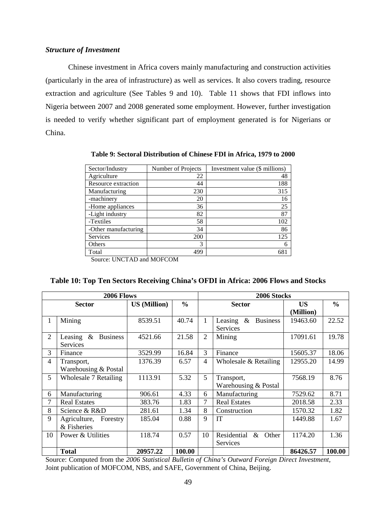#### *Structure of Investment*

Chinese investment in Africa covers mainly manufacturing and construction activities (particularly in the area of infrastructure) as well as services. It also covers trading, resource extraction and agriculture (See Tables 9 and 10). Table 11 shows that FDI inflows into Nigeria between 2007 and 2008 generated some employment. However, further investigation is needed to verify whether significant part of employment generated is for Nigerians or China.

| Sector/Industry      | Number of Projects | Investment value (\$ millions) |
|----------------------|--------------------|--------------------------------|
| Agriculture          | 22                 | 48                             |
| Resource extraction  | 44                 | 188                            |
| Manufacturing        | 230                | 315                            |
| -machinery           | 20                 | 16                             |
| -Home appliances     | 36                 | 25                             |
| -Light industry      | 82                 | 87                             |
| -Textiles            | 58                 | 102                            |
| -Other manufacturing | 34                 | 86                             |
| Services             | 200                | 125                            |
| Others               | 3                  | 6                              |
| Total                | 499                | 68 <sup>2</sup>                |

**Table 9: Sectoral Distribution of Chinese FDI in Africa, 1979 to 2000** 

Source: UNCTAD and MOFCOM

| 2006 Flows     |                                    |                     |               | 2006 Stocks    |                                                |           |               |
|----------------|------------------------------------|---------------------|---------------|----------------|------------------------------------------------|-----------|---------------|
|                | <b>Sector</b>                      | <b>US</b> (Million) | $\frac{6}{6}$ |                | <b>Sector</b>                                  | <b>US</b> | $\frac{6}{6}$ |
|                |                                    |                     |               |                |                                                | (Million) |               |
| 1              | Mining                             | 8539.51             | 40.74         | $\mathbf{1}$   | Leasing<br><b>Business</b><br>$\&$<br>Services | 19463.60  | 22.52         |
| $\overline{2}$ | Leasing<br><b>Business</b><br>$\&$ | 4521.66             | 21.58         | $\overline{2}$ | Mining                                         | 17091.61  | 19.78         |
|                | Services                           |                     |               |                |                                                |           |               |
| 3              | Finance                            | 3529.99             | 16.84         | 3              | Finance                                        | 15605.37  | 18.06         |
| 4              | Transport,                         | 1376.39             | 6.57          | $\overline{4}$ | Wholesale & Retailing                          | 12955.20  | 14.99         |
|                | Warehousing & Postal               |                     |               |                |                                                |           |               |
| 5 <sup>5</sup> | Wholesale 7 Retailing              | 1113.91             | 5.32          | 5 <sup>5</sup> | Transport,                                     | 7568.19   | 8.76          |
|                |                                    |                     |               |                | Warehousing & Postal                           |           |               |
| 6              | Manufacturing                      | 906.61              | 4.33          | 6              | Manufacturing                                  | 7529.62   | 8.71          |
| 7              | <b>Real Estates</b>                | 383.76              | 1.83          | 7              | <b>Real Estates</b>                            | 2018.58   | 2.33          |
| 8              | Science & R&D                      | 281.61              | 1.34          | 8              | Construction                                   | 1570.32   | 1.82          |
| 9              | Agriculture,<br>Forestry           | 185.04              | 0.88          | 9              | IT                                             | 1449.88   | 1.67          |
|                | & Fisheries                        |                     |               |                |                                                |           |               |
| 10             | Power & Utilities                  | 118.74              | 0.57          | 10             | Residential<br>$\&$<br>Other                   | 1174.20   | 1.36          |
|                |                                    |                     |               |                | <b>Services</b>                                |           |               |
|                | <b>Total</b>                       | 20957.22            | 100.00        |                |                                                | 86426.57  | 100.00        |

Source: Computed from the *2006 Statistical Bulletin of China's Outward Foreign Direct Investment,* Joint publication of MOFCOM, NBS, and SAFE, Government of China, Beijing.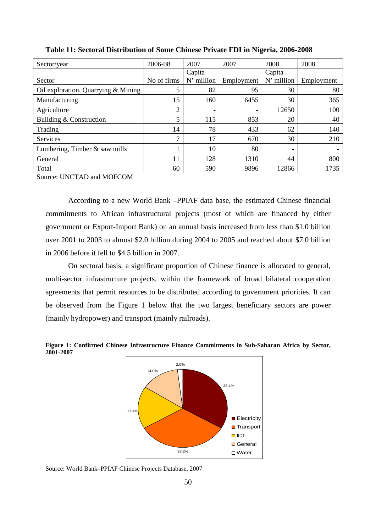| Sector/year                         | 2006-08      | 2007       | 2007                     | 2008       | 2008       |
|-------------------------------------|--------------|------------|--------------------------|------------|------------|
|                                     |              | Capita     |                          | Capita     |            |
| Sector                              | No of firms  | N' million | Employment               | N' million | Employment |
| Oil exploration, Quarrying & Mining | 5            | 82         | 95                       | 30         | 80         |
| Manufacturing                       | 15           | 160        | 6455                     | 30         | 365        |
| Agriculture                         | ↑<br>∠       |            | $\overline{\phantom{a}}$ | 12650      | 100        |
| Building & Construction             | 5            | 115        | 853                      | 20         | 40         |
| Trading                             | 14           | 78         | 433                      | 62         | 140        |
| <b>Services</b>                     | $\mathbf{r}$ | 17         | 670                      | 30         | 210        |
| Lumbering, Timber $&$ saw mills     |              | 10         | 80                       | -          |            |
| General                             | 11           | 128        | 1310                     | 44         | 800        |
| Total                               | 60           | 590        | 9896                     | 12866      | 1735       |

**Table 11: Sectoral Distribution of Some Chinese Private FDI in Nigeria, 2006-2008** 

Source: UNCTAD and MOFCOM

According to a new World Bank –PPIAF data base, the estimated Chinese financial commitments to African infrastructural projects (most of which are financed by either government or Export-Import Bank) on an annual basis increased from less than \$1.0 billion over 2001 to 2003 to almost \$2.0 billion during 2004 to 2005 and reached about \$7.0 billion in 2006 before it fell to \$4.5 billion in 2007.

On sectoral basis, a significant proportion of Chinese finance is allocated to general, multi-sector infrastructure projects, within the framework of broad bilateral cooperation agreements that permit resources to be distributed according to government priorities. It can be observed from the Figure 1 below that the two largest beneficiary sectors are power (mainly hydropower) and transport (mainly railroads).



**Figure 1: Confirmed Chinese Infrastructure Finance Commitments in Sub-Saharan Africa by Sector, 2001-2007** 

Source: World Bank–PPIAF Chinese Projects Database, 2007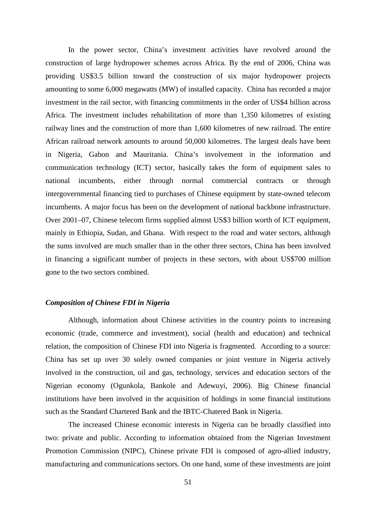In the power sector, China's investment activities have revolved around the construction of large hydropower schemes across Africa. By the end of 2006, China was providing US\$3.5 billion toward the construction of six major hydropower projects amounting to some 6,000 megawatts (MW) of installed capacity. China has recorded a major investment in the rail sector, with financing commitments in the order of US\$4 billion across Africa. The investment includes rehabilitation of more than 1,350 kilometres of existing railway lines and the construction of more than 1,600 kilometres of new railroad. The entire African railroad network amounts to around 50,000 kilometres. The largest deals have been in Nigeria, Gabon and Mauritania. China's involvement in the information and communication technology (ICT) sector, basically takes the form of equipment sales to national incumbents, either through normal commercial contracts or through intergovernmental financing tied to purchases of Chinese equipment by state-owned telecom incumbents. A major focus has been on the development of national backbone infrastructure. Over 2001–07, Chinese telecom firms supplied almost US\$3 billion worth of ICT equipment, mainly in Ethiopia, Sudan, and Ghana. With respect to the road and water sectors, although the sums involved are much smaller than in the other three sectors, China has been involved in financing a significant number of projects in these sectors, with about US\$700 million gone to the two sectors combined.

#### *Composition of Chinese FDI in Nigeria*

Although, information about Chinese activities in the country points to increasing economic (trade, commerce and investment), social (health and education) and technical relation, the composition of Chinese FDI into Nigeria is fragmented. According to a source: China has set up over 30 solely owned companies or joint venture in Nigeria actively involved in the construction, oil and gas, technology, services and education sectors of the Nigerian economy (Ogunkola, Bankole and Adewuyi, 2006). Big Chinese financial institutions have been involved in the acquisition of holdings in some financial institutions such as the Standard Chartered Bank and the IBTC-Chatered Bank in Nigeria.

The increased Chinese economic interests in Nigeria can be broadly classified into two: private and public. According to information obtained from the Nigerian Investment Promotion Commission (NIPC), Chinese private FDI is composed of agro-allied industry, manufacturing and communications sectors. On one hand, some of these investments are joint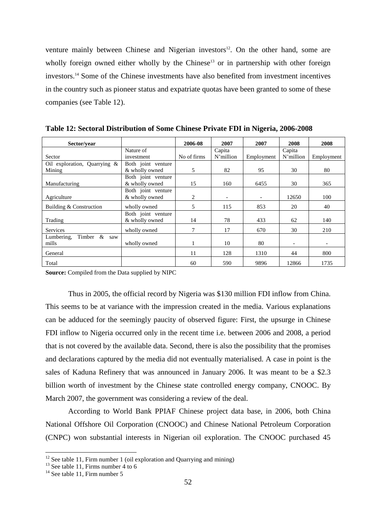venture mainly between Chinese and Nigerian investors $12$ . On the other hand, some are wholly foreign owned either wholly by the Chinese<sup>13</sup> or in partnership with other foreign investors.<sup>14</sup> Some of the Chinese investments have also benefited from investment incentives in the country such as pioneer status and expatriate quotas have been granted to some of these companies (see Table 12).

| Sector/vear                  |                    | 2006-08     | 2007      | 2007       | 2008      | 2008       |
|------------------------------|--------------------|-------------|-----------|------------|-----------|------------|
|                              | Nature of          |             | Capita    |            | Capita    |            |
| Sector                       | investment         | No of firms | N'million | Employment | N'million | Employment |
| Oil exploration, Quarrying & | Both joint venture |             |           |            |           |            |
| Mining                       | & wholly owned     | 5           | 82        | 95         | 30        | 80         |
|                              | Both joint venture |             |           |            |           |            |
| Manufacturing                | & wholly owned     | 15          | 160       | 6455       | 30        | 365        |
|                              | Both joint venture |             |           |            |           |            |
| Agriculture                  | & wholly owned     | 2           |           |            | 12650     | 100        |
| Building & Construction      | wholly owned       | 5           | 115       | 853        | 20        | 40         |
|                              | Both joint venture |             |           |            |           |            |
| Trading                      | & wholly owned     | 14          | 78        | 433        | 62        | 140        |
| Services                     | wholly owned       | 7           | 17        | 670        | 30        | 210        |
| Timber & saw<br>Lumbering,   |                    |             |           |            |           |            |
| mills                        | wholly owned       |             | 10        | 80         |           | -          |
| General                      |                    | 11          | 128       | 1310       | 44        | 800        |
| Total                        |                    | 60          | 590       | 9896       | 12866     | 1735       |

**Table 12: Sectoral Distribution of Some Chinese Private FDI in Nigeria, 2006-2008** 

**Source:** Compiled from the Data supplied by NIPC

Thus in 2005, the official record by Nigeria was \$130 million FDI inflow from China. This seems to be at variance with the impression created in the media. Various explanations can be adduced for the seemingly paucity of observed figure: First, the upsurge in Chinese FDI inflow to Nigeria occurred only in the recent time i.e. between 2006 and 2008, a period that is not covered by the available data. Second, there is also the possibility that the promises and declarations captured by the media did not eventually materialised. A case in point is the sales of Kaduna Refinery that was announced in January 2006. It was meant to be a \$2.3 billion worth of investment by the Chinese state controlled energy company, CNOOC. By March 2007, the government was considering a review of the deal.

According to World Bank PPIAF Chinese project data base, in 2006, both China National Offshore Oil Corporation (CNOOC) and Chinese National Petroleum Corporation (CNPC) won substantial interests in Nigerian oil exploration. The CNOOC purchased 45

 $\overline{a}$ 

 $12$  See table 11, Firm number 1 (oil exploration and Quarrying and mining)

 $13$  See table 11, Firms number 4 to 6

 $14$  See table 11, Firm number 5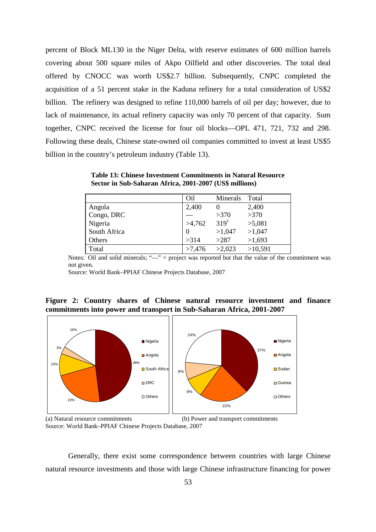percent of Block ML130 in the Niger Delta, with reserve estimates of 600 million barrels covering about 500 square miles of Akpo Oilfield and other discoveries. The total deal offered by CNOCC was worth US\$2.7 billion. Subsequently, CNPC completed the acquisition of a 51 percent stake in the Kaduna refinery for a total consideration of US\$2 billion. The refinery was designed to refine 110,000 barrels of oil per day; however, due to lack of maintenance, its actual refinery capacity was only 70 percent of that capacity. Sum together, CNPC received the license for four oil blocks—OPL 471, 721, 732 and 298. Following these deals, Chinese state-owned oil companies committed to invest at least US\$5 billion in the country's petroleum industry (Table 13).

|              | Oil    | Minerals         | Total   |
|--------------|--------|------------------|---------|
| Angola       | 2,400  |                  | 2,400   |
| Congo, DRC   |        | >370             | >370    |
| Nigeria      | >4,762 | 319 <sup>1</sup> | >5,081  |
| South Africa |        | >1,047           | >1,047  |
| Others       | >314   | >287             | >1,693  |
| Total        | >7,476 | >2,023           | >10,591 |

**Table 13: Chinese Investment Commitments in Natural Resource Sector in Sub-Saharan Africa, 2001-2007 (US\$ millions)** 

Notes: Oil and solid minerals; "—" = project was reported but that the value of the commitment was not given.

Source: World Bank–PPIAF Chinese Projects Database, 2007





Source: World Bank–PPIAF Chinese Projects Database, 2007

Generally, there exist some correspondence between countries with large Chinese natural resource investments and those with large Chinese infrastructure financing for power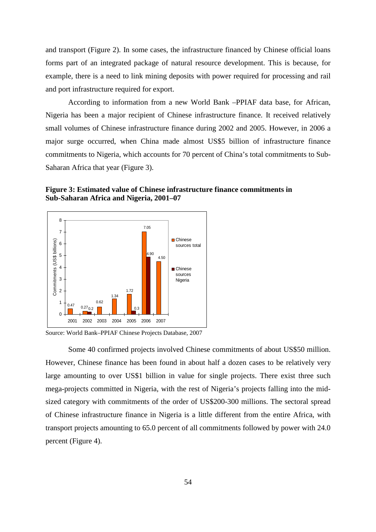and transport (Figure 2). In some cases, the infrastructure financed by Chinese official loans forms part of an integrated package of natural resource development. This is because, for example, there is a need to link mining deposits with power required for processing and rail and port infrastructure required for export.

According to information from a new World Bank –PPIAF data base, for African, Nigeria has been a major recipient of Chinese infrastructure finance. It received relatively small volumes of Chinese infrastructure finance during 2002 and 2005. However, in 2006 a major surge occurred, when China made almost US\$5 billion of infrastructure finance commitments to Nigeria, which accounts for 70 percent of China's total commitments to Sub-Saharan Africa that year (Figure 3).

**Figure 3: Estimated value of Chinese infrastructure finance commitments in Sub-Saharan Africa and Nigeria, 2001–07** 



Source: World Bank–PPIAF Chinese Projects Database, 2007

Some 40 confirmed projects involved Chinese commitments of about US\$50 million. However, Chinese finance has been found in about half a dozen cases to be relatively very large amounting to over US\$1 billion in value for single projects. There exist three such mega-projects committed in Nigeria, with the rest of Nigeria's projects falling into the midsized category with commitments of the order of US\$200-300 millions. The sectoral spread of Chinese infrastructure finance in Nigeria is a little different from the entire Africa, with transport projects amounting to 65.0 percent of all commitments followed by power with 24.0 percent (Figure 4).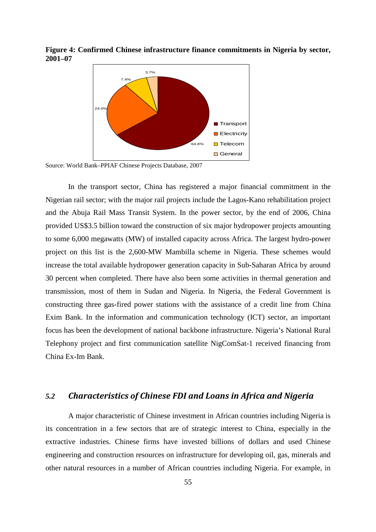**Figure 4: Confirmed Chinese infrastructure finance commitments in Nigeria by sector, 2001–07** 



Source: World Bank–PPIAF Chinese Projects Database, 2007

In the transport sector, China has registered a major financial commitment in the Nigerian rail sector; with the major rail projects include the Lagos-Kano rehabilitation project and the Abuja Rail Mass Transit System. In the power sector, by the end of 2006, China provided US\$3.5 billion toward the construction of six major hydropower projects amounting to some 6,000 megawatts (MW) of installed capacity across Africa. The largest hydro-power project on this list is the 2,600-MW Mambilla scheme in Nigeria. These schemes would increase the total available hydropower generation capacity in Sub-Saharan Africa by around 30 percent when completed. There have also been some activities in thermal generation and transmission, most of them in Sudan and Nigeria. In Nigeria, the Federal Government is constructing three gas-fired power stations with the assistance of a credit line from China Exim Bank. In the information and communication technology (ICT) sector, an important focus has been the development of national backbone infrastructure. Nigeria's National Rural Telephony project and first communication satellite NigComSat-1 received financing from China Ex-Im Bank.

### *5.2* Characteristics of Chinese FDI and Loans in Africa and Nigeria

A major characteristic of Chinese investment in African countries including Nigeria is its concentration in a few sectors that are of strategic interest to China, especially in the extractive industries. Chinese firms have invested billions of dollars and used Chinese engineering and construction resources on infrastructure for developing oil, gas, minerals and other natural resources in a number of African countries including Nigeria. For example, in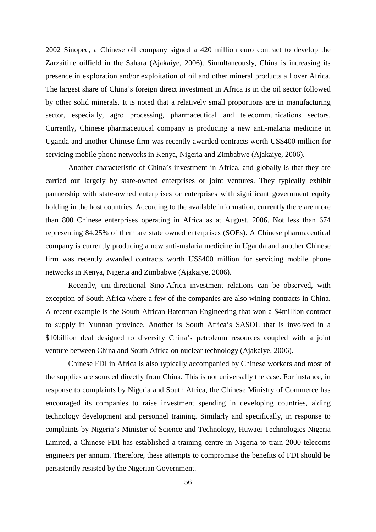2002 Sinopec, a Chinese oil company signed a 420 million euro contract to develop the Zarzaitine oilfield in the Sahara (Ajakaiye, 2006). Simultaneously, China is increasing its presence in exploration and/or exploitation of oil and other mineral products all over Africa. The largest share of China's foreign direct investment in Africa is in the oil sector followed by other solid minerals. It is noted that a relatively small proportions are in manufacturing sector, especially, agro processing, pharmaceutical and telecommunications sectors. Currently, Chinese pharmaceutical company is producing a new anti-malaria medicine in Uganda and another Chinese firm was recently awarded contracts worth US\$400 million for servicing mobile phone networks in Kenya, Nigeria and Zimbabwe (Ajakaiye, 2006).

Another characteristic of China's investment in Africa, and globally is that they are carried out largely by state-owned enterprises or joint ventures. They typically exhibit partnership with state-owned enterprises or enterprises with significant government equity holding in the host countries. According to the available information, currently there are more than 800 Chinese enterprises operating in Africa as at August, 2006. Not less than 674 representing 84.25% of them are state owned enterprises (SOEs). A Chinese pharmaceutical company is currently producing a new anti-malaria medicine in Uganda and another Chinese firm was recently awarded contracts worth US\$400 million for servicing mobile phone networks in Kenya, Nigeria and Zimbabwe (Ajakaiye, 2006).

Recently, uni-directional Sino-Africa investment relations can be observed, with exception of South Africa where a few of the companies are also wining contracts in China. A recent example is the South African Baterman Engineering that won a \$4million contract to supply in Yunnan province. Another is South Africa's SASOL that is involved in a \$10billion deal designed to diversify China's petroleum resources coupled with a joint venture between China and South Africa on nuclear technology (Ajakaiye, 2006).

Chinese FDI in Africa is also typically accompanied by Chinese workers and most of the supplies are sourced directly from China. This is not universally the case. For instance, in response to complaints by Nigeria and South Africa, the Chinese Ministry of Commerce has encouraged its companies to raise investment spending in developing countries, aiding technology development and personnel training. Similarly and specifically, in response to complaints by Nigeria's Minister of Science and Technology, Huwaei Technologies Nigeria Limited, a Chinese FDI has established a training centre in Nigeria to train 2000 telecoms engineers per annum. Therefore, these attempts to compromise the benefits of FDI should be persistently resisted by the Nigerian Government.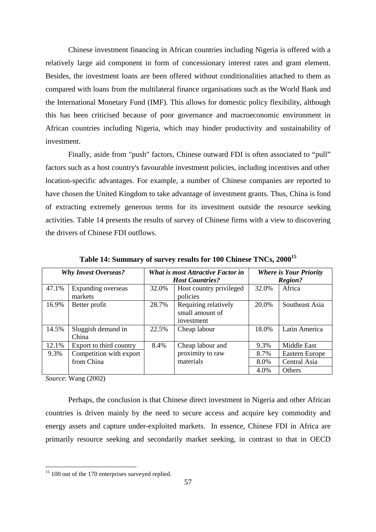Chinese investment financing in African countries including Nigeria is offered with a relatively large aid component in form of concessionary interest rates and grant element. Besides, the investment loans are been offered without conditionalities attached to them as compared with loans from the multilateral finance organisations such as the World Bank and the International Monetary Fund (IMF). This allows for domestic policy flexibility, although this has been criticised because of poor governance and macroeconomic environment in African countries including Nigeria, which may hinder productivity and sustainability of investment.

Finally, aside from "push" factors, Chinese outward FDI is often associated to "pull" factors such as a host country's favourable investment policies, including incentives and other location-specific advantages. For example, a number of Chinese companies are reported to have chosen the United Kingdom to take advantage of investment grants. Thus, China is fond of extracting extremely generous terms for its investment outside the resource seeking activities. Table 14 presents the results of survey of Chinese firms with a view to discovering the drivers of Chinese FDI outflows.

| <b>Why Invest Overseas?</b> |                               |       | <b>What is most Attractive Factor in</b><br><b>Host Countries?</b> | <b>Where is Your Priority</b><br><b>Region?</b> |                |  |
|-----------------------------|-------------------------------|-------|--------------------------------------------------------------------|-------------------------------------------------|----------------|--|
| 47.1%                       | Expanding overseas<br>markets | 32.0% | Host country privileged<br>policies                                | 32.0%                                           | Africa         |  |
| 16.9%                       | Better profit                 | 28.7% | Requiring relatively<br>small amount of<br>investment              | 20.0%                                           | Southeast Asia |  |
| 14.5%                       | Sluggish demand in<br>China   | 22.5% | Cheap labour                                                       | 18.0%                                           | Latin America  |  |
| 12.1%                       | Export to third country       | 8.4%  | Cheap labour and                                                   | 9.3%                                            | Middle East    |  |
| 9.3%                        | Competition with export       |       | proximity to raw                                                   | 8.7%                                            | Eastern Europe |  |
|                             | from China                    |       | materials                                                          | 8.0%                                            | Central Asia   |  |
|                             |                               |       |                                                                    | 4.0%                                            | <b>Others</b>  |  |

**Table 14: Summary of survey results for 100 Chinese TNCs, 2000<sup>15</sup>**

*Source*: Wang (2002)

 $\overline{a}$ 

Perhaps, the conclusion is that Chinese direct investment in Nigeria and other African countries is driven mainly by the need to secure access and acquire key commodity and energy assets and capture under-exploited markets. In essence, Chinese FDI in Africa are primarily resource seeking and secondarily market seeking, in contrast to that in OECD

<sup>&</sup>lt;sup>15</sup> 100 out of the 170 enterprises surveyed replied.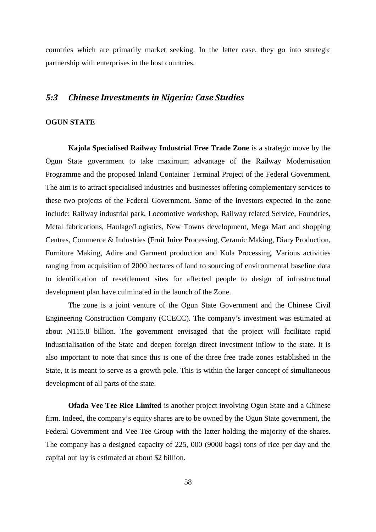countries which are primarily market seeking. In the latter case, they go into strategic partnership with enterprises in the host countries.

## 5:3 Chinese Investments in Nigeria: Case Studies

### **OGUN STATE**

**Kajola Specialised Railway Industrial Free Trade Zone** is a strategic move by the Ogun State government to take maximum advantage of the Railway Modernisation Programme and the proposed Inland Container Terminal Project of the Federal Government. The aim is to attract specialised industries and businesses offering complementary services to these two projects of the Federal Government. Some of the investors expected in the zone include: Railway industrial park, Locomotive workshop, Railway related Service, Foundries, Metal fabrications, Haulage/Logistics, New Towns development, Mega Mart and shopping Centres, Commerce & Industries (Fruit Juice Processing, Ceramic Making, Diary Production, Furniture Making, Adire and Garment production and Kola Processing. Various activities ranging from acquisition of 2000 hectares of land to sourcing of environmental baseline data to identification of resettlement sites for affected people to design of infrastructural development plan have culminated in the launch of the Zone.

The zone is a joint venture of the Ogun State Government and the Chinese Civil Engineering Construction Company (CCECC). The company's investment was estimated at about N115.8 billion. The government envisaged that the project will facilitate rapid industrialisation of the State and deepen foreign direct investment inflow to the state. It is also important to note that since this is one of the three free trade zones established in the State, it is meant to serve as a growth pole. This is within the larger concept of simultaneous development of all parts of the state.

**Ofada Vee Tee Rice Limited** is another project involving Ogun State and a Chinese firm. Indeed, the company's equity shares are to be owned by the Ogun State government, the Federal Government and Vee Tee Group with the latter holding the majority of the shares. The company has a designed capacity of 225, 000 (9000 bags) tons of rice per day and the capital out lay is estimated at about \$2 billion.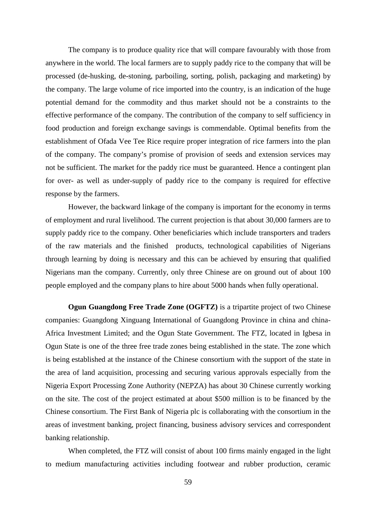The company is to produce quality rice that will compare favourably with those from anywhere in the world. The local farmers are to supply paddy rice to the company that will be processed (de-husking, de-stoning, parboiling, sorting, polish, packaging and marketing) by the company. The large volume of rice imported into the country, is an indication of the huge potential demand for the commodity and thus market should not be a constraints to the effective performance of the company. The contribution of the company to self sufficiency in food production and foreign exchange savings is commendable. Optimal benefits from the establishment of Ofada Vee Tee Rice require proper integration of rice farmers into the plan of the company. The company's promise of provision of seeds and extension services may not be sufficient. The market for the paddy rice must be guaranteed. Hence a contingent plan for over- as well as under-supply of paddy rice to the company is required for effective response by the farmers.

However, the backward linkage of the company is important for the economy in terms of employment and rural livelihood. The current projection is that about 30,000 farmers are to supply paddy rice to the company. Other beneficiaries which include transporters and traders of the raw materials and the finished products, technological capabilities of Nigerians through learning by doing is necessary and this can be achieved by ensuring that qualified Nigerians man the company. Currently, only three Chinese are on ground out of about 100 people employed and the company plans to hire about 5000 hands when fully operational.

**Ogun Guangdong Free Trade Zone (OGFTZ)** is a tripartite project of two Chinese companies: Guangdong Xinguang International of Guangdong Province in china and china-Africa Investment Limited; and the Ogun State Government. The FTZ, located in Igbesa in Ogun State is one of the three free trade zones being established in the state. The zone which is being established at the instance of the Chinese consortium with the support of the state in the area of land acquisition, processing and securing various approvals especially from the Nigeria Export Processing Zone Authority (NEPZA) has about 30 Chinese currently working on the site. The cost of the project estimated at about \$500 million is to be financed by the Chinese consortium. The First Bank of Nigeria plc is collaborating with the consortium in the areas of investment banking, project financing, business advisory services and correspondent banking relationship.

When completed, the FTZ will consist of about 100 firms mainly engaged in the light to medium manufacturing activities including footwear and rubber production, ceramic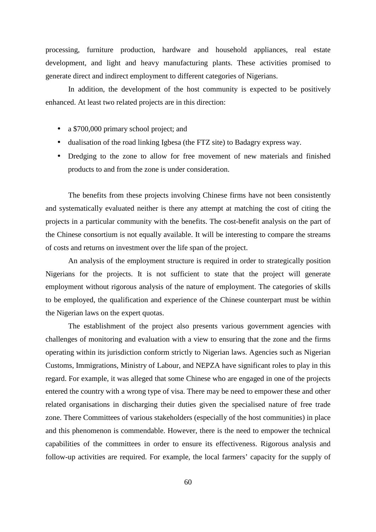processing, furniture production, hardware and household appliances, real estate development, and light and heavy manufacturing plants. These activities promised to generate direct and indirect employment to different categories of Nigerians.

In addition, the development of the host community is expected to be positively enhanced. At least two related projects are in this direction:

- a \$700,000 primary school project; and
- dualisation of the road linking Igbesa (the FTZ site) to Badagry express way.
- Dredging to the zone to allow for free movement of new materials and finished products to and from the zone is under consideration.

The benefits from these projects involving Chinese firms have not been consistently and systematically evaluated neither is there any attempt at matching the cost of citing the projects in a particular community with the benefits. The cost-benefit analysis on the part of the Chinese consortium is not equally available. It will be interesting to compare the streams of costs and returns on investment over the life span of the project.

An analysis of the employment structure is required in order to strategically position Nigerians for the projects. It is not sufficient to state that the project will generate employment without rigorous analysis of the nature of employment. The categories of skills to be employed, the qualification and experience of the Chinese counterpart must be within the Nigerian laws on the expert quotas.

The establishment of the project also presents various government agencies with challenges of monitoring and evaluation with a view to ensuring that the zone and the firms operating within its jurisdiction conform strictly to Nigerian laws. Agencies such as Nigerian Customs, Immigrations, Ministry of Labour, and NEPZA have significant roles to play in this regard. For example, it was alleged that some Chinese who are engaged in one of the projects entered the country with a wrong type of visa. There may be need to empower these and other related organisations in discharging their duties given the specialised nature of free trade zone. There Committees of various stakeholders (especially of the host communities) in place and this phenomenon is commendable. However, there is the need to empower the technical capabilities of the committees in order to ensure its effectiveness. Rigorous analysis and follow-up activities are required. For example, the local farmers' capacity for the supply of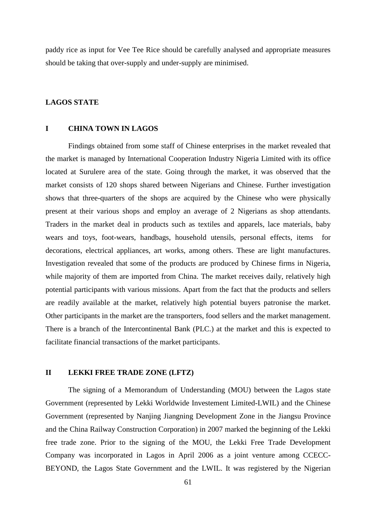paddy rice as input for Vee Tee Rice should be carefully analysed and appropriate measures should be taking that over-supply and under-supply are minimised.

### **LAGOS STATE**

#### **I CHINA TOWN IN LAGOS**

Findings obtained from some staff of Chinese enterprises in the market revealed that the market is managed by International Cooperation Industry Nigeria Limited with its office located at Surulere area of the state. Going through the market, it was observed that the market consists of 120 shops shared between Nigerians and Chinese. Further investigation shows that three-quarters of the shops are acquired by the Chinese who were physically present at their various shops and employ an average of 2 Nigerians as shop attendants. Traders in the market deal in products such as textiles and apparels, lace materials, baby wears and toys, foot-wears, handbags, household utensils, personal effects, items for decorations, electrical appliances, art works, among others. These are light manufactures. Investigation revealed that some of the products are produced by Chinese firms in Nigeria, while majority of them are imported from China. The market receives daily, relatively high potential participants with various missions. Apart from the fact that the products and sellers are readily available at the market, relatively high potential buyers patronise the market. Other participants in the market are the transporters, food sellers and the market management. There is a branch of the Intercontinental Bank (PLC.) at the market and this is expected to facilitate financial transactions of the market participants.

#### **II LEKKI FREE TRADE ZONE (LFTZ)**

 The signing of a Memorandum of Understanding (MOU) between the Lagos state Government (represented by Lekki Worldwide Investement Limited-LWIL) and the Chinese Government (represented by Nanjing Jiangning Development Zone in the Jiangsu Province and the China Railway Construction Corporation) in 2007 marked the beginning of the Lekki free trade zone. Prior to the signing of the MOU, the Lekki Free Trade Development Company was incorporated in Lagos in April 2006 as a joint venture among CCECC-BEYOND, the Lagos State Government and the LWIL. It was registered by the Nigerian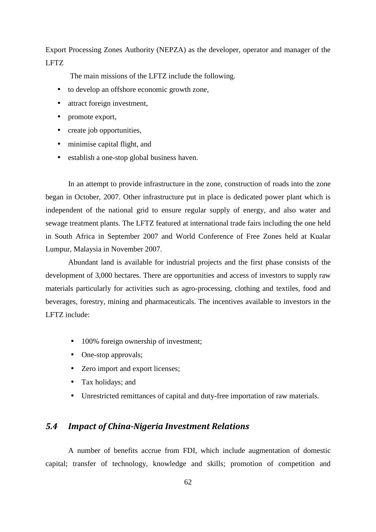Export Processing Zones Authority (NEPZA) as the developer, operator and manager of the LFTZ

The main missions of the LFTZ include the following.

- to develop an offshore economic growth zone,
- attract foreign investment.
- promote export,
- create job opportunities,
- minimise capital flight, and
- establish a one-stop global business haven.

In an attempt to provide infrastructure in the zone, construction of roads into the zone began in October, 2007. Other infrastructure put in place is dedicated power plant which is independent of the national grid to ensure regular supply of energy, and also water and sewage treatment plants. The LFTZ featured at international trade fairs including the one held in South Africa in September 2007 and World Conference of Free Zones held at Kualar Lumpur, Malaysia in November 2007.

Abundant land is available for industrial projects and the first phase consists of the development of 3,000 hectares. There are opportunities and access of investors to supply raw materials particularly for activities such as agro-processing, clothing and textiles, food and beverages, forestry, mining and pharmaceuticals. The incentives available to investors in the LFTZ include:

- 100% foreign ownership of investment;
- One-stop approvals;
- Zero import and export licenses;
- Tax holidays; and
- Unrestricted remittances of capital and duty-free importation of raw materials.

# 5.4 Impact of China-Nigeria Investment Relations

A number of benefits accrue from FDI, which include augmentation of domestic capital; transfer of technology, knowledge and skills; promotion of competition and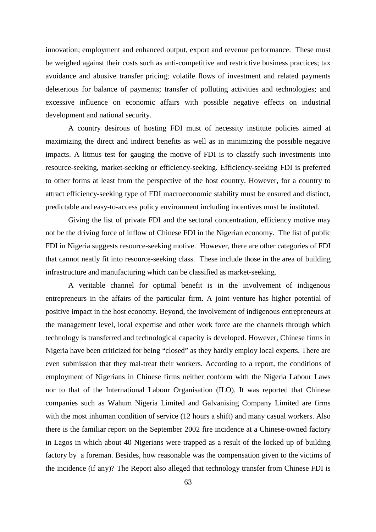innovation; employment and enhanced output, export and revenue performance. These must be weighed against their costs such as anti-competitive and restrictive business practices; tax avoidance and abusive transfer pricing; volatile flows of investment and related payments deleterious for balance of payments; transfer of polluting activities and technologies; and excessive influence on economic affairs with possible negative effects on industrial development and national security.

A country desirous of hosting FDI must of necessity institute policies aimed at maximizing the direct and indirect benefits as well as in minimizing the possible negative impacts. A litmus test for gauging the motive of FDI is to classify such investments into resource-seeking, market-seeking or efficiency-seeking. Efficiency-seeking FDI is preferred to other forms at least from the perspective of the host country. However, for a country to attract efficiency-seeking type of FDI macroeconomic stability must be ensured and distinct, predictable and easy-to-access policy environment including incentives must be instituted.

Giving the list of private FDI and the sectoral concentration, efficiency motive may not be the driving force of inflow of Chinese FDI in the Nigerian economy. The list of public FDI in Nigeria suggests resource-seeking motive. However, there are other categories of FDI that cannot neatly fit into resource-seeking class. These include those in the area of building infrastructure and manufacturing which can be classified as market-seeking.

A veritable channel for optimal benefit is in the involvement of indigenous entrepreneurs in the affairs of the particular firm. A joint venture has higher potential of positive impact in the host economy. Beyond, the involvement of indigenous entrepreneurs at the management level, local expertise and other work force are the channels through which technology is transferred and technological capacity is developed. However, Chinese firms in Nigeria have been criticized for being "closed" as they hardly employ local experts. There are even submission that they mal-treat their workers. According to a report, the conditions of employment of Nigerians in Chinese firms neither conform with the Nigeria Labour Laws nor to that of the International Labour Organisation (ILO). It was reported that Chinese companies such as Wahum Nigeria Limited and Galvanising Company Limited are firms with the most inhuman condition of service (12 hours a shift) and many casual workers. Also there is the familiar report on the September 2002 fire incidence at a Chinese-owned factory in Lagos in which about 40 Nigerians were trapped as a result of the locked up of building factory by a foreman. Besides, how reasonable was the compensation given to the victims of the incidence (if any)? The Report also alleged that technology transfer from Chinese FDI is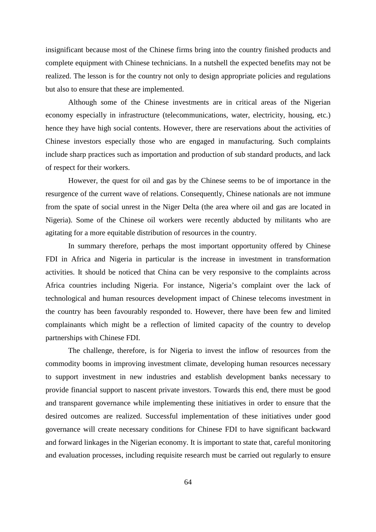insignificant because most of the Chinese firms bring into the country finished products and complete equipment with Chinese technicians. In a nutshell the expected benefits may not be realized. The lesson is for the country not only to design appropriate policies and regulations but also to ensure that these are implemented.

Although some of the Chinese investments are in critical areas of the Nigerian economy especially in infrastructure (telecommunications, water, electricity, housing, etc.) hence they have high social contents. However, there are reservations about the activities of Chinese investors especially those who are engaged in manufacturing. Such complaints include sharp practices such as importation and production of sub standard products, and lack of respect for their workers.

However, the quest for oil and gas by the Chinese seems to be of importance in the resurgence of the current wave of relations. Consequently, Chinese nationals are not immune from the spate of social unrest in the Niger Delta (the area where oil and gas are located in Nigeria). Some of the Chinese oil workers were recently abducted by militants who are agitating for a more equitable distribution of resources in the country.

In summary therefore, perhaps the most important opportunity offered by Chinese FDI in Africa and Nigeria in particular is the increase in investment in transformation activities. It should be noticed that China can be very responsive to the complaints across Africa countries including Nigeria. For instance, Nigeria's complaint over the lack of technological and human resources development impact of Chinese telecoms investment in the country has been favourably responded to. However, there have been few and limited complainants which might be a reflection of limited capacity of the country to develop partnerships with Chinese FDI.

The challenge, therefore, is for Nigeria to invest the inflow of resources from the commodity booms in improving investment climate, developing human resources necessary to support investment in new industries and establish development banks necessary to provide financial support to nascent private investors. Towards this end, there must be good and transparent governance while implementing these initiatives in order to ensure that the desired outcomes are realized. Successful implementation of these initiatives under good governance will create necessary conditions for Chinese FDI to have significant backward and forward linkages in the Nigerian economy. It is important to state that, careful monitoring and evaluation processes, including requisite research must be carried out regularly to ensure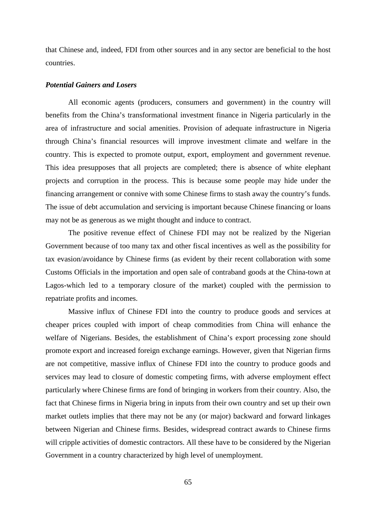that Chinese and, indeed, FDI from other sources and in any sector are beneficial to the host countries.

#### *Potential Gainers and Losers*

All economic agents (producers, consumers and government) in the country will benefits from the China's transformational investment finance in Nigeria particularly in the area of infrastructure and social amenities. Provision of adequate infrastructure in Nigeria through China's financial resources will improve investment climate and welfare in the country. This is expected to promote output, export, employment and government revenue. This idea presupposes that all projects are completed; there is absence of white elephant projects and corruption in the process. This is because some people may hide under the financing arrangement or connive with some Chinese firms to stash away the country's funds. The issue of debt accumulation and servicing is important because Chinese financing or loans may not be as generous as we might thought and induce to contract.

The positive revenue effect of Chinese FDI may not be realized by the Nigerian Government because of too many tax and other fiscal incentives as well as the possibility for tax evasion/avoidance by Chinese firms (as evident by their recent collaboration with some Customs Officials in the importation and open sale of contraband goods at the China-town at Lagos-which led to a temporary closure of the market) coupled with the permission to repatriate profits and incomes.

Massive influx of Chinese FDI into the country to produce goods and services at cheaper prices coupled with import of cheap commodities from China will enhance the welfare of Nigerians. Besides, the establishment of China's export processing zone should promote export and increased foreign exchange earnings. However, given that Nigerian firms are not competitive, massive influx of Chinese FDI into the country to produce goods and services may lead to closure of domestic competing firms, with adverse employment effect particularly where Chinese firms are fond of bringing in workers from their country. Also, the fact that Chinese firms in Nigeria bring in inputs from their own country and set up their own market outlets implies that there may not be any (or major) backward and forward linkages between Nigerian and Chinese firms. Besides, widespread contract awards to Chinese firms will cripple activities of domestic contractors. All these have to be considered by the Nigerian Government in a country characterized by high level of unemployment.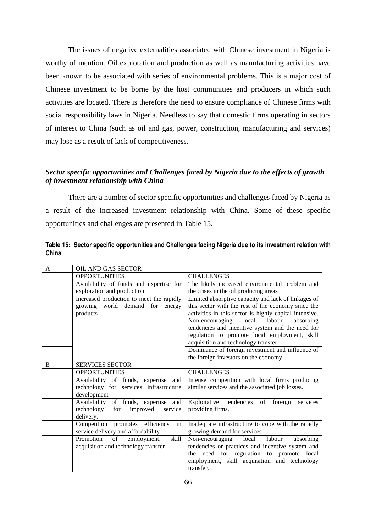The issues of negative externalities associated with Chinese investment in Nigeria is worthy of mention. Oil exploration and production as well as manufacturing activities have been known to be associated with series of environmental problems. This is a major cost of Chinese investment to be borne by the host communities and producers in which such activities are located. There is therefore the need to ensure compliance of Chinese firms with social responsibility laws in Nigeria. Needless to say that domestic firms operating in sectors of interest to China (such as oil and gas, power, construction, manufacturing and services) may lose as a result of lack of competitiveness.

# *Sector specific opportunities and Challenges faced by Nigeria due to the effects of growth of investment relationship with China*

There are a number of sector specific opportunities and challenges faced by Nigeria as a result of the increased investment relationship with China. Some of these specific opportunities and challenges are presented in Table 15.

| A | <b>OIL AND GAS SECTOR</b>                       |                                                                                              |
|---|-------------------------------------------------|----------------------------------------------------------------------------------------------|
|   | <b>OPPORTUNITIES</b>                            | <b>CHALLENGES</b>                                                                            |
|   | Availability of funds and expertise for         | The likely increased environmental problem and                                               |
|   | exploration and production                      | the crises in the oil producing areas                                                        |
|   | Increased production to meet the rapidly        | Limited absorptive capacity and lack of linkages of                                          |
|   | growing world demand for energy                 | this sector with the rest of the economy since the                                           |
|   | products                                        | activities in this sector is highly capital intensive.                                       |
|   |                                                 | local<br>labour<br>Non-encouraging<br>absorbing                                              |
|   |                                                 | tendencies and incentive system and the need for                                             |
|   |                                                 | regulation to promote local employment, skill                                                |
|   |                                                 | acquisition and technology transfer.                                                         |
|   |                                                 | Dominance of foreign investment and influence of                                             |
|   |                                                 | the foreign investors on the economy                                                         |
| B | <b>SERVICES SECTOR</b>                          |                                                                                              |
|   | <b>OPPORTUNITIES</b>                            | <b>CHALLENGES</b>                                                                            |
|   | Availability of funds, expertise and            | Intense competition with local firms producing                                               |
|   | technology for services infrastructure          | similar services and the associated job losses.                                              |
|   | development                                     |                                                                                              |
|   | Availability of funds, expertise and            | Exploitative tendencies of<br>foreign<br>services                                            |
|   | improved<br>technology<br>for<br>service        | providing firms.                                                                             |
|   | delivery.                                       |                                                                                              |
|   | Competition promotes efficiency<br>in           | Inadequate infrastructure to cope with the rapidly                                           |
|   | service delivery and affordability<br>Promotion | growing demand for services                                                                  |
|   | of<br>employment,<br>skill                      | Non-encouraging<br>local<br>labour<br>absorbing                                              |
|   | acquisition and technology transfer             | tendencies or practices and incentive system and<br>the need for regulation to promote local |
|   |                                                 |                                                                                              |
|   |                                                 | employment, skill acquisition and technology<br>transfer.                                    |
|   |                                                 |                                                                                              |

|       | Table 15: Sector specific opportunities and Challenges facing Nigeria due to its investment relation with |  |  |  |
|-------|-----------------------------------------------------------------------------------------------------------|--|--|--|
| China |                                                                                                           |  |  |  |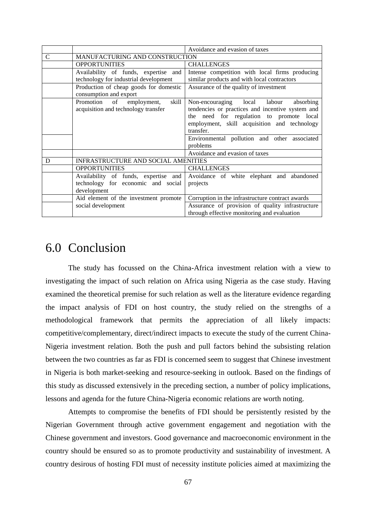|               |                                                                            | Avoidance and evasion of taxes                                                                                                                                                                            |  |  |  |
|---------------|----------------------------------------------------------------------------|-----------------------------------------------------------------------------------------------------------------------------------------------------------------------------------------------------------|--|--|--|
| $\mathcal{C}$ | MANUFACTURING AND CONSTRUCTION                                             |                                                                                                                                                                                                           |  |  |  |
|               | <b>OPPORTUNITIES</b>                                                       | <b>CHALLENGES</b>                                                                                                                                                                                         |  |  |  |
|               | Availability of funds, expertise and                                       | Intense competition with local firms producing                                                                                                                                                            |  |  |  |
|               | technology for industrial development                                      | similar products and with local contractors                                                                                                                                                               |  |  |  |
|               | Production of cheap goods for domestic<br>consumption and export           | Assurance of the quality of investment                                                                                                                                                                    |  |  |  |
|               | Promotion of employment,<br>skill<br>acquisition and technology transfer   | Non-encouraging local<br>labour<br>absorbing<br>tendencies or practices and incentive system and<br>the need for regulation to promote local<br>employment, skill acquisition and technology<br>transfer. |  |  |  |
|               |                                                                            | Environmental pollution and other associated<br>problems                                                                                                                                                  |  |  |  |
|               |                                                                            | Avoidance and evasion of taxes                                                                                                                                                                            |  |  |  |
| D             | INFRASTRUCTURE AND SOCIAL AMENITIES                                        |                                                                                                                                                                                                           |  |  |  |
|               | <b>OPPORTUNITIES</b>                                                       | <b>CHALLENGES</b>                                                                                                                                                                                         |  |  |  |
|               | Availability of funds, expertise and<br>technology for economic and social | Avoidance of white elephant and abandoned                                                                                                                                                                 |  |  |  |
|               | development                                                                | projects                                                                                                                                                                                                  |  |  |  |
|               | Aid element of the investment promote                                      | Corruption in the infrastructure contract awards                                                                                                                                                          |  |  |  |
|               | social development                                                         | Assurance of provision of quality infrastructure<br>through effective monitoring and evaluation                                                                                                           |  |  |  |

# 6.0 Conclusion

The study has focussed on the China-Africa investment relation with a view to investigating the impact of such relation on Africa using Nigeria as the case study. Having examined the theoretical premise for such relation as well as the literature evidence regarding the impact analysis of FDI on host country, the study relied on the strengths of a methodological framework that permits the appreciation of all likely impacts: competitive/complementary, direct/indirect impacts to execute the study of the current China-Nigeria investment relation. Both the push and pull factors behind the subsisting relation between the two countries as far as FDI is concerned seem to suggest that Chinese investment in Nigeria is both market-seeking and resource-seeking in outlook. Based on the findings of this study as discussed extensively in the preceding section, a number of policy implications, lessons and agenda for the future China-Nigeria economic relations are worth noting.

Attempts to compromise the benefits of FDI should be persistently resisted by the Nigerian Government through active government engagement and negotiation with the Chinese government and investors. Good governance and macroeconomic environment in the country should be ensured so as to promote productivity and sustainability of investment. A country desirous of hosting FDI must of necessity institute policies aimed at maximizing the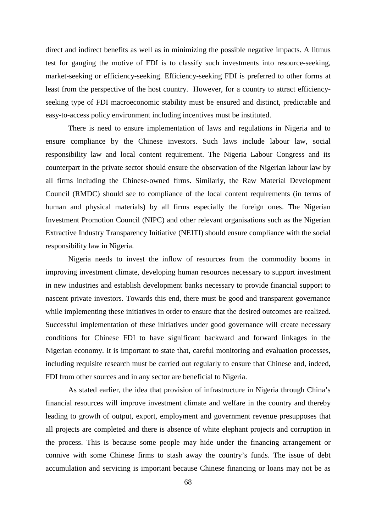direct and indirect benefits as well as in minimizing the possible negative impacts. A litmus test for gauging the motive of FDI is to classify such investments into resource-seeking, market-seeking or efficiency-seeking. Efficiency-seeking FDI is preferred to other forms at least from the perspective of the host country. However, for a country to attract efficiencyseeking type of FDI macroeconomic stability must be ensured and distinct, predictable and easy-to-access policy environment including incentives must be instituted.

There is need to ensure implementation of laws and regulations in Nigeria and to ensure compliance by the Chinese investors. Such laws include labour law, social responsibility law and local content requirement. The Nigeria Labour Congress and its counterpart in the private sector should ensure the observation of the Nigerian labour law by all firms including the Chinese-owned firms. Similarly, the Raw Material Development Council (RMDC) should see to compliance of the local content requirements (in terms of human and physical materials) by all firms especially the foreign ones. The Nigerian Investment Promotion Council (NIPC) and other relevant organisations such as the Nigerian Extractive Industry Transparency Initiative (NEITI) should ensure compliance with the social responsibility law in Nigeria.

Nigeria needs to invest the inflow of resources from the commodity booms in improving investment climate, developing human resources necessary to support investment in new industries and establish development banks necessary to provide financial support to nascent private investors. Towards this end, there must be good and transparent governance while implementing these initiatives in order to ensure that the desired outcomes are realized. Successful implementation of these initiatives under good governance will create necessary conditions for Chinese FDI to have significant backward and forward linkages in the Nigerian economy. It is important to state that, careful monitoring and evaluation processes, including requisite research must be carried out regularly to ensure that Chinese and, indeed, FDI from other sources and in any sector are beneficial to Nigeria.

As stated earlier, the idea that provision of infrastructure in Nigeria through China's financial resources will improve investment climate and welfare in the country and thereby leading to growth of output, export, employment and government revenue presupposes that all projects are completed and there is absence of white elephant projects and corruption in the process. This is because some people may hide under the financing arrangement or connive with some Chinese firms to stash away the country's funds. The issue of debt accumulation and servicing is important because Chinese financing or loans may not be as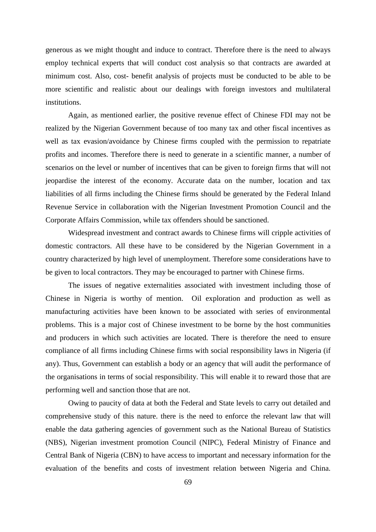generous as we might thought and induce to contract. Therefore there is the need to always employ technical experts that will conduct cost analysis so that contracts are awarded at minimum cost. Also, cost- benefit analysis of projects must be conducted to be able to be more scientific and realistic about our dealings with foreign investors and multilateral institutions.

Again, as mentioned earlier, the positive revenue effect of Chinese FDI may not be realized by the Nigerian Government because of too many tax and other fiscal incentives as well as tax evasion/avoidance by Chinese firms coupled with the permission to repatriate profits and incomes. Therefore there is need to generate in a scientific manner, a number of scenarios on the level or number of incentives that can be given to foreign firms that will not jeopardise the interest of the economy. Accurate data on the number, location and tax liabilities of all firms including the Chinese firms should be generated by the Federal Inland Revenue Service in collaboration with the Nigerian Investment Promotion Council and the Corporate Affairs Commission, while tax offenders should be sanctioned.

Widespread investment and contract awards to Chinese firms will cripple activities of domestic contractors. All these have to be considered by the Nigerian Government in a country characterized by high level of unemployment. Therefore some considerations have to be given to local contractors. They may be encouraged to partner with Chinese firms.

The issues of negative externalities associated with investment including those of Chinese in Nigeria is worthy of mention. Oil exploration and production as well as manufacturing activities have been known to be associated with series of environmental problems. This is a major cost of Chinese investment to be borne by the host communities and producers in which such activities are located. There is therefore the need to ensure compliance of all firms including Chinese firms with social responsibility laws in Nigeria (if any). Thus, Government can establish a body or an agency that will audit the performance of the organisations in terms of social responsibility. This will enable it to reward those that are performing well and sanction those that are not.

Owing to paucity of data at both the Federal and State levels to carry out detailed and comprehensive study of this nature. there is the need to enforce the relevant law that will enable the data gathering agencies of government such as the National Bureau of Statistics (NBS), Nigerian investment promotion Council (NIPC), Federal Ministry of Finance and Central Bank of Nigeria (CBN) to have access to important and necessary information for the evaluation of the benefits and costs of investment relation between Nigeria and China.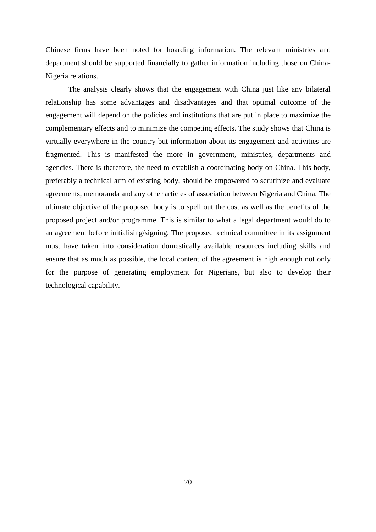Chinese firms have been noted for hoarding information. The relevant ministries and department should be supported financially to gather information including those on China-Nigeria relations.

The analysis clearly shows that the engagement with China just like any bilateral relationship has some advantages and disadvantages and that optimal outcome of the engagement will depend on the policies and institutions that are put in place to maximize the complementary effects and to minimize the competing effects. The study shows that China is virtually everywhere in the country but information about its engagement and activities are fragmented. This is manifested the more in government, ministries, departments and agencies. There is therefore, the need to establish a coordinating body on China. This body, preferably a technical arm of existing body, should be empowered to scrutinize and evaluate agreements, memoranda and any other articles of association between Nigeria and China. The ultimate objective of the proposed body is to spell out the cost as well as the benefits of the proposed project and/or programme. This is similar to what a legal department would do to an agreement before initialising/signing. The proposed technical committee in its assignment must have taken into consideration domestically available resources including skills and ensure that as much as possible, the local content of the agreement is high enough not only for the purpose of generating employment for Nigerians, but also to develop their technological capability.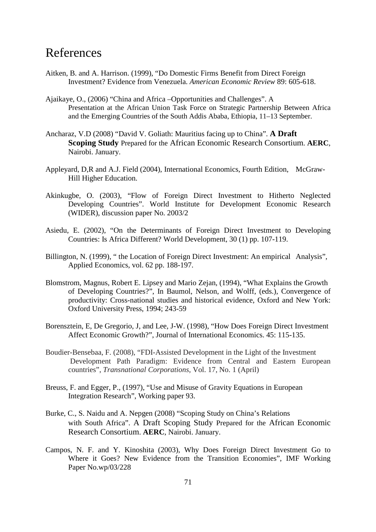# References

- Aitken, B. and A. Harrison. (1999), "Do Domestic Firms Benefit from Direct Foreign Investment? Evidence from Venezuela. *American Economic Review* 89: 605-618.
- Ajaikaye, O., (2006) "China and Africa –Opportunities and Challenges". A Presentation at the African Union Task Force on Strategic Partnership Between Africa and the Emerging Countries of the South Addis Ababa, Ethiopia, 11–13 September.
- Ancharaz, V.D (2008) "David V. Goliath: Mauritius facing up to China". **A Draft Scoping Study** Prepared for the African Economic Research Consortium. **AERC**, Nairobi. January.
- Appleyard, D,R and A.J. Field (2004), International Economics, Fourth Edition, McGraw-Hill Higher Education.
- Akinkugbe, O. (2003), "Flow of Foreign Direct Investment to Hitherto Neglected Developing Countries". World Institute for Development Economic Research (WIDER), discussion paper No. 2003/2
- Asiedu, E. (2002), "On the Determinants of Foreign Direct Investment to Developing Countries: Is Africa Different? World Development, 30 (1) pp. 107-119.
- Billington, N. (1999), "the Location of Foreign Direct Investment: An empirical Analysis", Applied Economics, vol. 62 pp. 188-197.
- Blomstrom, Magnus, Robert E. Lipsey and Mario Zejan, (1994), "What Explains the Growth of Developing Countries?", In Baumol, Nelson, and Wolff, (eds.), Convergence of productivity: Cross-national studies and historical evidence, Oxford and New York: Oxford University Press, 1994; 243-59
- Borensztein, E, De Gregorio, J, and Lee, J-W. (1998), "How Does Foreign Direct Investment Affect Economic Growth?", Journal of International Economics. 45: 115-135.
- Boudier-Bensebaa, F. (2008), "FDI-Assisted Development in the Light of the Investment Development Path Paradigm: Evidence from Central and Eastern European countries", *Transnational Corporations,* Vol. 17, No. 1 (April)
- Breuss, F. and Egger, P., (1997), "Use and Misuse of Gravity Equations in European Integration Research", Working paper 93.
- Burke, C., S. Naidu and A. Nepgen (2008) "Scoping Study on China's Relations with South Africa". A Draft Scoping Study Prepared for the African Economic Research Consortium. **AERC**, Nairobi. January.
- Campos, N. F. and Y. Kinoshita (2003), Why Does Foreign Direct Investment Go to Where it Goes? New Evidence from the Transition Economies", IMF Working Paper No.wp/03/228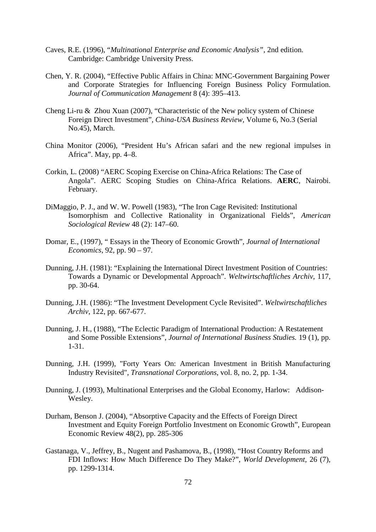- Caves, R.E. (1996), "*Multinational Enterprise and Economic Analysis"*, 2nd edition. Cambridge: Cambridge University Press.
- Chen, Y. R. (2004), "Effective Public Affairs in China: MNC-Government Bargaining Power and Corporate Strategies for Influencing Foreign Business Policy Formulation. *Journal of Communication Management* 8 (4): 395–413.
- Cheng Li-ru & Zhou Xuan (2007), "Characteristic of the New policy system of Chinese Foreign Direct Investment", *China-USA Business Review*, Volume 6, No.3 (Serial No.45), March.
- China Monitor (2006), "President Hu's African safari and the new regional impulses in Africa". May, pp. 4–8.
- Corkin, L. (2008) "AERC Scoping Exercise on China-Africa Relations: The Case of Angola". AERC Scoping Studies on China-Africa Relations. **AERC**, Nairobi. February.
- DiMaggio, P. J., and W. W. Powell (1983), "The Iron Cage Revisited: Institutional Isomorphism and Collective Rationality in Organizational Fields", *American Sociological Review* 48 (2): 147–60.
- Domar, E., (1997), " Essays in the Theory of Economic Growth", *Journal of International Economics*, 92, pp. 90 – 97.
- Dunning, J.H. (1981): "Explaining the International Direct Investment Position of Countries: Towards a Dynamic or Developmental Approach". *Weltwirtschaftliches Archiv*, 117, pp. 30-64.
- Dunning, J.H. (1986): "The Investment Development Cycle Revisited". *Weltwirtschaftliches Archiv*, 122, pp. 667-677.
- Dunning, J. H., (1988), "The Eclectic Paradigm of International Production: A Restatement and Some Possible Extensions", *Journal of International Business Studies.* 19 (1), pp. 1-31.
- Dunning, J.H. (1999), "Forty Years On: American Investment in British Manufacturing Industry Revisited", *Transnational Corporations*, vol. 8, no. 2, pp. 1-34.
- Dunning, J. (1993), Multinational Enterprises and the Global Economy, Harlow: Addison-Wesley.
- Durham, Benson J. (2004), "Absorptive Capacity and the Effects of Foreign Direct Investment and Equity Foreign Portfolio Investment on Economic Growth", European Economic Review 48(2), pp. 285-306
- Gastanaga, V., Jeffrey, B., Nugent and Pashamova, B., (1998), "Host Country Reforms and FDI Inflows: How Much Difference Do They Make?", *World Development*, 26 (7), pp. 1299-1314.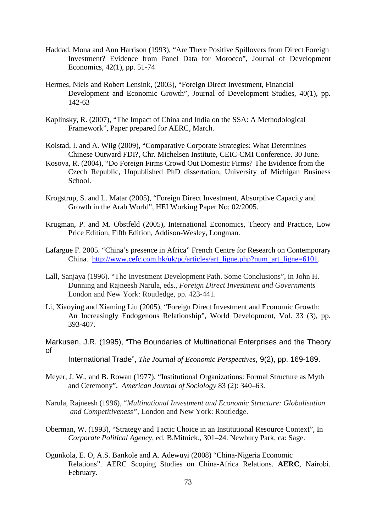- Haddad, Mona and Ann Harrison (1993), "Are There Positive Spillovers from Direct Foreign Investment? Evidence from Panel Data for Morocco", Journal of Development Economics, 42(1), pp. 51-74
- Hermes, Niels and Robert Lensink, (2003), "Foreign Direct Investment, Financial Development and Economic Growth", Journal of Development Studies, 40(1), pp. 142-63
- Kaplinsky, R. (2007), "The Impact of China and India on the SSA: A Methodological Framework", Paper prepared for AERC, March.
- Kolstad, I. and A. Wiig (2009), "Comparative Corporate Strategies: What Determines Chinese Outward FDI?, Chr. Michelsen Institute, CEIC-CMI Conference. 30 June.
- Kosova, R. (2004), "Do Foreign Firms Crowd Out Domestic Firms? The Evidence from the Czech Republic, Unpublished PhD dissertation, University of Michigan Business School.
- Krogstrup, S. and L. Matar (2005), "Foreign Direct Investment, Absorptive Capacity and Growth in the Arab World", HEI Working Paper No: 02/2005.
- Krugman, P. and M. Obstfeld (2005), International Economics, Theory and Practice, Low Price Edition, Fifth Edition, Addison-Wesley, Longman.
- Lafargue F. 2005. "China's presence in Africa" French Centre for Research on Contemporary China. http://www.cefc.com.hk/uk/pc/articles/art\_ligne.php?num\_art\_ligne=6101.
- Lall, Sanjaya (1996). "The Investment Development Path. Some Conclusions", in John H. Dunning and Rajneesh Narula, eds., *Foreign Direct Investment and Governments*  London and New York: Routledge, pp. 423-441.
- Li, Xiaoying and Xiaming Liu (2005), "Foreign Direct Investment and Economic Growth: An Increasingly Endogenous Relationship", World Development, Vol. 33 (3), pp. 393-407.
- Markusen, J.R. (1995), "The Boundaries of Multinational Enterprises and the Theory of
	- International Trade", *The Journal of Economic Perspectives*, 9(2), pp. 169-189.
- Meyer, J. W., and B. Rowan (1977), "Institutional Organizations: Formal Structure as Myth and Ceremony", *American Journal of Sociology* 83 (2): 340–63.
- Narula, Rajneesh (1996), "*Multinational Investment and Economic Structure: Globalisation and Competitiveness"*, London and New York: Routledge.
- Oberman, W. (1993), "Strategy and Tactic Choice in an Institutional Resource Context", In *Corporate Political Agency,* ed. B.Mitnick., 301–24. Newbury Park, ca: Sage.
- Ogunkola, E. O, A.S. Bankole and A. Adewuyi (2008) "China-Nigeria Economic Relations". AERC Scoping Studies on China-Africa Relations. **AERC**, Nairobi. February.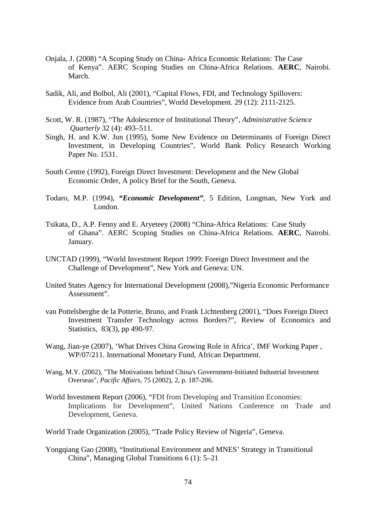- Onjala, J. (2008) "A Scoping Study on China- Africa Economic Relations: The Case of Kenya". AERC Scoping Studies on China-Africa Relations. **AERC**, Nairobi. March.
- Sadik, Ali, and Bolbol, Ali (2001), "Capital Flows, FDI, and Technology Spillovers: Evidence from Arab Countries", World Development. 29 (12): 2111-2125.
- Scott, W. R. (1987), "The Adolescence of Institutional Theory", *Administrative Science Quarterly* 32 (4): 493–511.
- Singh, H. and K.W. Jun (1995), Some New Evidence on Determinants of Foreign Direct Investment, in Developing Countries", World Bank Policy Research Working Paper No. 1531.
- South Centre (1992), Foreign Direct Investment: Development and the New Global Economic Order, A policy Brief for the South, Geneva.
- Todaro, M.P. (1994), *"Economic Development"*, 5 Edition, Longman, New York and London.
- Tsikata, D., A.P. Fenny and E. Aryeteey (2008) "China-Africa Relations: Case Study of Ghana". AERC Scoping Studies on China-Africa Relations. **AERC**, Nairobi. January.
- UNCTAD (1999), "World Investment Report 1999: Foreign Direct Investment and the Challenge of Development", New York and Geneva: UN.
- United States Agency for International Development (2008),"Nigeria Economic Performance Assessment".
- van Pottelsberghe de la Potterie, Bruno, and Frank Lichtenberg (2001), "Does Foreign Direct Investment Transfer Technology across Borders?", Review of Economics and Statistics, 83(3), pp 490-97.
- Wang, Jian-ye (2007), 'What Drives China Growing Role in Africa', IMF Working Paper , WP/07/211. International Monetary Fund, African Department.
- Wang, M.Y. (2002), "The Motivations behind China's Government-Initiated Industrial Investment Overseas", *Pacific Affairs*, 75 (2002), 2, p. 187-206.
- World Investment Report (2006), "FDI from Developing and Transition Economies: Implications for Development", United Nations Conference on Trade and Development, Geneva.
- World Trade Organization (2005), "Trade Policy Review of Nigeria", Geneva.
- Yongqiang Gao (2008), "Institutional Environment and MNES' Strategy in Transitional China", Managing Global Transitions 6 (1): 5–21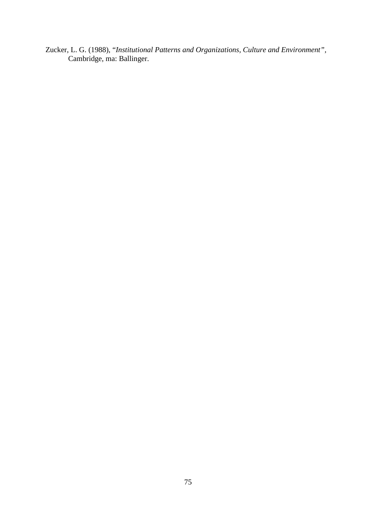Zucker, L. G. (1988), "*Institutional Patterns and Organizations, Culture and Environment",*  Cambridge, ma: Ballinger.